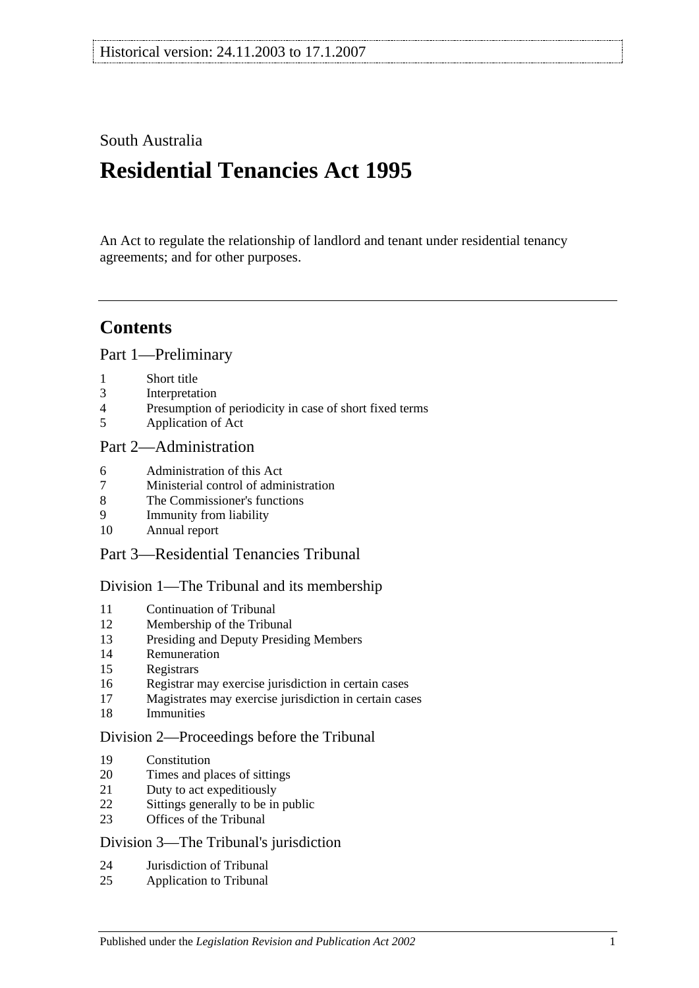## South Australia

# **Residential Tenancies Act 1995**

An Act to regulate the relationship of landlord and tenant under residential tenancy agreements; and for other purposes.

# **Contents**

[Part 1—Preliminary](#page-4-0)

- [Short title](#page-4-1)
- [Interpretation](#page-5-0)
- [Presumption of periodicity in case of short fixed terms](#page-7-0)
- [Application of Act](#page-7-1)

## [Part 2—Administration](#page-8-0)

- [Administration of this Act](#page-8-1)
- [Ministerial control of administration](#page-8-2)
- [The Commissioner's functions](#page-8-3)
- [Immunity from liability](#page-9-0)
- [Annual report](#page-9-1)

## [Part 3—Residential Tenancies Tribunal](#page-9-2)

## [Division 1—The Tribunal and its membership](#page-9-3)

- [Continuation of Tribunal](#page-9-4)<br>12 Membership of the Tribun
- [Membership of the Tribunal](#page-9-5)
- [Presiding and Deputy Presiding Members](#page-10-0)
- [Remuneration](#page-10-1)
- [Registrars](#page-10-2)
- [Registrar may exercise jurisdiction in certain cases](#page-10-3)
- [Magistrates may exercise jurisdiction in certain cases](#page-10-4)
- [Immunities](#page-11-0)

#### [Division 2—Proceedings before the Tribunal](#page-11-1)

- [Constitution](#page-11-2)
- [Times and places of sittings](#page-11-3)
- [Duty to act expeditiously](#page-11-4)
- [Sittings generally to be in public](#page-11-5)
- [Offices of the Tribunal](#page-11-6)

#### Division [3—The Tribunal's jurisdiction](#page-11-7)

- [Jurisdiction of Tribunal](#page-11-8)
- [Application to Tribunal](#page-12-0)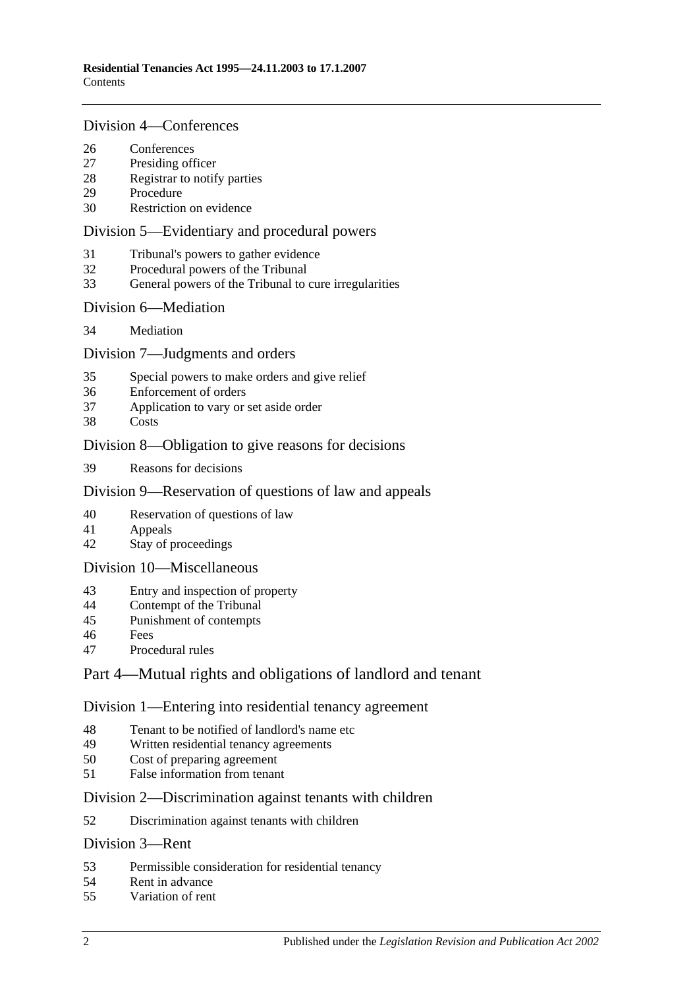#### [Division 4—Conferences](#page-12-1)

- [Conferences](#page-12-2)<br>27 Presiding off
- [Presiding officer](#page-13-0)
- [Registrar to notify parties](#page-13-1)
- [Procedure](#page-13-2)
- [Restriction on evidence](#page-13-3)

### [Division 5—Evidentiary and procedural powers](#page-13-4)

- [Tribunal's powers to gather evidence](#page-13-5)
- [Procedural powers of the Tribunal](#page-14-0)
- [General powers of the Tribunal to cure irregularities](#page-15-0)

#### [Division 6—Mediation](#page-15-1)

[Mediation](#page-15-2)

### [Division 7—Judgments and orders](#page-15-3)

- [Special powers to make orders and give relief](#page-15-4)
- [Enforcement of orders](#page-16-0)
- [Application to vary or set aside order](#page-16-1)
- [Costs](#page-16-2)

### [Division 8—Obligation to give reasons for decisions](#page-16-3)

[Reasons for decisions](#page-16-4)

### [Division 9—Reservation of questions of law and appeals](#page-16-5)

- [Reservation of questions of law](#page-16-6)
- [Appeals](#page-17-0)
- [Stay of proceedings](#page-17-1)

#### [Division 10—Miscellaneous](#page-17-2)

- [Entry and inspection of property](#page-17-3)
- [Contempt of the Tribunal](#page-17-4)
- [Punishment of contempts](#page-18-0)
- [Fees](#page-18-1)
- [Procedural rules](#page-18-2)

## [Part 4—Mutual rights and obligations of landlord and tenant](#page-18-3)

#### [Division 1—Entering into residential tenancy agreement](#page-18-4)

- [Tenant to be notified of landlord's name etc](#page-18-5)
- [Written residential tenancy agreements](#page-19-0)<br>50 Cost of preparing agreement
- [Cost of preparing agreement](#page-19-1)
- [False information from tenant](#page-19-2)

#### [Division 2—Discrimination against tenants with children](#page-20-0)

[Discrimination against tenants with children](#page-20-1)

### [Division 3—Rent](#page-20-2)

- [Permissible consideration for residential tenancy](#page-20-3)
- [Rent in advance](#page-21-0)
- [Variation of rent](#page-21-1)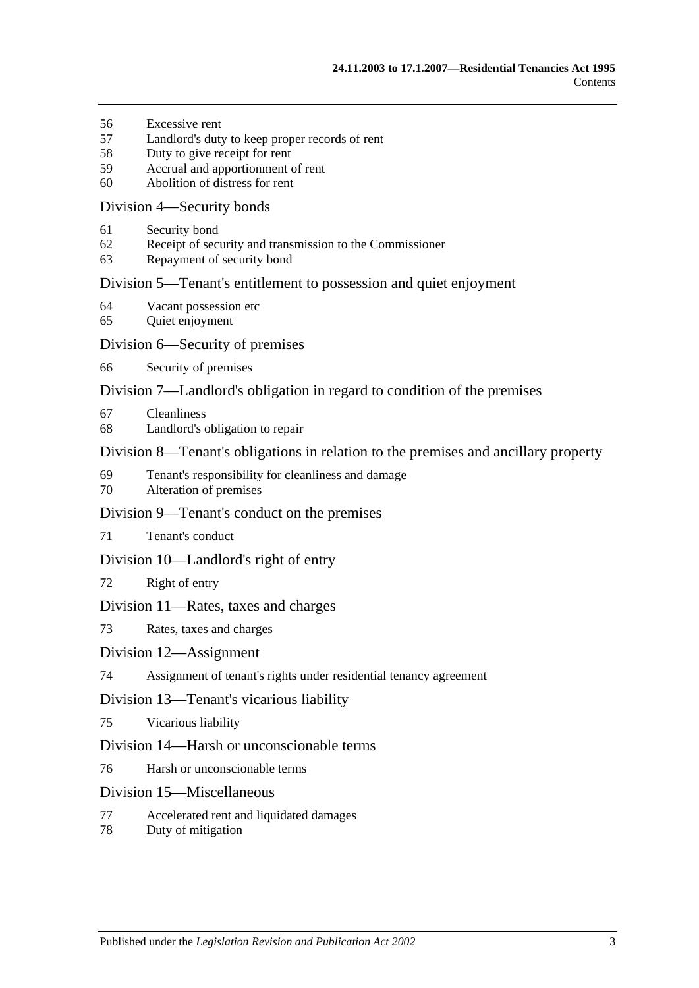- [Excessive rent](#page-22-0)
- [Landlord's duty to keep proper records of rent](#page-23-0)
- [Duty to give receipt for rent](#page-23-1)
- [Accrual and apportionment of rent](#page-23-2)
- [Abolition of distress for rent](#page-23-3)

#### [Division 4—Security bonds](#page-24-0)

- [Security bond](#page-24-1)
- [Receipt of security and transmission to the Commissioner](#page-24-2)
- [Repayment of security bond](#page-25-0)

#### [Division 5—Tenant's entitlement to possession and quiet enjoyment](#page-27-0)

- [Vacant possession etc](#page-27-1)
- [Quiet enjoyment](#page-27-2)

#### [Division 6—Security of premises](#page-27-3)

[Security of premises](#page-27-4)

### [Division 7—Landlord's obligation in regard to condition of the premises](#page-28-0)

- [Cleanliness](#page-28-1)
- [Landlord's obligation to repair](#page-28-2)

#### [Division 8—Tenant's obligations in relation to the premises and ancillary property](#page-29-0)

- [Tenant's responsibility for cleanliness and damage](#page-29-1)
- [Alteration of premises](#page-29-2)

#### [Division 9—Tenant's conduct on the premises](#page-30-0)

[Tenant's conduct](#page-30-1)

#### [Division 10—Landlord's right of entry](#page-30-2)

[Right of entry](#page-30-3)

#### [Division 11—Rates, taxes and charges](#page-31-0)

[Rates, taxes and charges](#page-31-1)

#### [Division 12—Assignment](#page-31-2)

[Assignment of tenant's rights under residential tenancy agreement](#page-31-3)

#### [Division 13—Tenant's vicarious liability](#page-32-0)

[Vicarious liability](#page-32-1)

#### [Division 14—Harsh or unconscionable terms](#page-32-2)

[Harsh or unconscionable terms](#page-32-3)

#### [Division 15—Miscellaneous](#page-32-4)

- [Accelerated rent and liquidated damages](#page-32-5)
- [Duty of mitigation](#page-33-0)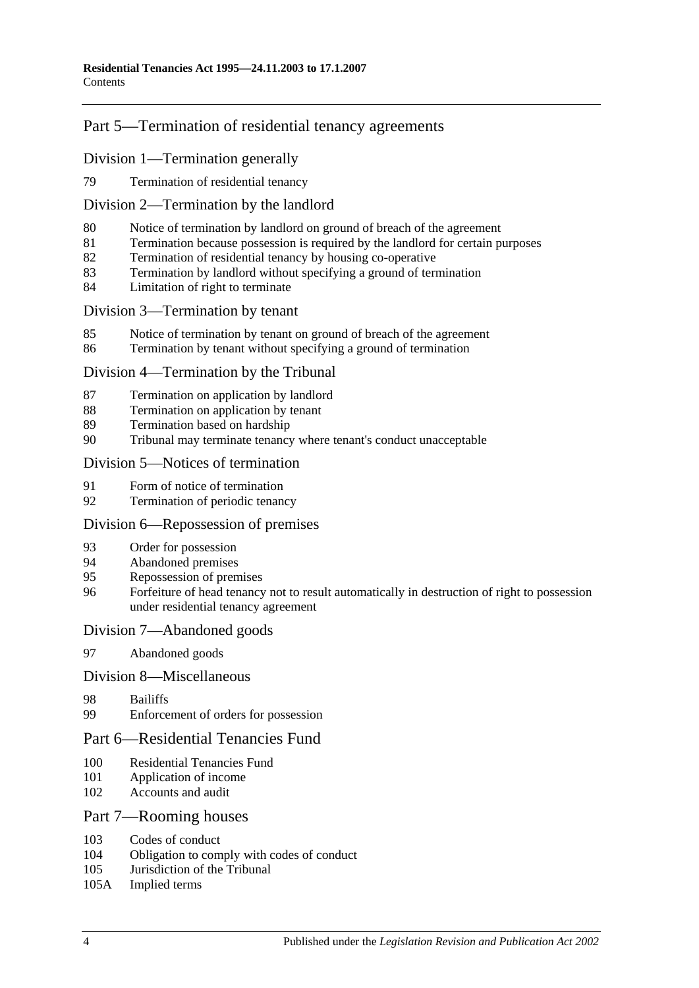## [Part 5—Termination of residential tenancy agreements](#page-33-1)

### [Division 1—Termination generally](#page-33-2)

[Termination of residential tenancy](#page-33-3)

### [Division 2—Termination by the landlord](#page-33-4)

- [Notice of termination by landlord on ground of breach of the agreement](#page-33-5)
- [Termination because possession is required by the landlord for certain purposes](#page-35-0)
- [Termination of residential tenancy by housing co-operative](#page-35-1)
- [Termination by landlord without specifying a ground of termination](#page-35-2)
- [Limitation of right to terminate](#page-36-0)

#### [Division 3—Termination by tenant](#page-36-1)

- [Notice of termination by tenant on ground of breach of the agreement](#page-36-2)
- [Termination by tenant without specifying a ground of termination](#page-37-0)

#### [Division 4—Termination by the Tribunal](#page-37-1)

- [Termination on application by landlord](#page-37-2)
- [Termination on application by tenant](#page-37-3)
- [Termination based on hardship](#page-38-0)
- [Tribunal may terminate tenancy where tenant's conduct unacceptable](#page-38-1)

#### [Division 5—Notices of termination](#page-39-0)

- [Form of notice of termination](#page-39-1)
- [Termination of periodic tenancy](#page-39-2)

#### [Division 6—Repossession of premises](#page-39-3)

- [Order for possession](#page-39-4)
- [Abandoned premises](#page-40-0)
- [Repossession of premises](#page-40-1)
- [Forfeiture of head tenancy not to result automatically in destruction of right to possession](#page-41-0)  [under residential tenancy agreement](#page-41-0)

#### [Division 7—Abandoned goods](#page-41-1)

[Abandoned goods](#page-41-2)

#### [Division 8—Miscellaneous](#page-42-0)

- [Bailiffs](#page-42-1)
- [Enforcement of orders for possession](#page-42-2)

### [Part 6—Residential Tenancies Fund](#page-43-0)

- [Residential Tenancies Fund](#page-43-1)
- [Application of income](#page-43-2)
- [Accounts and audit](#page-44-0)

### [Part 7—Rooming houses](#page-44-1)

- [Codes of conduct](#page-44-2)<br>104 Obligation to com
- [Obligation to comply with codes of conduct](#page-44-3)
- [Jurisdiction of the Tribunal](#page-44-4)
- 105A [Implied terms](#page-44-5)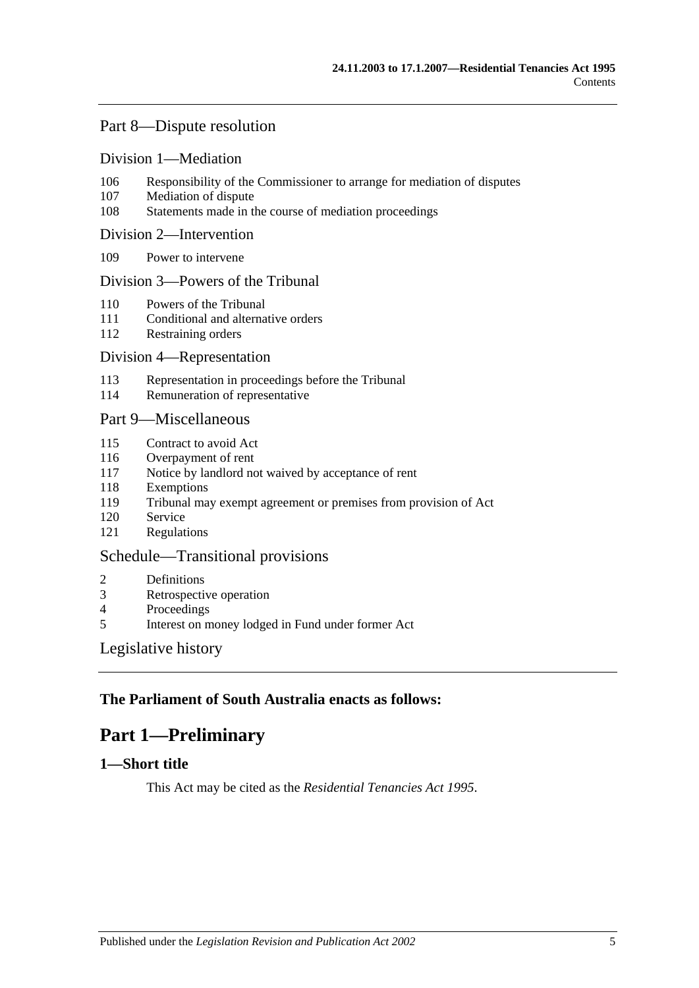## [Part 8—Dispute resolution](#page-44-6)

#### [Division 1—Mediation](#page-44-7)

- 106 [Responsibility of the Commissioner to arrange for mediation of disputes](#page-44-8)
- 107 [Mediation of dispute](#page-45-0)
- 108 [Statements made in the course of mediation proceedings](#page-45-1)

#### [Division 2—Intervention](#page-45-2)

109 [Power to intervene](#page-45-3)

#### [Division 3—Powers of the Tribunal](#page-45-4)

- 110 [Powers of the Tribunal](#page-45-5)
- 111 [Conditional and alternative orders](#page-46-0)
- 112 [Restraining orders](#page-46-1)

#### [Division 4—Representation](#page-46-2)

- 113 [Representation in proceedings before the Tribunal](#page-46-3)
- 114 [Remuneration of representative](#page-47-0)

### [Part 9—Miscellaneous](#page-47-1)

- 115 [Contract to avoid Act](#page-47-2)
- 116 [Overpayment of rent](#page-48-0)
- 117 [Notice by landlord not waived by acceptance of rent](#page-48-1)
- 118 [Exemptions](#page-48-2)
- 119 [Tribunal may exempt agreement or premises from provision of Act](#page-48-3)
- 120 [Service](#page-48-4)
- 121 [Regulations](#page-48-5)

### [Schedule—Transitional provisions](#page-49-0)

- 2 [Definitions](#page-49-1)
- 3 [Retrospective operation](#page-49-2)
- 4 [Proceedings](#page-49-3)<br>5 Interest on m
- 5 [Interest on money lodged in Fund under former Act](#page-49-4)

### [Legislative history](#page-50-0)

## <span id="page-4-0"></span>**The Parliament of South Australia enacts as follows:**

# **Part 1—Preliminary**

## <span id="page-4-1"></span>**1—Short title**

This Act may be cited as the *Residential Tenancies Act 1995*.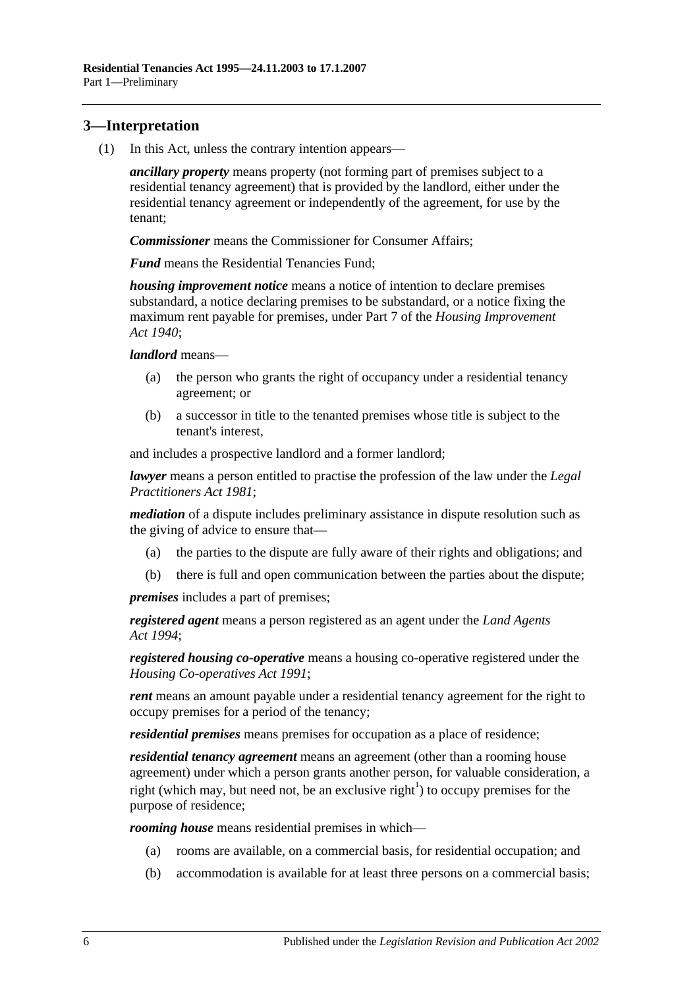## <span id="page-5-0"></span>**3—Interpretation**

(1) In this Act, unless the contrary intention appears—

*ancillary property* means property (not forming part of premises subject to a residential tenancy agreement) that is provided by the landlord, either under the residential tenancy agreement or independently of the agreement, for use by the tenant;

*Commissioner* means the Commissioner for Consumer Affairs;

*Fund* means the Residential Tenancies Fund;

*housing improvement notice* means a notice of intention to declare premises substandard, a notice declaring premises to be substandard, or a notice fixing the maximum rent payable for premises, under Part 7 of the *[Housing Improvement](http://www.legislation.sa.gov.au/index.aspx?action=legref&type=act&legtitle=Housing%20Improvement%20Act%201940)  Act [1940](http://www.legislation.sa.gov.au/index.aspx?action=legref&type=act&legtitle=Housing%20Improvement%20Act%201940)*;

*landlord* means—

- (a) the person who grants the right of occupancy under a residential tenancy agreement; or
- (b) a successor in title to the tenanted premises whose title is subject to the tenant's interest,

and includes a prospective landlord and a former landlord;

*lawyer* means a person entitled to practise the profession of the law under the *[Legal](http://www.legislation.sa.gov.au/index.aspx?action=legref&type=act&legtitle=Legal%20Practitioners%20Act%201981)  [Practitioners Act](http://www.legislation.sa.gov.au/index.aspx?action=legref&type=act&legtitle=Legal%20Practitioners%20Act%201981) 1981*;

*mediation* of a dispute includes preliminary assistance in dispute resolution such as the giving of advice to ensure that—

- (a) the parties to the dispute are fully aware of their rights and obligations; and
- (b) there is full and open communication between the parties about the dispute;

*premises* includes a part of premises;

*registered agent* means a person registered as an agent under the *[Land Agents](http://www.legislation.sa.gov.au/index.aspx?action=legref&type=act&legtitle=Land%20Agents%20Act%201994)  Act [1994](http://www.legislation.sa.gov.au/index.aspx?action=legref&type=act&legtitle=Land%20Agents%20Act%201994)*;

*registered housing co-operative* means a housing co-operative registered under the *[Housing Co-operatives Act](http://www.legislation.sa.gov.au/index.aspx?action=legref&type=act&legtitle=Housing%20Co-operatives%20Act%201991) 1991*;

*rent* means an amount payable under a residential tenancy agreement for the right to occupy premises for a period of the tenancy;

*residential premises* means premises for occupation as a place of residence;

*residential tenancy agreement* means an agreement (other than a rooming house agreement) under which a person grants another person, for valuable consideration, a right (which may, but need not, be an exclusive right<sup>1</sup>) to occupy premises for the purpose of residence;

*rooming house* means residential premises in which—

- (a) rooms are available, on a commercial basis, for residential occupation; and
- (b) accommodation is available for at least three persons on a commercial basis;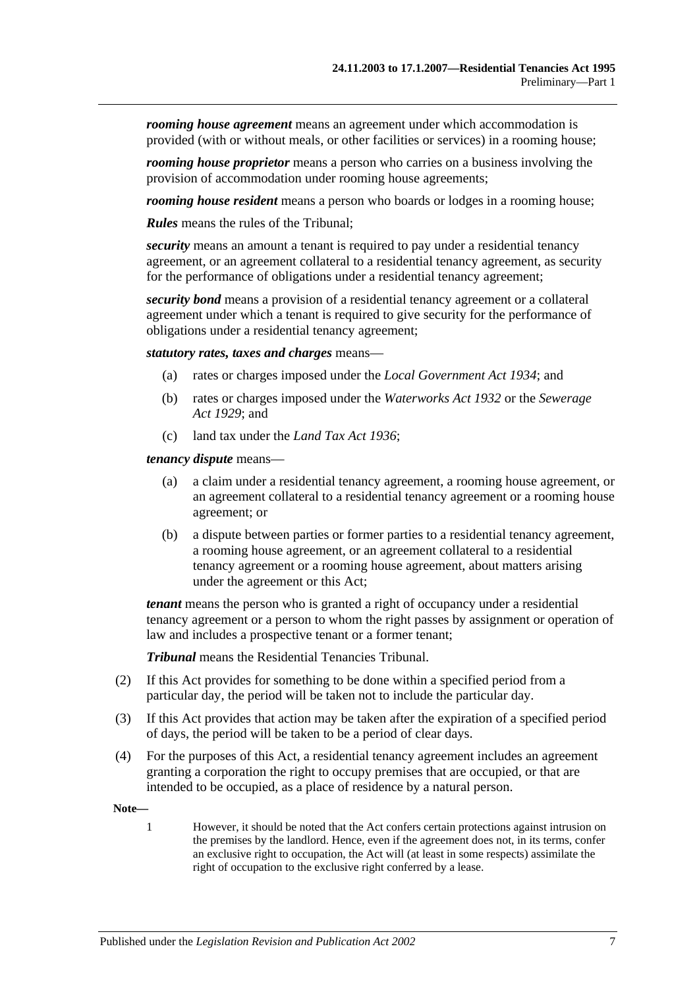*rooming house agreement* means an agreement under which accommodation is provided (with or without meals, or other facilities or services) in a rooming house;

*rooming house proprietor* means a person who carries on a business involving the provision of accommodation under rooming house agreements;

*rooming house resident* means a person who boards or lodges in a rooming house;

*Rules* means the rules of the Tribunal;

*security* means an amount a tenant is required to pay under a residential tenancy agreement, or an agreement collateral to a residential tenancy agreement, as security for the performance of obligations under a residential tenancy agreement;

*security bond* means a provision of a residential tenancy agreement or a collateral agreement under which a tenant is required to give security for the performance of obligations under a residential tenancy agreement;

*statutory rates, taxes and charges* means—

- (a) rates or charges imposed under the *[Local Government Act](http://www.legislation.sa.gov.au/index.aspx?action=legref&type=act&legtitle=Local%20Government%20Act%201934) 1934*; and
- (b) rates or charges imposed under the *[Waterworks Act](http://www.legislation.sa.gov.au/index.aspx?action=legref&type=act&legtitle=Waterworks%20Act%201932) 1932* or the *[Sewerage](http://www.legislation.sa.gov.au/index.aspx?action=legref&type=act&legtitle=Sewerage%20Act%201929)  Act [1929](http://www.legislation.sa.gov.au/index.aspx?action=legref&type=act&legtitle=Sewerage%20Act%201929)*; and
- (c) land tax under the *[Land Tax Act](http://www.legislation.sa.gov.au/index.aspx?action=legref&type=act&legtitle=Land%20Tax%20Act%201936) 1936*;

*tenancy dispute* means—

- (a) a claim under a residential tenancy agreement, a rooming house agreement, or an agreement collateral to a residential tenancy agreement or a rooming house agreement; or
- (b) a dispute between parties or former parties to a residential tenancy agreement, a rooming house agreement, or an agreement collateral to a residential tenancy agreement or a rooming house agreement, about matters arising under the agreement or this Act;

*tenant* means the person who is granted a right of occupancy under a residential tenancy agreement or a person to whom the right passes by assignment or operation of law and includes a prospective tenant or a former tenant;

*Tribunal* means the Residential Tenancies Tribunal.

- (2) If this Act provides for something to be done within a specified period from a particular day, the period will be taken not to include the particular day.
- (3) If this Act provides that action may be taken after the expiration of a specified period of days, the period will be taken to be a period of clear days.
- (4) For the purposes of this Act, a residential tenancy agreement includes an agreement granting a corporation the right to occupy premises that are occupied, or that are intended to be occupied, as a place of residence by a natural person.

**Note—**

1 However, it should be noted that the Act confers certain protections against intrusion on the premises by the landlord. Hence, even if the agreement does not, in its terms, confer an exclusive right to occupation, the Act will (at least in some respects) assimilate the right of occupation to the exclusive right conferred by a lease.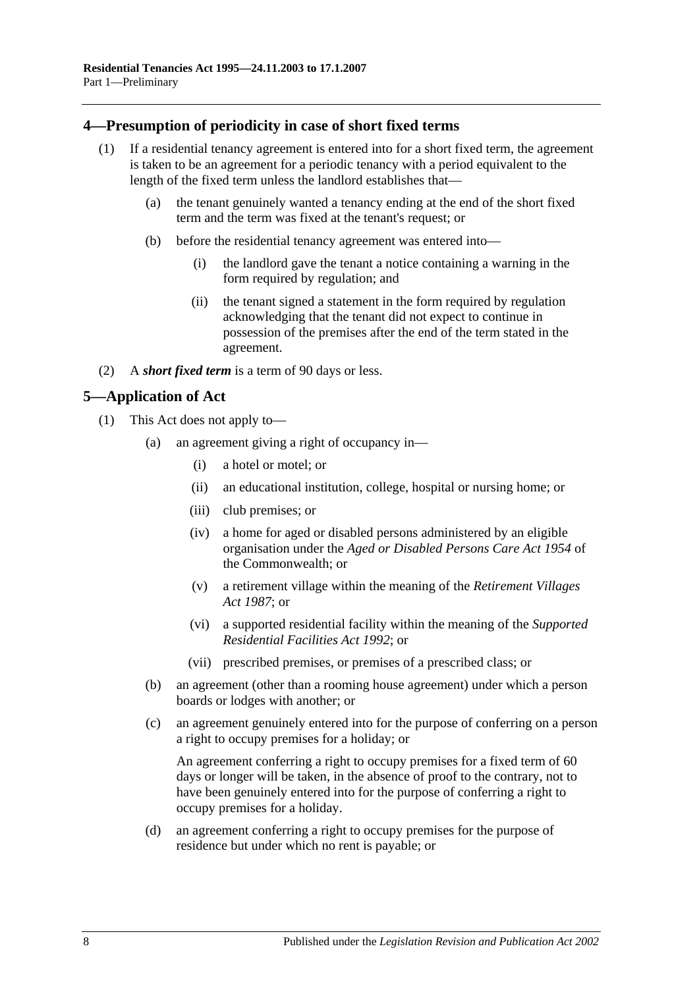## <span id="page-7-0"></span>**4—Presumption of periodicity in case of short fixed terms**

- (1) If a residential tenancy agreement is entered into for a short fixed term, the agreement is taken to be an agreement for a periodic tenancy with a period equivalent to the length of the fixed term unless the landlord establishes that—
	- (a) the tenant genuinely wanted a tenancy ending at the end of the short fixed term and the term was fixed at the tenant's request; or
	- (b) before the residential tenancy agreement was entered into—
		- (i) the landlord gave the tenant a notice containing a warning in the form required by regulation; and
		- (ii) the tenant signed a statement in the form required by regulation acknowledging that the tenant did not expect to continue in possession of the premises after the end of the term stated in the agreement.
- (2) A *short fixed term* is a term of 90 days or less.

## <span id="page-7-1"></span>**5—Application of Act**

- (1) This Act does not apply to—
	- (a) an agreement giving a right of occupancy in—
		- (i) a hotel or motel; or
		- (ii) an educational institution, college, hospital or nursing home; or
		- (iii) club premises; or
		- (iv) a home for aged or disabled persons administered by an eligible organisation under the *Aged or Disabled Persons Care Act 1954* of the Commonwealth; or
		- (v) a retirement village within the meaning of the *[Retirement Villages](http://www.legislation.sa.gov.au/index.aspx?action=legref&type=act&legtitle=Retirement%20Villages%20Act%201987)  Act [1987](http://www.legislation.sa.gov.au/index.aspx?action=legref&type=act&legtitle=Retirement%20Villages%20Act%201987)*; or
		- (vi) a supported residential facility within the meaning of the *[Supported](http://www.legislation.sa.gov.au/index.aspx?action=legref&type=act&legtitle=Supported%20Residential%20Facilities%20Act%201992)  [Residential Facilities Act](http://www.legislation.sa.gov.au/index.aspx?action=legref&type=act&legtitle=Supported%20Residential%20Facilities%20Act%201992) 1992*; or
		- (vii) prescribed premises, or premises of a prescribed class; or
	- (b) an agreement (other than a rooming house agreement) under which a person boards or lodges with another; or
	- (c) an agreement genuinely entered into for the purpose of conferring on a person a right to occupy premises for a holiday; or

An agreement conferring a right to occupy premises for a fixed term of 60 days or longer will be taken, in the absence of proof to the contrary, not to have been genuinely entered into for the purpose of conferring a right to occupy premises for a holiday.

(d) an agreement conferring a right to occupy premises for the purpose of residence but under which no rent is payable; or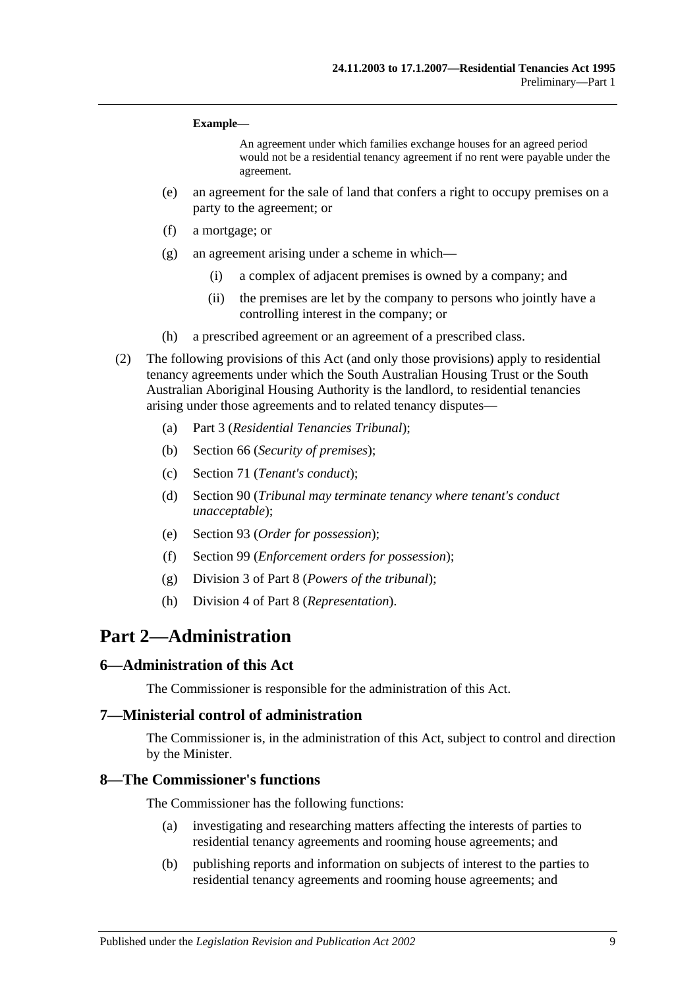#### **Example—**

An agreement under which families exchange houses for an agreed period would not be a residential tenancy agreement if no rent were payable under the agreement.

- (e) an agreement for the sale of land that confers a right to occupy premises on a party to the agreement; or
- (f) a mortgage; or
- (g) an agreement arising under a scheme in which—
	- (i) a complex of adjacent premises is owned by a company; and
	- (ii) the premises are let by the company to persons who jointly have a controlling interest in the company; or
- (h) a prescribed agreement or an agreement of a prescribed class.
- (2) The following provisions of this Act (and only those provisions) apply to residential tenancy agreements under which the South Australian Housing Trust or the South Australian Aboriginal Housing Authority is the landlord, to residential tenancies arising under those agreements and to related tenancy disputes—
	- (a) [Part 3](#page-9-2) (*Residential Tenancies Tribunal*);
	- (b) [Section](#page-27-4) 66 (*Security of premises*);
	- (c) [Section](#page-30-1) 71 (*Tenant's conduct*);
	- (d) [Section](#page-38-1) 90 (*Tribunal may terminate tenancy where tenant's conduct unacceptable*);
	- (e) [Section](#page-39-4) 93 (*Order for possession*);
	- (f) [Section](#page-42-2) 99 (*Enforcement orders for possession*);
	- (g) [Division 3](#page-45-4) of [Part 8](#page-44-6) (*Powers of the tribunal*);
	- (h) [Division 4](#page-46-2) of [Part 8](#page-44-6) (*Representation*).

## <span id="page-8-0"></span>**Part 2—Administration**

#### <span id="page-8-1"></span>**6—Administration of this Act**

The Commissioner is responsible for the administration of this Act.

#### <span id="page-8-2"></span>**7—Ministerial control of administration**

The Commissioner is, in the administration of this Act, subject to control and direction by the Minister.

#### <span id="page-8-3"></span>**8—The Commissioner's functions**

The Commissioner has the following functions:

- (a) investigating and researching matters affecting the interests of parties to residential tenancy agreements and rooming house agreements; and
- (b) publishing reports and information on subjects of interest to the parties to residential tenancy agreements and rooming house agreements; and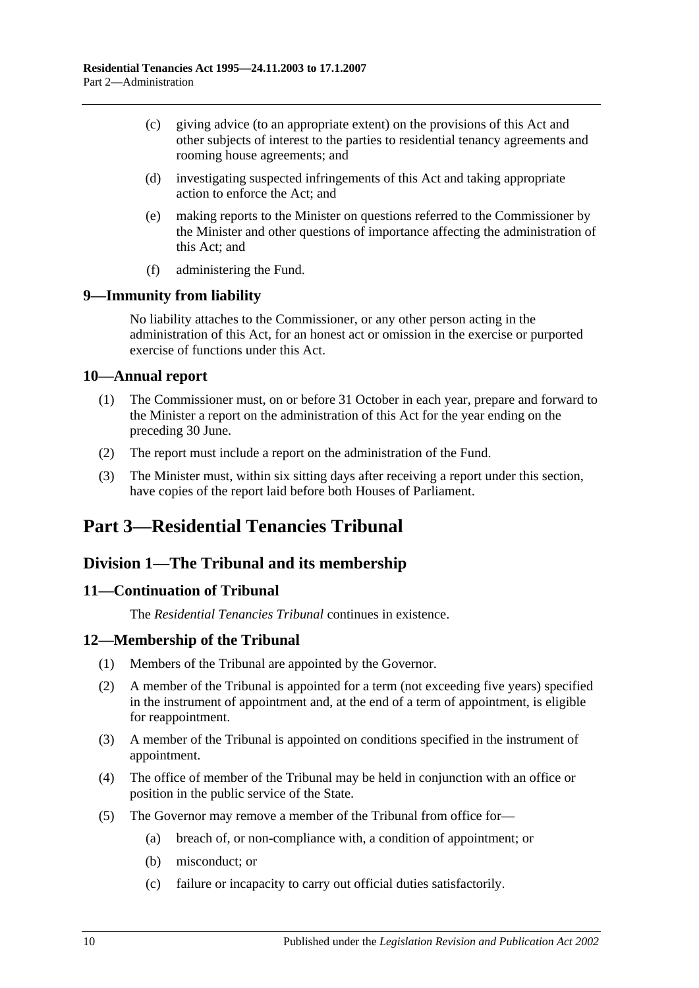- (c) giving advice (to an appropriate extent) on the provisions of this Act and other subjects of interest to the parties to residential tenancy agreements and rooming house agreements; and
- (d) investigating suspected infringements of this Act and taking appropriate action to enforce the Act; and
- (e) making reports to the Minister on questions referred to the Commissioner by the Minister and other questions of importance affecting the administration of this Act; and
- (f) administering the Fund.

## <span id="page-9-0"></span>**9—Immunity from liability**

No liability attaches to the Commissioner, or any other person acting in the administration of this Act, for an honest act or omission in the exercise or purported exercise of functions under this Act.

## <span id="page-9-1"></span>**10—Annual report**

- (1) The Commissioner must, on or before 31 October in each year, prepare and forward to the Minister a report on the administration of this Act for the year ending on the preceding 30 June.
- (2) The report must include a report on the administration of the Fund.
- (3) The Minister must, within six sitting days after receiving a report under this section, have copies of the report laid before both Houses of Parliament.

# <span id="page-9-2"></span>**Part 3—Residential Tenancies Tribunal**

## <span id="page-9-3"></span>**Division 1—The Tribunal and its membership**

## <span id="page-9-4"></span>**11—Continuation of Tribunal**

The *Residential Tenancies Tribunal* continues in existence.

## <span id="page-9-5"></span>**12—Membership of the Tribunal**

- (1) Members of the Tribunal are appointed by the Governor.
- (2) A member of the Tribunal is appointed for a term (not exceeding five years) specified in the instrument of appointment and, at the end of a term of appointment, is eligible for reappointment.
- (3) A member of the Tribunal is appointed on conditions specified in the instrument of appointment.
- (4) The office of member of the Tribunal may be held in conjunction with an office or position in the public service of the State.
- <span id="page-9-6"></span>(5) The Governor may remove a member of the Tribunal from office for—
	- (a) breach of, or non-compliance with, a condition of appointment; or
	- (b) misconduct; or
	- (c) failure or incapacity to carry out official duties satisfactorily.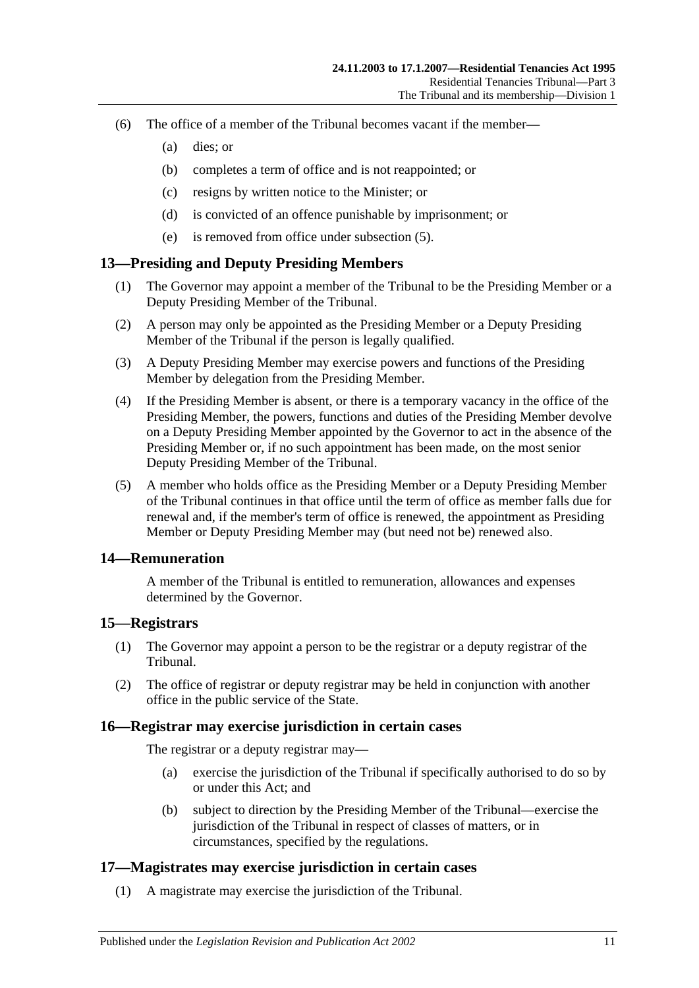- (6) The office of a member of the Tribunal becomes vacant if the member—
	- (a) dies; or
	- (b) completes a term of office and is not reappointed; or
	- (c) resigns by written notice to the Minister; or
	- (d) is convicted of an offence punishable by imprisonment; or
	- (e) is removed from office under [subsection](#page-9-6) (5).

### <span id="page-10-0"></span>**13—Presiding and Deputy Presiding Members**

- (1) The Governor may appoint a member of the Tribunal to be the Presiding Member or a Deputy Presiding Member of the Tribunal.
- (2) A person may only be appointed as the Presiding Member or a Deputy Presiding Member of the Tribunal if the person is legally qualified.
- (3) A Deputy Presiding Member may exercise powers and functions of the Presiding Member by delegation from the Presiding Member.
- (4) If the Presiding Member is absent, or there is a temporary vacancy in the office of the Presiding Member, the powers, functions and duties of the Presiding Member devolve on a Deputy Presiding Member appointed by the Governor to act in the absence of the Presiding Member or, if no such appointment has been made, on the most senior Deputy Presiding Member of the Tribunal.
- (5) A member who holds office as the Presiding Member or a Deputy Presiding Member of the Tribunal continues in that office until the term of office as member falls due for renewal and, if the member's term of office is renewed, the appointment as Presiding Member or Deputy Presiding Member may (but need not be) renewed also.

### <span id="page-10-1"></span>**14—Remuneration**

A member of the Tribunal is entitled to remuneration, allowances and expenses determined by the Governor.

### <span id="page-10-2"></span>**15—Registrars**

- (1) The Governor may appoint a person to be the registrar or a deputy registrar of the Tribunal.
- (2) The office of registrar or deputy registrar may be held in conjunction with another office in the public service of the State.

#### <span id="page-10-3"></span>**16—Registrar may exercise jurisdiction in certain cases**

The registrar or a deputy registrar may—

- (a) exercise the jurisdiction of the Tribunal if specifically authorised to do so by or under this Act; and
- (b) subject to direction by the Presiding Member of the Tribunal—exercise the jurisdiction of the Tribunal in respect of classes of matters, or in circumstances, specified by the regulations.

### <span id="page-10-4"></span>**17—Magistrates may exercise jurisdiction in certain cases**

(1) A magistrate may exercise the jurisdiction of the Tribunal.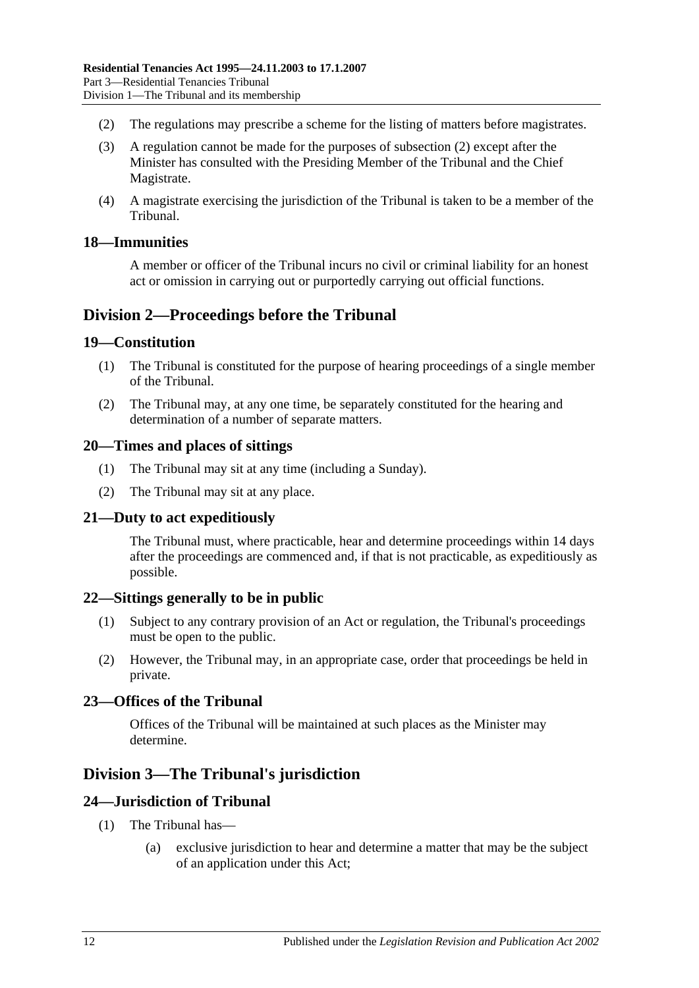- <span id="page-11-9"></span>(2) The regulations may prescribe a scheme for the listing of matters before magistrates.
- (3) A regulation cannot be made for the purposes of [subsection](#page-11-9) (2) except after the Minister has consulted with the Presiding Member of the Tribunal and the Chief Magistrate.
- (4) A magistrate exercising the jurisdiction of the Tribunal is taken to be a member of the Tribunal.

### <span id="page-11-0"></span>**18—Immunities**

A member or officer of the Tribunal incurs no civil or criminal liability for an honest act or omission in carrying out or purportedly carrying out official functions.

## <span id="page-11-1"></span>**Division 2—Proceedings before the Tribunal**

### <span id="page-11-2"></span>**19—Constitution**

- (1) The Tribunal is constituted for the purpose of hearing proceedings of a single member of the Tribunal.
- (2) The Tribunal may, at any one time, be separately constituted for the hearing and determination of a number of separate matters.

### <span id="page-11-3"></span>**20—Times and places of sittings**

- (1) The Tribunal may sit at any time (including a Sunday).
- (2) The Tribunal may sit at any place.

## <span id="page-11-4"></span>**21—Duty to act expeditiously**

The Tribunal must, where practicable, hear and determine proceedings within 14 days after the proceedings are commenced and, if that is not practicable, as expeditiously as possible.

#### <span id="page-11-5"></span>**22—Sittings generally to be in public**

- (1) Subject to any contrary provision of an Act or regulation, the Tribunal's proceedings must be open to the public.
- (2) However, the Tribunal may, in an appropriate case, order that proceedings be held in private.

## <span id="page-11-6"></span>**23—Offices of the Tribunal**

Offices of the Tribunal will be maintained at such places as the Minister may determine.

## <span id="page-11-7"></span>**Division 3—The Tribunal's jurisdiction**

#### <span id="page-11-8"></span>**24—Jurisdiction of Tribunal**

- (1) The Tribunal has—
	- (a) exclusive jurisdiction to hear and determine a matter that may be the subject of an application under this Act;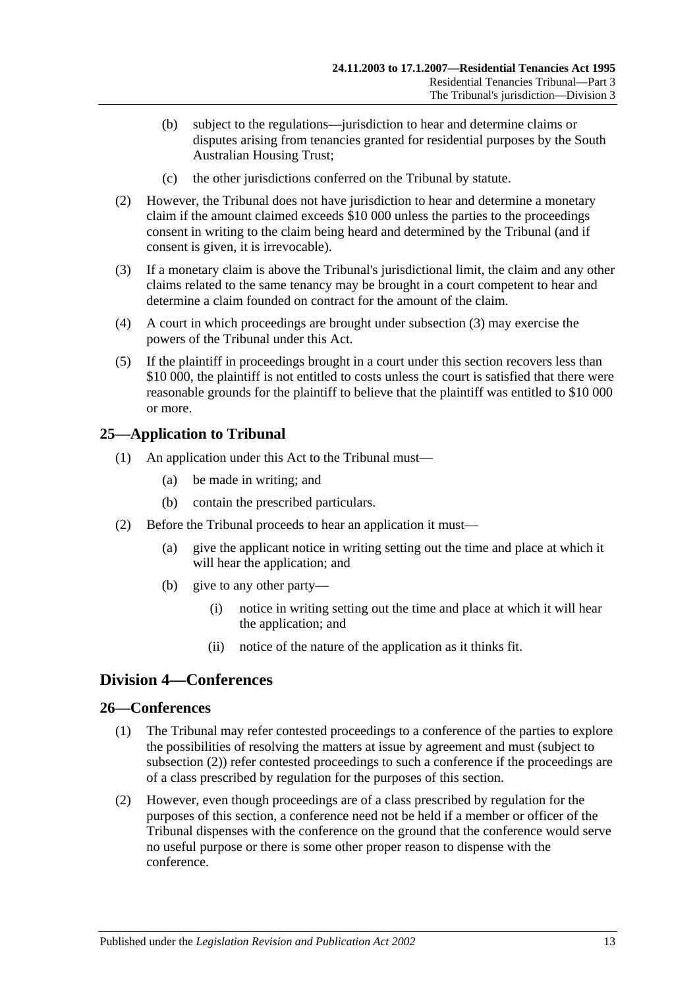- (b) subject to the regulations—jurisdiction to hear and determine claims or disputes arising from tenancies granted for residential purposes by the South Australian Housing Trust;
- (c) the other jurisdictions conferred on the Tribunal by statute.
- (2) However, the Tribunal does not have jurisdiction to hear and determine a monetary claim if the amount claimed exceeds \$10 000 unless the parties to the proceedings consent in writing to the claim being heard and determined by the Tribunal (and if consent is given, it is irrevocable).
- <span id="page-12-3"></span>(3) If a monetary claim is above the Tribunal's jurisdictional limit, the claim and any other claims related to the same tenancy may be brought in a court competent to hear and determine a claim founded on contract for the amount of the claim.
- (4) A court in which proceedings are brought under [subsection](#page-12-3) (3) may exercise the powers of the Tribunal under this Act.
- (5) If the plaintiff in proceedings brought in a court under this section recovers less than \$10 000, the plaintiff is not entitled to costs unless the court is satisfied that there were reasonable grounds for the plaintiff to believe that the plaintiff was entitled to \$10 000 or more.

## <span id="page-12-0"></span>**25—Application to Tribunal**

- (1) An application under this Act to the Tribunal must—
	- (a) be made in writing; and
	- (b) contain the prescribed particulars.
- (2) Before the Tribunal proceeds to hear an application it must—
	- (a) give the applicant notice in writing setting out the time and place at which it will hear the application; and
	- (b) give to any other party—
		- (i) notice in writing setting out the time and place at which it will hear the application; and
		- (ii) notice of the nature of the application as it thinks fit.

## <span id="page-12-1"></span>**Division 4—Conferences**

## <span id="page-12-2"></span>**26—Conferences**

- (1) The Tribunal may refer contested proceedings to a conference of the parties to explore the possibilities of resolving the matters at issue by agreement and must (subject to [subsection](#page-12-4) (2)) refer contested proceedings to such a conference if the proceedings are of a class prescribed by regulation for the purposes of this section.
- <span id="page-12-4"></span>(2) However, even though proceedings are of a class prescribed by regulation for the purposes of this section, a conference need not be held if a member or officer of the Tribunal dispenses with the conference on the ground that the conference would serve no useful purpose or there is some other proper reason to dispense with the conference.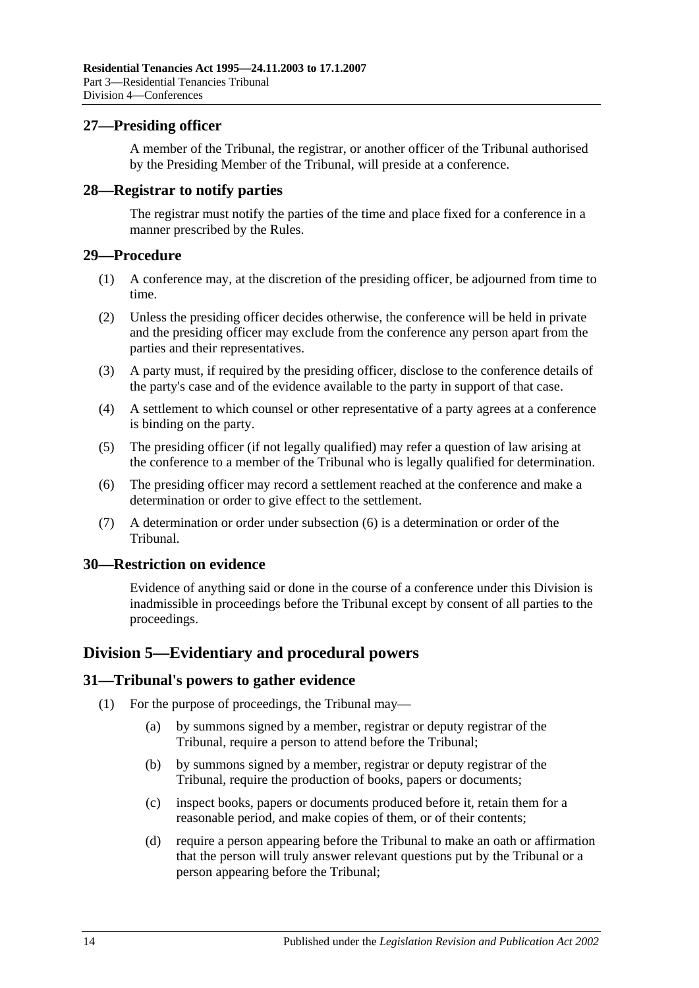## <span id="page-13-0"></span>**27—Presiding officer**

A member of the Tribunal, the registrar, or another officer of the Tribunal authorised by the Presiding Member of the Tribunal, will preside at a conference.

### <span id="page-13-1"></span>**28—Registrar to notify parties**

The registrar must notify the parties of the time and place fixed for a conference in a manner prescribed by the Rules.

#### <span id="page-13-2"></span>**29—Procedure**

- (1) A conference may, at the discretion of the presiding officer, be adjourned from time to time.
- (2) Unless the presiding officer decides otherwise, the conference will be held in private and the presiding officer may exclude from the conference any person apart from the parties and their representatives.
- (3) A party must, if required by the presiding officer, disclose to the conference details of the party's case and of the evidence available to the party in support of that case.
- (4) A settlement to which counsel or other representative of a party agrees at a conference is binding on the party.
- (5) The presiding officer (if not legally qualified) may refer a question of law arising at the conference to a member of the Tribunal who is legally qualified for determination.
- <span id="page-13-6"></span>(6) The presiding officer may record a settlement reached at the conference and make a determination or order to give effect to the settlement.
- (7) A determination or order under [subsection](#page-13-6) (6) is a determination or order of the Tribunal.

#### <span id="page-13-3"></span>**30—Restriction on evidence**

Evidence of anything said or done in the course of a conference under this Division is inadmissible in proceedings before the Tribunal except by consent of all parties to the proceedings.

## <span id="page-13-4"></span>**Division 5—Evidentiary and procedural powers**

#### <span id="page-13-7"></span><span id="page-13-5"></span>**31—Tribunal's powers to gather evidence**

- (1) For the purpose of proceedings, the Tribunal may—
	- (a) by summons signed by a member, registrar or deputy registrar of the Tribunal, require a person to attend before the Tribunal;
	- (b) by summons signed by a member, registrar or deputy registrar of the Tribunal, require the production of books, papers or documents;
	- (c) inspect books, papers or documents produced before it, retain them for a reasonable period, and make copies of them, or of their contents;
	- (d) require a person appearing before the Tribunal to make an oath or affirmation that the person will truly answer relevant questions put by the Tribunal or a person appearing before the Tribunal;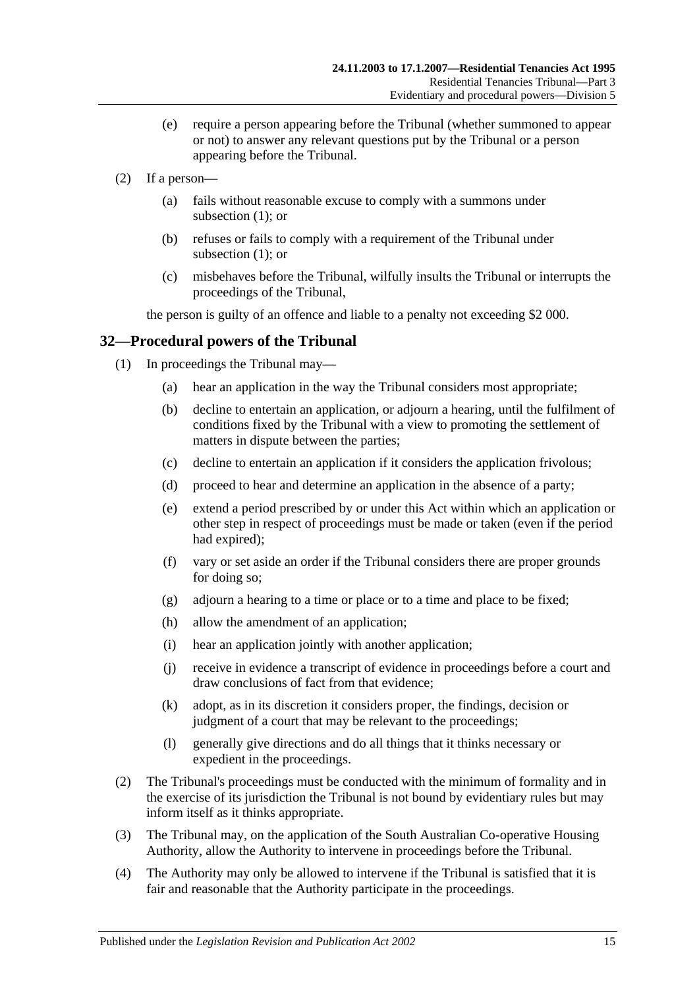- (e) require a person appearing before the Tribunal (whether summoned to appear or not) to answer any relevant questions put by the Tribunal or a person appearing before the Tribunal.
- (2) If a person—
	- (a) fails without reasonable excuse to comply with a summons under [subsection](#page-13-7)  $(1)$ ; or
	- (b) refuses or fails to comply with a requirement of the Tribunal under [subsection](#page-13-7) (1); or
	- (c) misbehaves before the Tribunal, wilfully insults the Tribunal or interrupts the proceedings of the Tribunal,

the person is guilty of an offence and liable to a penalty not exceeding \$2 000.

## <span id="page-14-0"></span>**32—Procedural powers of the Tribunal**

- (1) In proceedings the Tribunal may—
	- (a) hear an application in the way the Tribunal considers most appropriate;
	- (b) decline to entertain an application, or adjourn a hearing, until the fulfilment of conditions fixed by the Tribunal with a view to promoting the settlement of matters in dispute between the parties;
	- (c) decline to entertain an application if it considers the application frivolous;
	- (d) proceed to hear and determine an application in the absence of a party;
	- (e) extend a period prescribed by or under this Act within which an application or other step in respect of proceedings must be made or taken (even if the period had expired);
	- (f) vary or set aside an order if the Tribunal considers there are proper grounds for doing so;
	- (g) adjourn a hearing to a time or place or to a time and place to be fixed;
	- (h) allow the amendment of an application;
	- (i) hear an application jointly with another application;
	- (j) receive in evidence a transcript of evidence in proceedings before a court and draw conclusions of fact from that evidence;
	- (k) adopt, as in its discretion it considers proper, the findings, decision or judgment of a court that may be relevant to the proceedings;
	- (l) generally give directions and do all things that it thinks necessary or expedient in the proceedings.
- (2) The Tribunal's proceedings must be conducted with the minimum of formality and in the exercise of its jurisdiction the Tribunal is not bound by evidentiary rules but may inform itself as it thinks appropriate.
- (3) The Tribunal may, on the application of the South Australian Co-operative Housing Authority, allow the Authority to intervene in proceedings before the Tribunal.
- (4) The Authority may only be allowed to intervene if the Tribunal is satisfied that it is fair and reasonable that the Authority participate in the proceedings.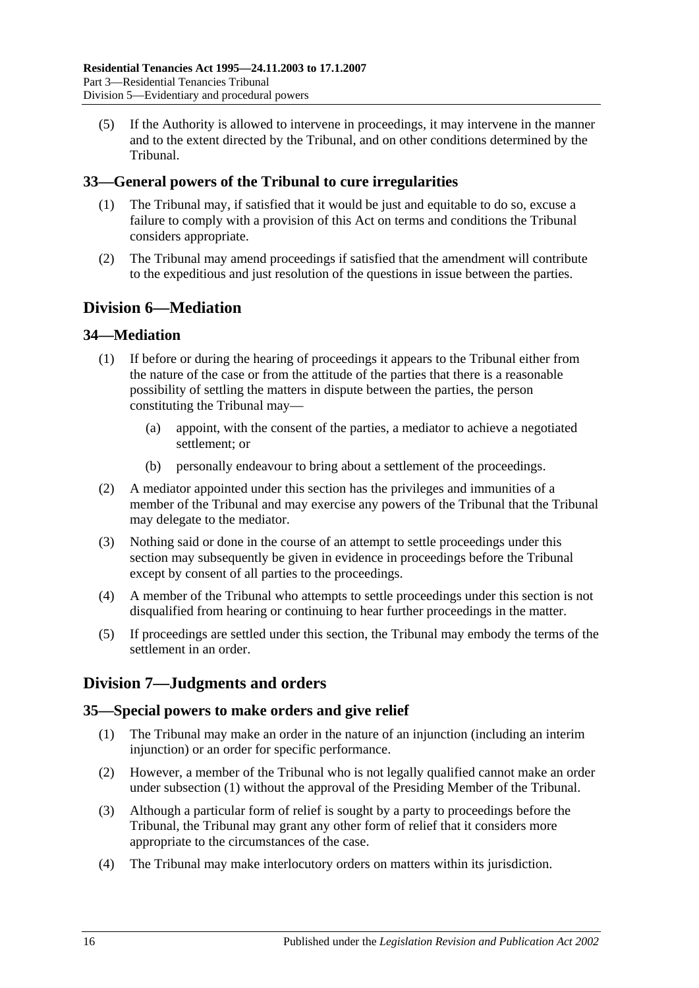(5) If the Authority is allowed to intervene in proceedings, it may intervene in the manner and to the extent directed by the Tribunal, and on other conditions determined by the Tribunal.

## <span id="page-15-0"></span>**33—General powers of the Tribunal to cure irregularities**

- (1) The Tribunal may, if satisfied that it would be just and equitable to do so, excuse a failure to comply with a provision of this Act on terms and conditions the Tribunal considers appropriate.
- (2) The Tribunal may amend proceedings if satisfied that the amendment will contribute to the expeditious and just resolution of the questions in issue between the parties.

## <span id="page-15-1"></span>**Division 6—Mediation**

## <span id="page-15-2"></span>**34—Mediation**

- (1) If before or during the hearing of proceedings it appears to the Tribunal either from the nature of the case or from the attitude of the parties that there is a reasonable possibility of settling the matters in dispute between the parties, the person constituting the Tribunal may—
	- (a) appoint, with the consent of the parties, a mediator to achieve a negotiated settlement; or
	- (b) personally endeavour to bring about a settlement of the proceedings.
- (2) A mediator appointed under this section has the privileges and immunities of a member of the Tribunal and may exercise any powers of the Tribunal that the Tribunal may delegate to the mediator.
- (3) Nothing said or done in the course of an attempt to settle proceedings under this section may subsequently be given in evidence in proceedings before the Tribunal except by consent of all parties to the proceedings.
- (4) A member of the Tribunal who attempts to settle proceedings under this section is not disqualified from hearing or continuing to hear further proceedings in the matter.
- (5) If proceedings are settled under this section, the Tribunal may embody the terms of the settlement in an order.

## <span id="page-15-3"></span>**Division 7—Judgments and orders**

## <span id="page-15-5"></span><span id="page-15-4"></span>**35—Special powers to make orders and give relief**

- (1) The Tribunal may make an order in the nature of an injunction (including an interim injunction) or an order for specific performance.
- (2) However, a member of the Tribunal who is not legally qualified cannot make an order under [subsection](#page-15-5) (1) without the approval of the Presiding Member of the Tribunal.
- (3) Although a particular form of relief is sought by a party to proceedings before the Tribunal, the Tribunal may grant any other form of relief that it considers more appropriate to the circumstances of the case.
- (4) The Tribunal may make interlocutory orders on matters within its jurisdiction.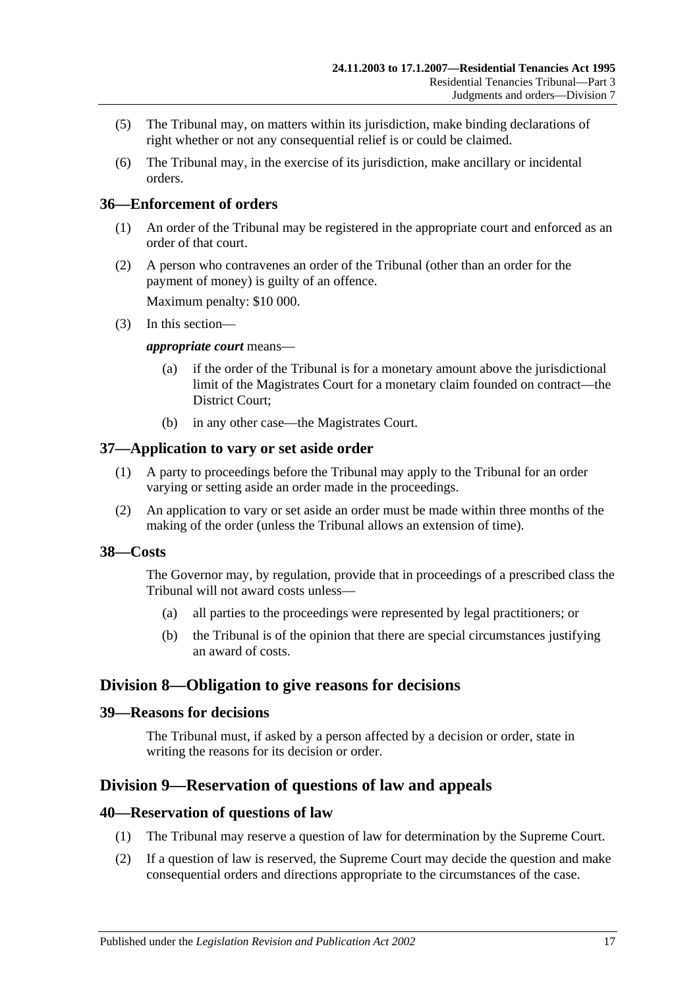- (5) The Tribunal may, on matters within its jurisdiction, make binding declarations of right whether or not any consequential relief is or could be claimed.
- (6) The Tribunal may, in the exercise of its jurisdiction, make ancillary or incidental orders.

## <span id="page-16-0"></span>**36—Enforcement of orders**

- (1) An order of the Tribunal may be registered in the appropriate court and enforced as an order of that court.
- (2) A person who contravenes an order of the Tribunal (other than an order for the payment of money) is guilty of an offence.

Maximum penalty: \$10 000.

(3) In this section—

#### *appropriate court* means—

- (a) if the order of the Tribunal is for a monetary amount above the jurisdictional limit of the Magistrates Court for a monetary claim founded on contract—the District Court;
- (b) in any other case—the Magistrates Court.

### <span id="page-16-1"></span>**37—Application to vary or set aside order**

- (1) A party to proceedings before the Tribunal may apply to the Tribunal for an order varying or setting aside an order made in the proceedings.
- (2) An application to vary or set aside an order must be made within three months of the making of the order (unless the Tribunal allows an extension of time).

#### <span id="page-16-2"></span>**38—Costs**

The Governor may, by regulation, provide that in proceedings of a prescribed class the Tribunal will not award costs unless—

- (a) all parties to the proceedings were represented by legal practitioners; or
- (b) the Tribunal is of the opinion that there are special circumstances justifying an award of costs.

## <span id="page-16-3"></span>**Division 8—Obligation to give reasons for decisions**

### <span id="page-16-4"></span>**39—Reasons for decisions**

The Tribunal must, if asked by a person affected by a decision or order, state in writing the reasons for its decision or order.

## <span id="page-16-5"></span>**Division 9—Reservation of questions of law and appeals**

#### <span id="page-16-6"></span>**40—Reservation of questions of law**

- (1) The Tribunal may reserve a question of law for determination by the Supreme Court.
- (2) If a question of law is reserved, the Supreme Court may decide the question and make consequential orders and directions appropriate to the circumstances of the case.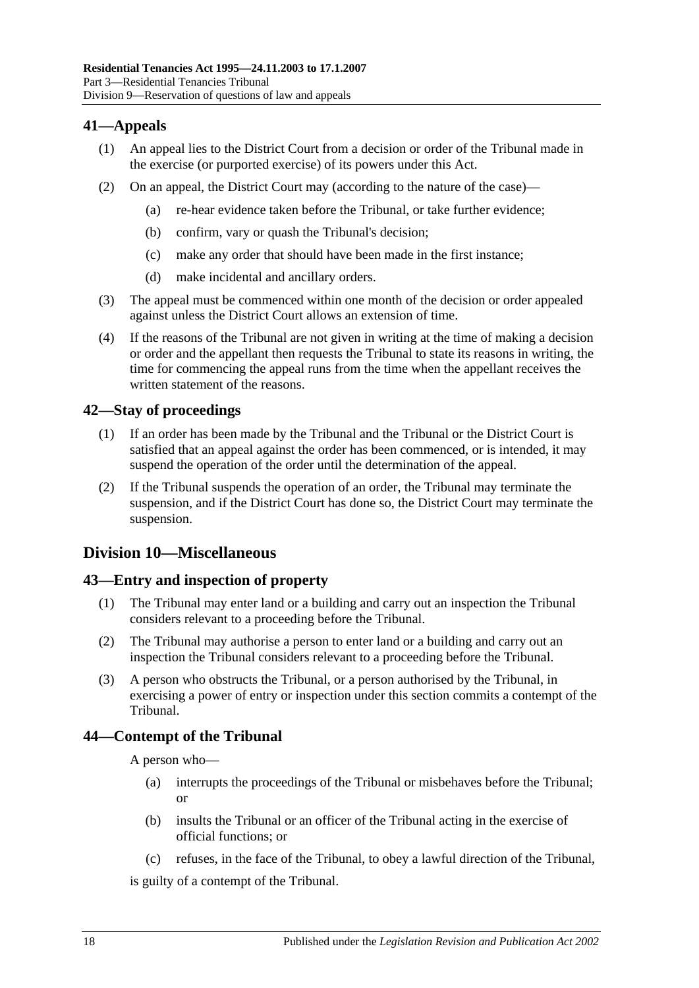## <span id="page-17-0"></span>**41—Appeals**

- (1) An appeal lies to the District Court from a decision or order of the Tribunal made in the exercise (or purported exercise) of its powers under this Act.
- (2) On an appeal, the District Court may (according to the nature of the case)—
	- (a) re-hear evidence taken before the Tribunal, or take further evidence;
	- (b) confirm, vary or quash the Tribunal's decision;
	- (c) make any order that should have been made in the first instance;
	- (d) make incidental and ancillary orders.
- (3) The appeal must be commenced within one month of the decision or order appealed against unless the District Court allows an extension of time.
- (4) If the reasons of the Tribunal are not given in writing at the time of making a decision or order and the appellant then requests the Tribunal to state its reasons in writing, the time for commencing the appeal runs from the time when the appellant receives the written statement of the reasons.

## <span id="page-17-1"></span>**42—Stay of proceedings**

- (1) If an order has been made by the Tribunal and the Tribunal or the District Court is satisfied that an appeal against the order has been commenced, or is intended, it may suspend the operation of the order until the determination of the appeal.
- (2) If the Tribunal suspends the operation of an order, the Tribunal may terminate the suspension, and if the District Court has done so, the District Court may terminate the suspension.

## <span id="page-17-2"></span>**Division 10—Miscellaneous**

## <span id="page-17-3"></span>**43—Entry and inspection of property**

- (1) The Tribunal may enter land or a building and carry out an inspection the Tribunal considers relevant to a proceeding before the Tribunal.
- (2) The Tribunal may authorise a person to enter land or a building and carry out an inspection the Tribunal considers relevant to a proceeding before the Tribunal.
- (3) A person who obstructs the Tribunal, or a person authorised by the Tribunal, in exercising a power of entry or inspection under this section commits a contempt of the Tribunal.

## <span id="page-17-4"></span>**44—Contempt of the Tribunal**

A person who—

- (a) interrupts the proceedings of the Tribunal or misbehaves before the Tribunal; or
- (b) insults the Tribunal or an officer of the Tribunal acting in the exercise of official functions; or
- (c) refuses, in the face of the Tribunal, to obey a lawful direction of the Tribunal,

is guilty of a contempt of the Tribunal.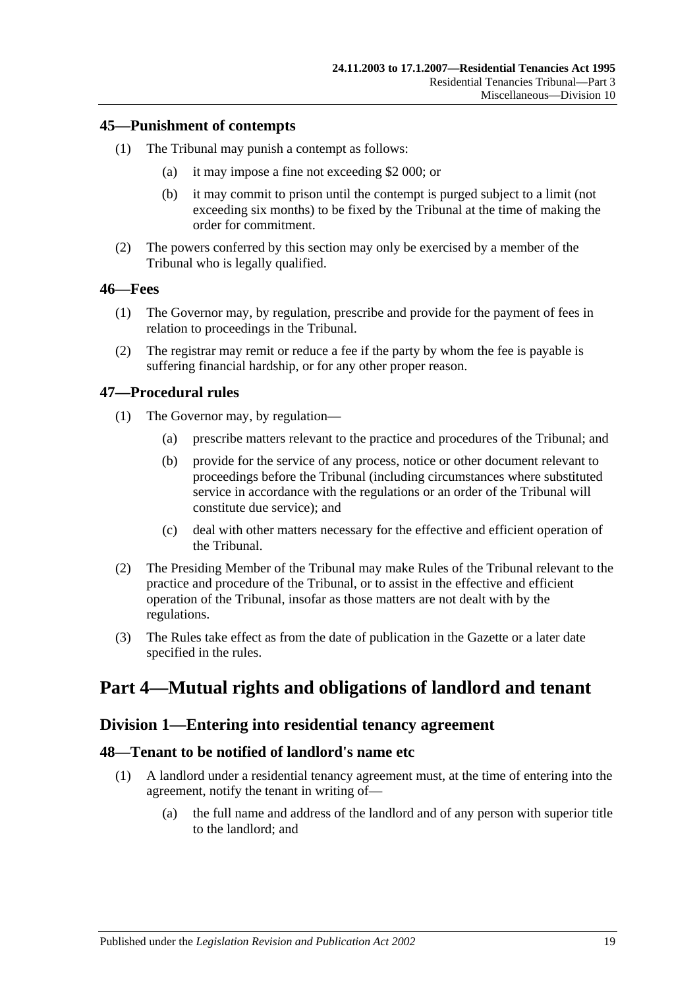### <span id="page-18-0"></span>**45—Punishment of contempts**

- (1) The Tribunal may punish a contempt as follows:
	- (a) it may impose a fine not exceeding \$2 000; or
	- (b) it may commit to prison until the contempt is purged subject to a limit (not exceeding six months) to be fixed by the Tribunal at the time of making the order for commitment.
- (2) The powers conferred by this section may only be exercised by a member of the Tribunal who is legally qualified.

#### <span id="page-18-1"></span>**46—Fees**

- (1) The Governor may, by regulation, prescribe and provide for the payment of fees in relation to proceedings in the Tribunal.
- (2) The registrar may remit or reduce a fee if the party by whom the fee is payable is suffering financial hardship, or for any other proper reason.

### <span id="page-18-2"></span>**47—Procedural rules**

- (1) The Governor may, by regulation—
	- (a) prescribe matters relevant to the practice and procedures of the Tribunal; and
	- (b) provide for the service of any process, notice or other document relevant to proceedings before the Tribunal (including circumstances where substituted service in accordance with the regulations or an order of the Tribunal will constitute due service); and
	- (c) deal with other matters necessary for the effective and efficient operation of the Tribunal.
- (2) The Presiding Member of the Tribunal may make Rules of the Tribunal relevant to the practice and procedure of the Tribunal, or to assist in the effective and efficient operation of the Tribunal, insofar as those matters are not dealt with by the regulations.
- (3) The Rules take effect as from the date of publication in the Gazette or a later date specified in the rules.

# <span id="page-18-4"></span><span id="page-18-3"></span>**Part 4—Mutual rights and obligations of landlord and tenant**

## **Division 1—Entering into residential tenancy agreement**

### <span id="page-18-5"></span>**48—Tenant to be notified of landlord's name etc**

- (1) A landlord under a residential tenancy agreement must, at the time of entering into the agreement, notify the tenant in writing of—
	- (a) the full name and address of the landlord and of any person with superior title to the landlord; and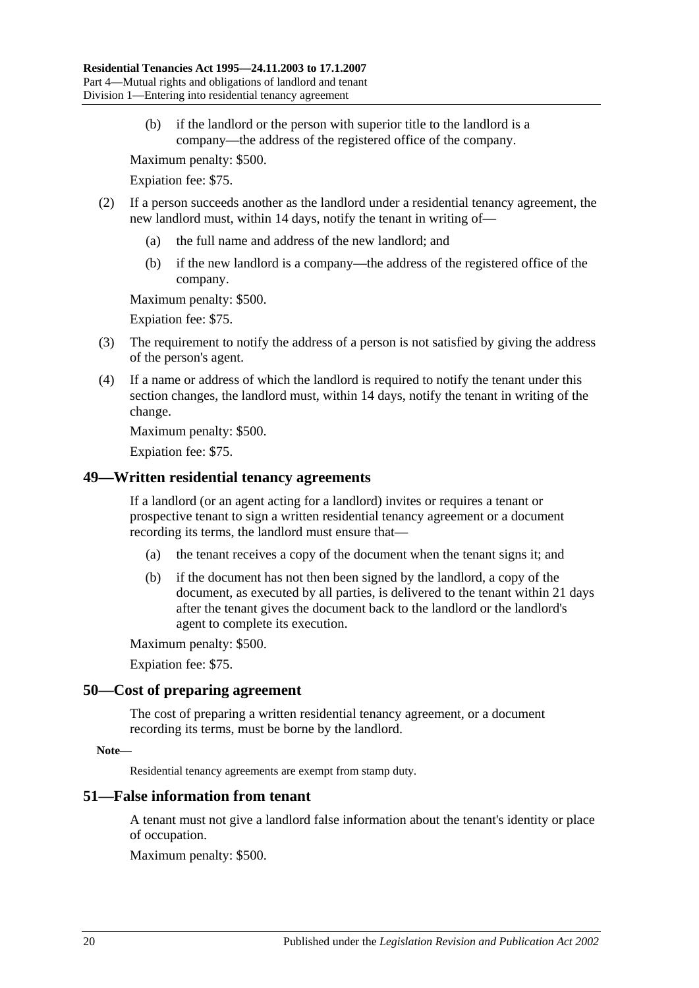(b) if the landlord or the person with superior title to the landlord is a company—the address of the registered office of the company.

Maximum penalty: \$500.

Expiation fee: \$75.

- (2) If a person succeeds another as the landlord under a residential tenancy agreement, the new landlord must, within 14 days, notify the tenant in writing of—
	- (a) the full name and address of the new landlord; and
	- (b) if the new landlord is a company—the address of the registered office of the company.

Maximum penalty: \$500.

Expiation fee: \$75.

- (3) The requirement to notify the address of a person is not satisfied by giving the address of the person's agent.
- (4) If a name or address of which the landlord is required to notify the tenant under this section changes, the landlord must, within 14 days, notify the tenant in writing of the change.

Maximum penalty: \$500.

Expiation fee: \$75.

### <span id="page-19-0"></span>**49—Written residential tenancy agreements**

If a landlord (or an agent acting for a landlord) invites or requires a tenant or prospective tenant to sign a written residential tenancy agreement or a document recording its terms, the landlord must ensure that—

- (a) the tenant receives a copy of the document when the tenant signs it; and
- (b) if the document has not then been signed by the landlord, a copy of the document, as executed by all parties, is delivered to the tenant within 21 days after the tenant gives the document back to the landlord or the landlord's agent to complete its execution.

Maximum penalty: \$500.

Expiation fee: \$75.

#### <span id="page-19-1"></span>**50—Cost of preparing agreement**

The cost of preparing a written residential tenancy agreement, or a document recording its terms, must be borne by the landlord.

#### **Note—**

Residential tenancy agreements are exempt from stamp duty.

#### <span id="page-19-2"></span>**51—False information from tenant**

A tenant must not give a landlord false information about the tenant's identity or place of occupation.

Maximum penalty: \$500.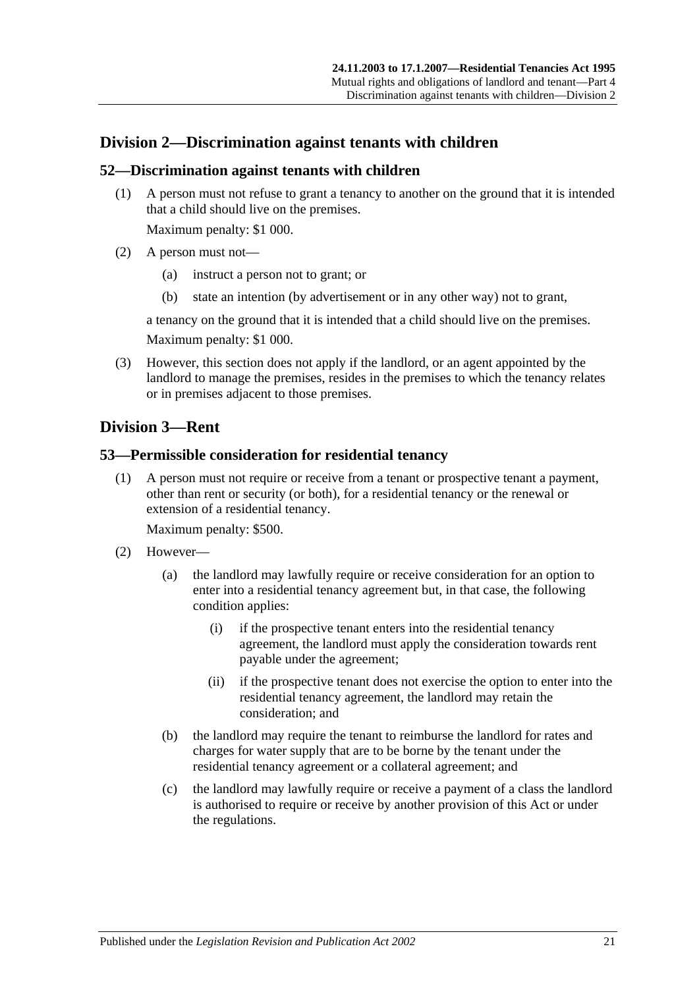## <span id="page-20-0"></span>**Division 2—Discrimination against tenants with children**

### <span id="page-20-1"></span>**52—Discrimination against tenants with children**

(1) A person must not refuse to grant a tenancy to another on the ground that it is intended that a child should live on the premises.

Maximum penalty: \$1 000.

- (2) A person must not—
	- (a) instruct a person not to grant; or
	- (b) state an intention (by advertisement or in any other way) not to grant,

a tenancy on the ground that it is intended that a child should live on the premises.

Maximum penalty: \$1 000.

(3) However, this section does not apply if the landlord, or an agent appointed by the landlord to manage the premises, resides in the premises to which the tenancy relates or in premises adjacent to those premises.

## <span id="page-20-2"></span>**Division 3—Rent**

## <span id="page-20-3"></span>**53—Permissible consideration for residential tenancy**

(1) A person must not require or receive from a tenant or prospective tenant a payment, other than rent or security (or both), for a residential tenancy or the renewal or extension of a residential tenancy.

Maximum penalty: \$500.

- (2) However—
	- (a) the landlord may lawfully require or receive consideration for an option to enter into a residential tenancy agreement but, in that case, the following condition applies:
		- (i) if the prospective tenant enters into the residential tenancy agreement, the landlord must apply the consideration towards rent payable under the agreement;
		- (ii) if the prospective tenant does not exercise the option to enter into the residential tenancy agreement, the landlord may retain the consideration; and
	- (b) the landlord may require the tenant to reimburse the landlord for rates and charges for water supply that are to be borne by the tenant under the residential tenancy agreement or a collateral agreement; and
	- (c) the landlord may lawfully require or receive a payment of a class the landlord is authorised to require or receive by another provision of this Act or under the regulations.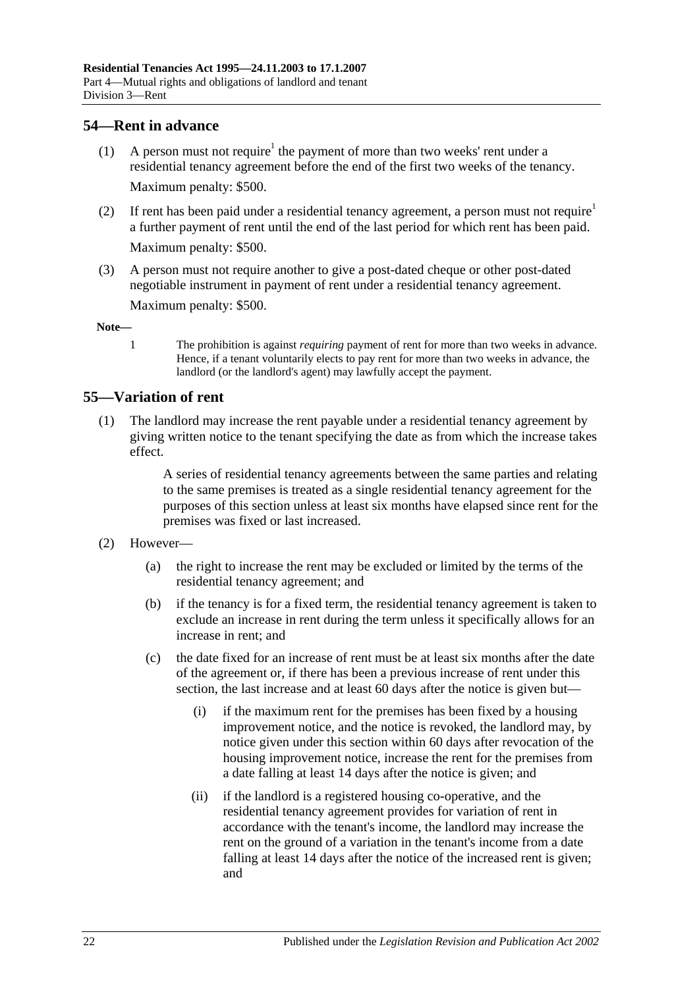## <span id="page-21-0"></span>**54—Rent in advance**

- (1) A person must not require<sup>1</sup> the payment of more than two weeks' rent under a residential tenancy agreement before the end of the first two weeks of the tenancy. Maximum penalty: \$500.
- (2) If rent has been paid under a residential tenancy agreement, a person must not require<sup>1</sup> a further payment of rent until the end of the last period for which rent has been paid. Maximum penalty: \$500.
- (3) A person must not require another to give a post-dated cheque or other post-dated negotiable instrument in payment of rent under a residential tenancy agreement.

Maximum penalty: \$500.

**Note—**

1 The prohibition is against *requiring* payment of rent for more than two weeks in advance. Hence, if a tenant voluntarily elects to pay rent for more than two weeks in advance, the landlord (or the landlord's agent) may lawfully accept the payment.

## <span id="page-21-1"></span>**55—Variation of rent**

(1) The landlord may increase the rent payable under a residential tenancy agreement by giving written notice to the tenant specifying the date as from which the increase takes effect.

> A series of residential tenancy agreements between the same parties and relating to the same premises is treated as a single residential tenancy agreement for the purposes of this section unless at least six months have elapsed since rent for the premises was fixed or last increased.

### (2) However—

- (a) the right to increase the rent may be excluded or limited by the terms of the residential tenancy agreement; and
- (b) if the tenancy is for a fixed term, the residential tenancy agreement is taken to exclude an increase in rent during the term unless it specifically allows for an increase in rent; and
- (c) the date fixed for an increase of rent must be at least six months after the date of the agreement or, if there has been a previous increase of rent under this section, the last increase and at least 60 days after the notice is given but—
	- (i) if the maximum rent for the premises has been fixed by a housing improvement notice, and the notice is revoked, the landlord may, by notice given under this section within 60 days after revocation of the housing improvement notice, increase the rent for the premises from a date falling at least 14 days after the notice is given; and
	- (ii) if the landlord is a registered housing co-operative, and the residential tenancy agreement provides for variation of rent in accordance with the tenant's income, the landlord may increase the rent on the ground of a variation in the tenant's income from a date falling at least 14 days after the notice of the increased rent is given; and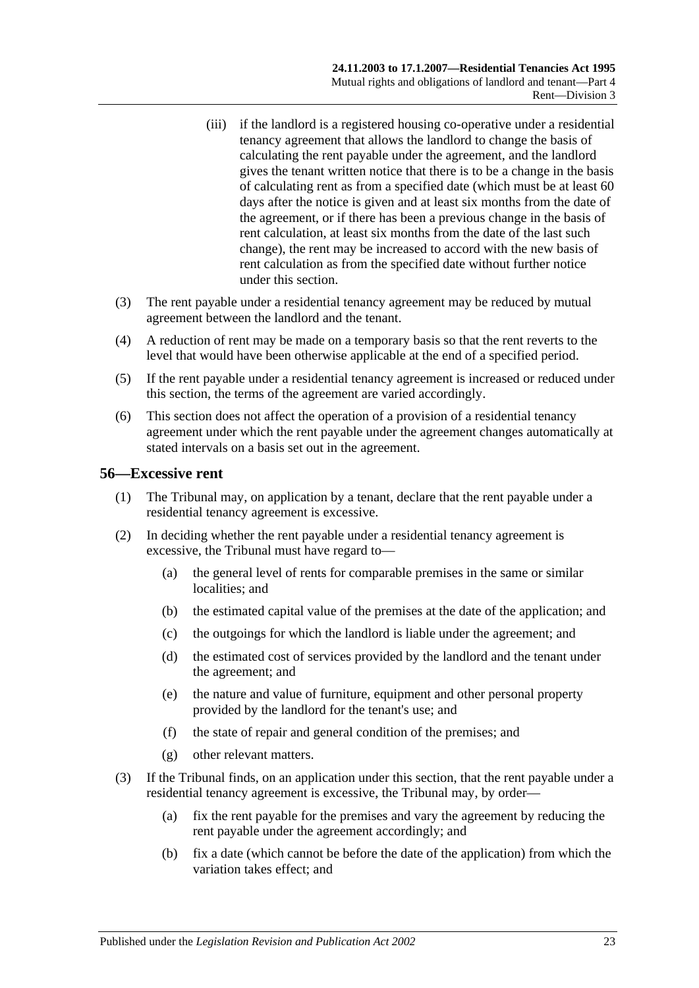- (iii) if the landlord is a registered housing co-operative under a residential tenancy agreement that allows the landlord to change the basis of calculating the rent payable under the agreement, and the landlord gives the tenant written notice that there is to be a change in the basis of calculating rent as from a specified date (which must be at least 60 days after the notice is given and at least six months from the date of the agreement, or if there has been a previous change in the basis of rent calculation, at least six months from the date of the last such change), the rent may be increased to accord with the new basis of rent calculation as from the specified date without further notice under this section.
- (3) The rent payable under a residential tenancy agreement may be reduced by mutual agreement between the landlord and the tenant.
- (4) A reduction of rent may be made on a temporary basis so that the rent reverts to the level that would have been otherwise applicable at the end of a specified period.
- (5) If the rent payable under a residential tenancy agreement is increased or reduced under this section, the terms of the agreement are varied accordingly.
- (6) This section does not affect the operation of a provision of a residential tenancy agreement under which the rent payable under the agreement changes automatically at stated intervals on a basis set out in the agreement.

### <span id="page-22-0"></span>**56—Excessive rent**

- (1) The Tribunal may, on application by a tenant, declare that the rent payable under a residential tenancy agreement is excessive.
- (2) In deciding whether the rent payable under a residential tenancy agreement is excessive, the Tribunal must have regard to—
	- (a) the general level of rents for comparable premises in the same or similar localities; and
	- (b) the estimated capital value of the premises at the date of the application; and
	- (c) the outgoings for which the landlord is liable under the agreement; and
	- (d) the estimated cost of services provided by the landlord and the tenant under the agreement; and
	- (e) the nature and value of furniture, equipment and other personal property provided by the landlord for the tenant's use; and
	- (f) the state of repair and general condition of the premises; and
	- (g) other relevant matters.
- (3) If the Tribunal finds, on an application under this section, that the rent payable under a residential tenancy agreement is excessive, the Tribunal may, by order—
	- (a) fix the rent payable for the premises and vary the agreement by reducing the rent payable under the agreement accordingly; and
	- (b) fix a date (which cannot be before the date of the application) from which the variation takes effect; and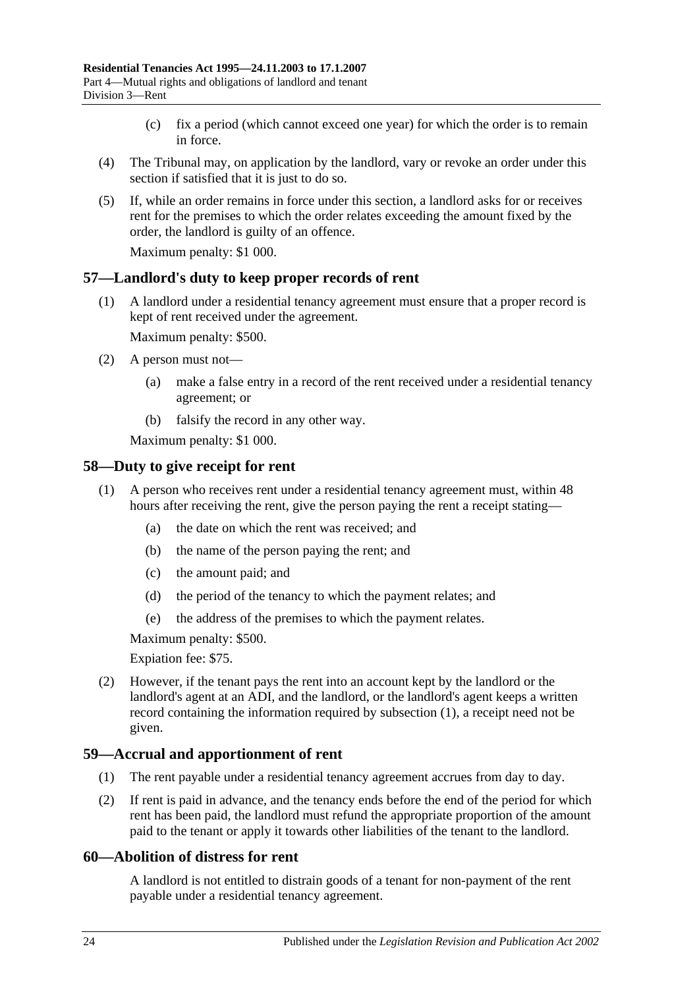- (c) fix a period (which cannot exceed one year) for which the order is to remain in force.
- (4) The Tribunal may, on application by the landlord, vary or revoke an order under this section if satisfied that it is just to do so.
- (5) If, while an order remains in force under this section, a landlord asks for or receives rent for the premises to which the order relates exceeding the amount fixed by the order, the landlord is guilty of an offence.

Maximum penalty: \$1 000.

### <span id="page-23-0"></span>**57—Landlord's duty to keep proper records of rent**

(1) A landlord under a residential tenancy agreement must ensure that a proper record is kept of rent received under the agreement.

Maximum penalty: \$500.

- (2) A person must not—
	- (a) make a false entry in a record of the rent received under a residential tenancy agreement; or
	- (b) falsify the record in any other way.

Maximum penalty: \$1 000.

### <span id="page-23-4"></span><span id="page-23-1"></span>**58—Duty to give receipt for rent**

- (1) A person who receives rent under a residential tenancy agreement must, within 48 hours after receiving the rent, give the person paying the rent a receipt stating—
	- (a) the date on which the rent was received; and
	- (b) the name of the person paying the rent; and
	- (c) the amount paid; and
	- (d) the period of the tenancy to which the payment relates; and
	- (e) the address of the premises to which the payment relates.

Maximum penalty: \$500.

Expiation fee: \$75.

(2) However, if the tenant pays the rent into an account kept by the landlord or the landlord's agent at an ADI, and the landlord, or the landlord's agent keeps a written record containing the information required by [subsection](#page-23-4) (1), a receipt need not be given.

#### <span id="page-23-2"></span>**59—Accrual and apportionment of rent**

- (1) The rent payable under a residential tenancy agreement accrues from day to day.
- (2) If rent is paid in advance, and the tenancy ends before the end of the period for which rent has been paid, the landlord must refund the appropriate proportion of the amount paid to the tenant or apply it towards other liabilities of the tenant to the landlord.

### <span id="page-23-3"></span>**60—Abolition of distress for rent**

A landlord is not entitled to distrain goods of a tenant for non-payment of the rent payable under a residential tenancy agreement.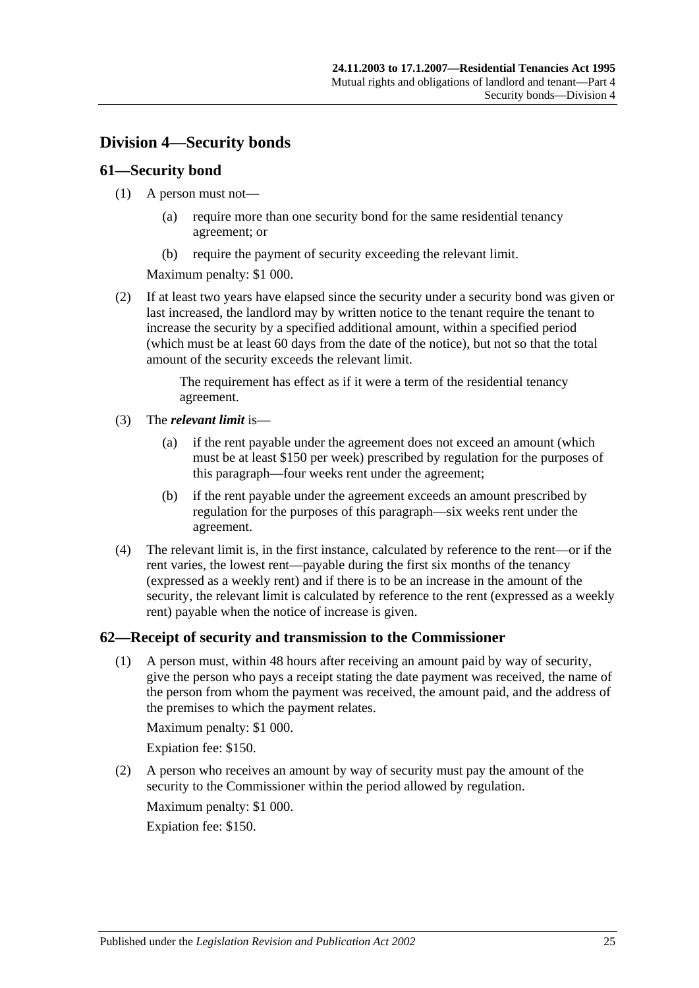## <span id="page-24-0"></span>**Division 4—Security bonds**

## <span id="page-24-1"></span>**61—Security bond**

- (1) A person must not—
	- (a) require more than one security bond for the same residential tenancy agreement; or
	- (b) require the payment of security exceeding the relevant limit.

Maximum penalty: \$1 000.

(2) If at least two years have elapsed since the security under a security bond was given or last increased, the landlord may by written notice to the tenant require the tenant to increase the security by a specified additional amount, within a specified period (which must be at least 60 days from the date of the notice), but not so that the total amount of the security exceeds the relevant limit.

> The requirement has effect as if it were a term of the residential tenancy agreement.

- (3) The *relevant limit* is—
	- (a) if the rent payable under the agreement does not exceed an amount (which must be at least \$150 per week) prescribed by regulation for the purposes of this paragraph—four weeks rent under the agreement;
	- (b) if the rent payable under the agreement exceeds an amount prescribed by regulation for the purposes of this paragraph—six weeks rent under the agreement.
- (4) The relevant limit is, in the first instance, calculated by reference to the rent—or if the rent varies, the lowest rent—payable during the first six months of the tenancy (expressed as a weekly rent) and if there is to be an increase in the amount of the security, the relevant limit is calculated by reference to the rent (expressed as a weekly rent) payable when the notice of increase is given.

## <span id="page-24-2"></span>**62—Receipt of security and transmission to the Commissioner**

(1) A person must, within 48 hours after receiving an amount paid by way of security, give the person who pays a receipt stating the date payment was received, the name of the person from whom the payment was received, the amount paid, and the address of the premises to which the payment relates.

Maximum penalty: \$1 000.

Expiation fee: \$150.

(2) A person who receives an amount by way of security must pay the amount of the security to the Commissioner within the period allowed by regulation.

Maximum penalty: \$1 000. Expiation fee: \$150.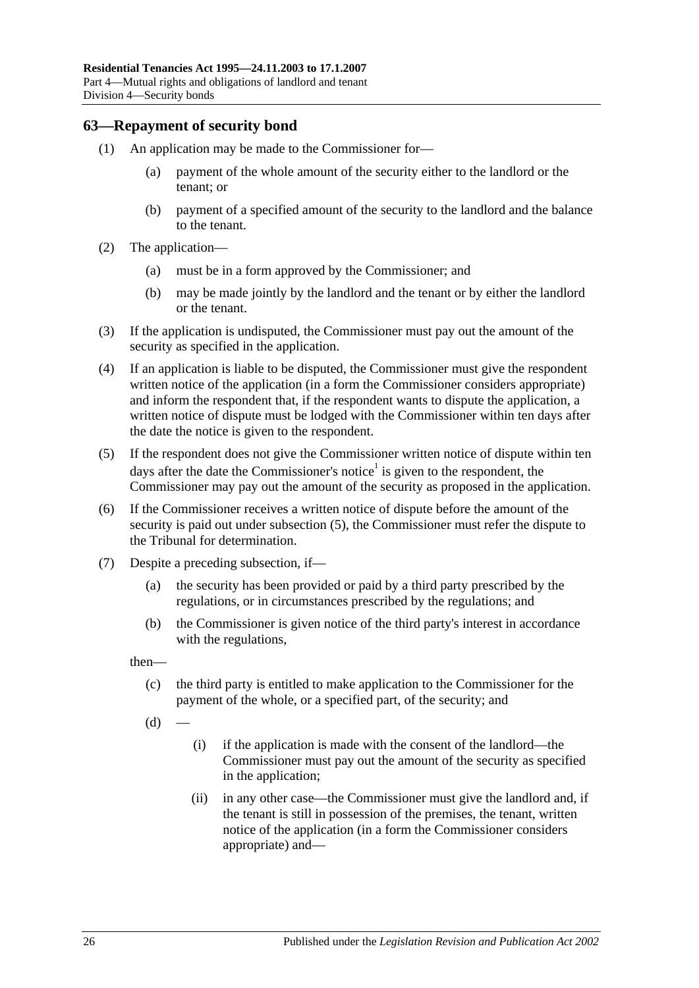### <span id="page-25-0"></span>**63—Repayment of security bond**

- (1) An application may be made to the Commissioner for—
	- (a) payment of the whole amount of the security either to the landlord or the tenant; or
	- (b) payment of a specified amount of the security to the landlord and the balance to the tenant.
- (2) The application—
	- (a) must be in a form approved by the Commissioner; and
	- (b) may be made jointly by the landlord and the tenant or by either the landlord or the tenant.
- (3) If the application is undisputed, the Commissioner must pay out the amount of the security as specified in the application.
- <span id="page-25-3"></span>(4) If an application is liable to be disputed, the Commissioner must give the respondent written notice of the application (in a form the Commissioner considers appropriate) and inform the respondent that, if the respondent wants to dispute the application, a written notice of dispute must be lodged with the Commissioner within ten days after the date the notice is given to the respondent.
- <span id="page-25-1"></span>(5) If the respondent does not give the Commissioner written notice of dispute within ten days after the date the Commissioner's notice<sup>1</sup> is given to the respondent, the Commissioner may pay out the amount of the security as proposed in the application.
- (6) If the Commissioner receives a written notice of dispute before the amount of the security is paid out under [subsection](#page-25-1) (5), the Commissioner must refer the dispute to the Tribunal for determination.
- <span id="page-25-2"></span>(7) Despite a preceding subsection, if—
	- (a) the security has been provided or paid by a third party prescribed by the regulations, or in circumstances prescribed by the regulations; and
	- (b) the Commissioner is given notice of the third party's interest in accordance with the regulations,

then—

- (c) the third party is entitled to make application to the Commissioner for the payment of the whole, or a specified part, of the security; and
- $(d)$
- (i) if the application is made with the consent of the landlord—the Commissioner must pay out the amount of the security as specified in the application;
- (ii) in any other case—the Commissioner must give the landlord and, if the tenant is still in possession of the premises, the tenant, written notice of the application (in a form the Commissioner considers appropriate) and—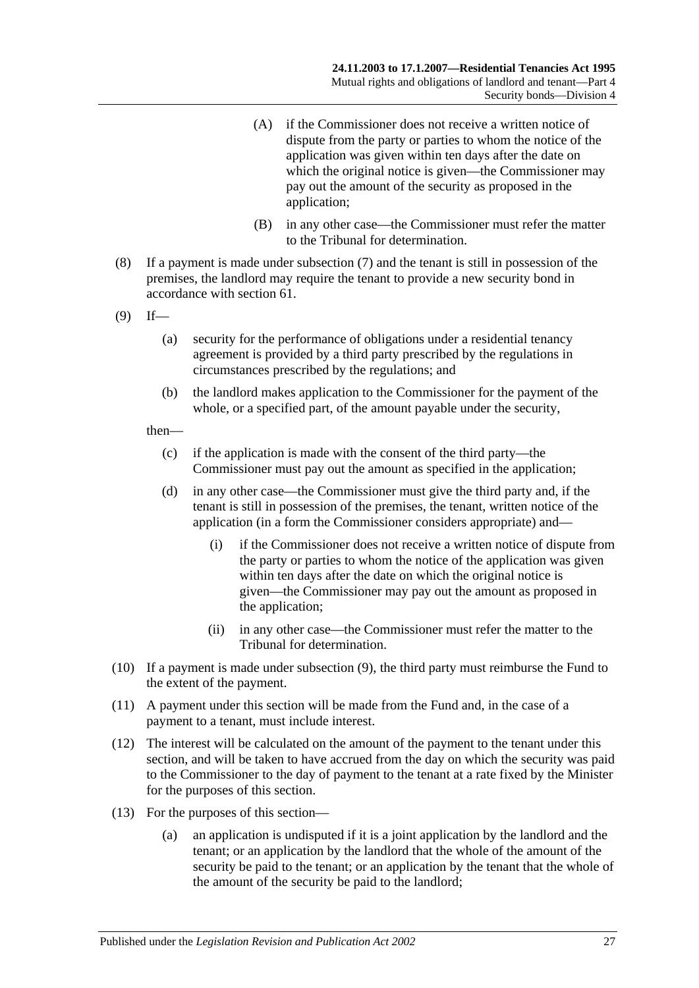- (A) if the Commissioner does not receive a written notice of dispute from the party or parties to whom the notice of the application was given within ten days after the date on which the original notice is given—the Commissioner may pay out the amount of the security as proposed in the application;
- (B) in any other case—the Commissioner must refer the matter to the Tribunal for determination.
- (8) If a payment is made under [subsection](#page-25-2) (7) and the tenant is still in possession of the premises, the landlord may require the tenant to provide a new security bond in accordance with [section](#page-24-1) 61.
- <span id="page-26-0"></span> $(9)$  If—
	- (a) security for the performance of obligations under a residential tenancy agreement is provided by a third party prescribed by the regulations in circumstances prescribed by the regulations; and
	- (b) the landlord makes application to the Commissioner for the payment of the whole, or a specified part, of the amount payable under the security,

#### then—

- (c) if the application is made with the consent of the third party—the Commissioner must pay out the amount as specified in the application;
- (d) in any other case—the Commissioner must give the third party and, if the tenant is still in possession of the premises, the tenant, written notice of the application (in a form the Commissioner considers appropriate) and—
	- (i) if the Commissioner does not receive a written notice of dispute from the party or parties to whom the notice of the application was given within ten days after the date on which the original notice is given—the Commissioner may pay out the amount as proposed in the application;
	- (ii) in any other case—the Commissioner must refer the matter to the Tribunal for determination.
- (10) If a payment is made under [subsection](#page-26-0) (9), the third party must reimburse the Fund to the extent of the payment.
- (11) A payment under this section will be made from the Fund and, in the case of a payment to a tenant, must include interest.
- (12) The interest will be calculated on the amount of the payment to the tenant under this section, and will be taken to have accrued from the day on which the security was paid to the Commissioner to the day of payment to the tenant at a rate fixed by the Minister for the purposes of this section.
- (13) For the purposes of this section—
	- (a) an application is undisputed if it is a joint application by the landlord and the tenant; or an application by the landlord that the whole of the amount of the security be paid to the tenant; or an application by the tenant that the whole of the amount of the security be paid to the landlord;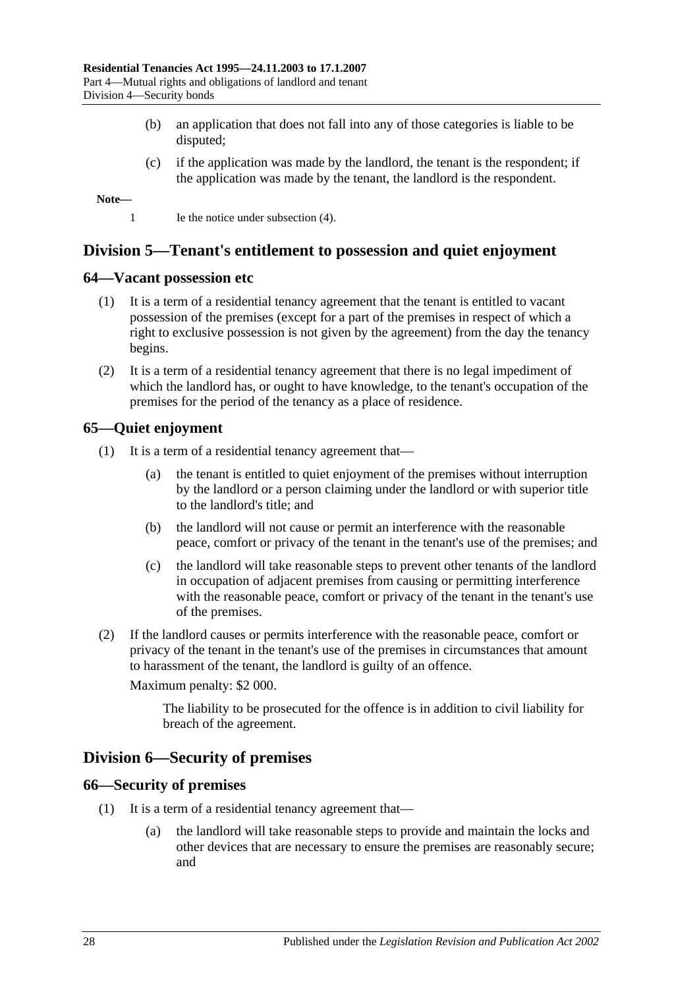- (b) an application that does not fall into any of those categories is liable to be disputed;
- (c) if the application was made by the landlord, the tenant is the respondent; if the application was made by the tenant, the landlord is the respondent.

**Note—**

1 Ie the notice under [subsection](#page-25-3) (4).

## <span id="page-27-0"></span>**Division 5—Tenant's entitlement to possession and quiet enjoyment**

#### <span id="page-27-1"></span>**64—Vacant possession etc**

- (1) It is a term of a residential tenancy agreement that the tenant is entitled to vacant possession of the premises (except for a part of the premises in respect of which a right to exclusive possession is not given by the agreement) from the day the tenancy begins.
- (2) It is a term of a residential tenancy agreement that there is no legal impediment of which the landlord has, or ought to have knowledge, to the tenant's occupation of the premises for the period of the tenancy as a place of residence.

## <span id="page-27-2"></span>**65—Quiet enjoyment**

- (1) It is a term of a residential tenancy agreement that—
	- (a) the tenant is entitled to quiet enjoyment of the premises without interruption by the landlord or a person claiming under the landlord or with superior title to the landlord's title; and
	- (b) the landlord will not cause or permit an interference with the reasonable peace, comfort or privacy of the tenant in the tenant's use of the premises; and
	- (c) the landlord will take reasonable steps to prevent other tenants of the landlord in occupation of adjacent premises from causing or permitting interference with the reasonable peace, comfort or privacy of the tenant in the tenant's use of the premises.
- (2) If the landlord causes or permits interference with the reasonable peace, comfort or privacy of the tenant in the tenant's use of the premises in circumstances that amount to harassment of the tenant, the landlord is guilty of an offence.

Maximum penalty: \$2 000.

The liability to be prosecuted for the offence is in addition to civil liability for breach of the agreement.

## <span id="page-27-3"></span>**Division 6—Security of premises**

#### <span id="page-27-4"></span>**66—Security of premises**

- (1) It is a term of a residential tenancy agreement that—
	- (a) the landlord will take reasonable steps to provide and maintain the locks and other devices that are necessary to ensure the premises are reasonably secure; and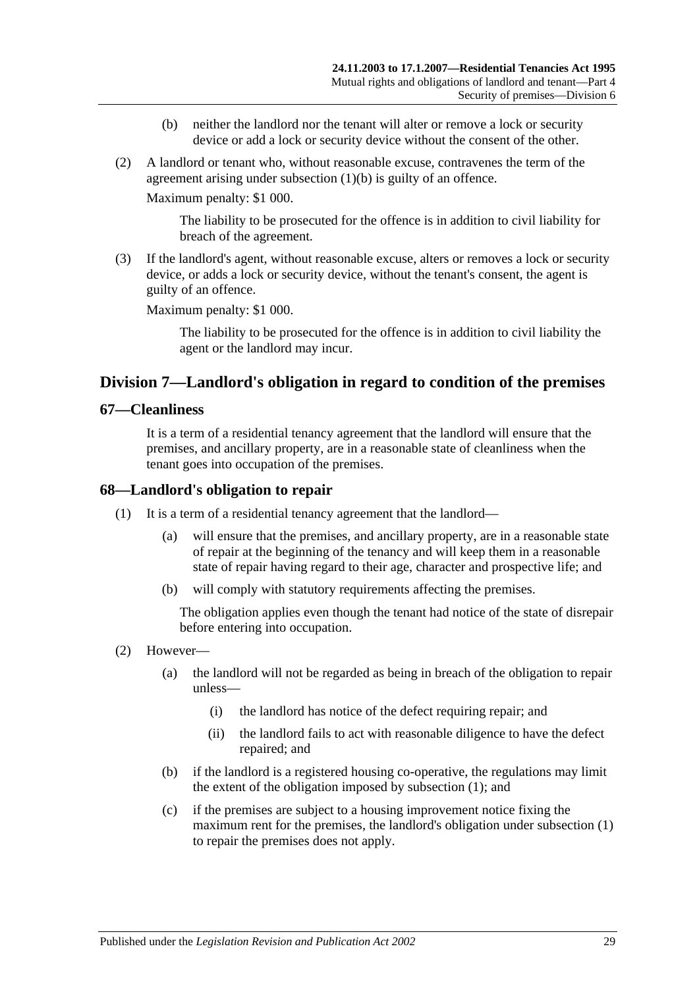- (b) neither the landlord nor the tenant will alter or remove a lock or security device or add a lock or security device without the consent of the other.
- <span id="page-28-3"></span>(2) A landlord or tenant who, without reasonable excuse, contravenes the term of the agreement arising under [subsection](#page-28-3) (1)(b) is guilty of an offence.

Maximum penalty: \$1 000.

The liability to be prosecuted for the offence is in addition to civil liability for breach of the agreement.

(3) If the landlord's agent, without reasonable excuse, alters or removes a lock or security device, or adds a lock or security device, without the tenant's consent, the agent is guilty of an offence.

Maximum penalty: \$1 000.

The liability to be prosecuted for the offence is in addition to civil liability the agent or the landlord may incur.

## <span id="page-28-0"></span>**Division 7—Landlord's obligation in regard to condition of the premises**

#### <span id="page-28-1"></span>**67—Cleanliness**

It is a term of a residential tenancy agreement that the landlord will ensure that the premises, and ancillary property, are in a reasonable state of cleanliness when the tenant goes into occupation of the premises.

### <span id="page-28-4"></span><span id="page-28-2"></span>**68—Landlord's obligation to repair**

- (1) It is a term of a residential tenancy agreement that the landlord—
	- (a) will ensure that the premises, and ancillary property, are in a reasonable state of repair at the beginning of the tenancy and will keep them in a reasonable state of repair having regard to their age, character and prospective life; and
	- (b) will comply with statutory requirements affecting the premises.

The obligation applies even though the tenant had notice of the state of disrepair before entering into occupation.

- (2) However—
	- (a) the landlord will not be regarded as being in breach of the obligation to repair unless—
		- (i) the landlord has notice of the defect requiring repair; and
		- (ii) the landlord fails to act with reasonable diligence to have the defect repaired; and
	- (b) if the landlord is a registered housing co-operative, the regulations may limit the extent of the obligation imposed by [subsection](#page-28-4) (1); and
	- (c) if the premises are subject to a housing improvement notice fixing the maximum rent for the premises, the landlord's obligation under [subsection](#page-28-4) (1) to repair the premises does not apply.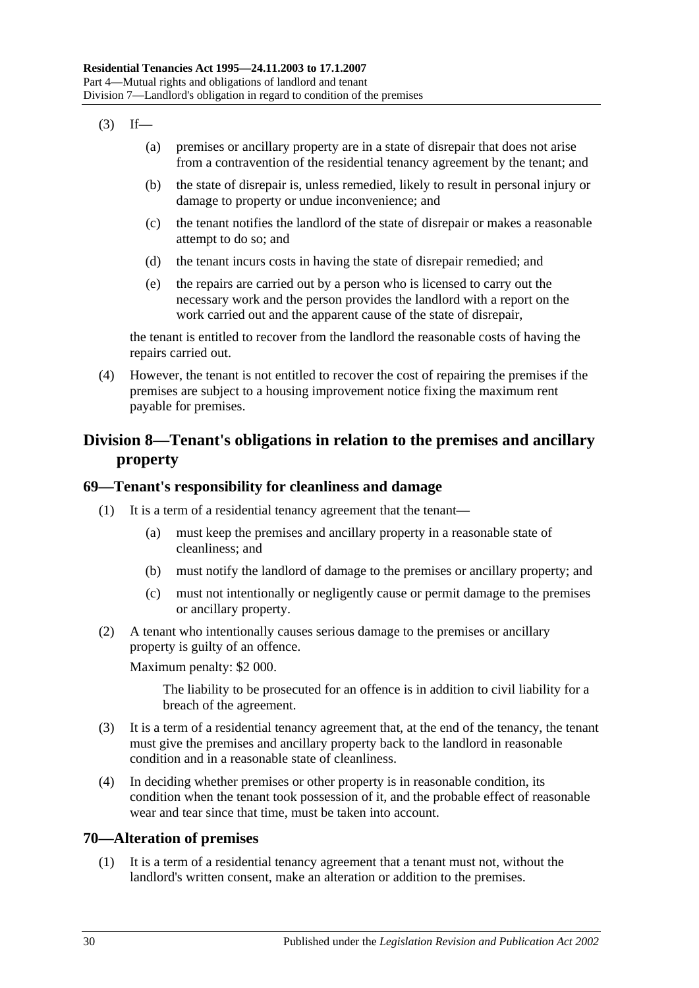- $(3)$  If—
	- (a) premises or ancillary property are in a state of disrepair that does not arise from a contravention of the residential tenancy agreement by the tenant; and
	- (b) the state of disrepair is, unless remedied, likely to result in personal injury or damage to property or undue inconvenience; and
	- (c) the tenant notifies the landlord of the state of disrepair or makes a reasonable attempt to do so; and
	- (d) the tenant incurs costs in having the state of disrepair remedied; and
	- (e) the repairs are carried out by a person who is licensed to carry out the necessary work and the person provides the landlord with a report on the work carried out and the apparent cause of the state of disrepair,

the tenant is entitled to recover from the landlord the reasonable costs of having the repairs carried out.

(4) However, the tenant is not entitled to recover the cost of repairing the premises if the premises are subject to a housing improvement notice fixing the maximum rent payable for premises.

## <span id="page-29-0"></span>**Division 8—Tenant's obligations in relation to the premises and ancillary property**

## <span id="page-29-1"></span>**69—Tenant's responsibility for cleanliness and damage**

- (1) It is a term of a residential tenancy agreement that the tenant—
	- (a) must keep the premises and ancillary property in a reasonable state of cleanliness; and
	- (b) must notify the landlord of damage to the premises or ancillary property; and
	- (c) must not intentionally or negligently cause or permit damage to the premises or ancillary property.
- (2) A tenant who intentionally causes serious damage to the premises or ancillary property is guilty of an offence.

Maximum penalty: \$2 000.

The liability to be prosecuted for an offence is in addition to civil liability for a breach of the agreement.

- (3) It is a term of a residential tenancy agreement that, at the end of the tenancy, the tenant must give the premises and ancillary property back to the landlord in reasonable condition and in a reasonable state of cleanliness.
- (4) In deciding whether premises or other property is in reasonable condition, its condition when the tenant took possession of it, and the probable effect of reasonable wear and tear since that time, must be taken into account.

## <span id="page-29-2"></span>**70—Alteration of premises**

(1) It is a term of a residential tenancy agreement that a tenant must not, without the landlord's written consent, make an alteration or addition to the premises.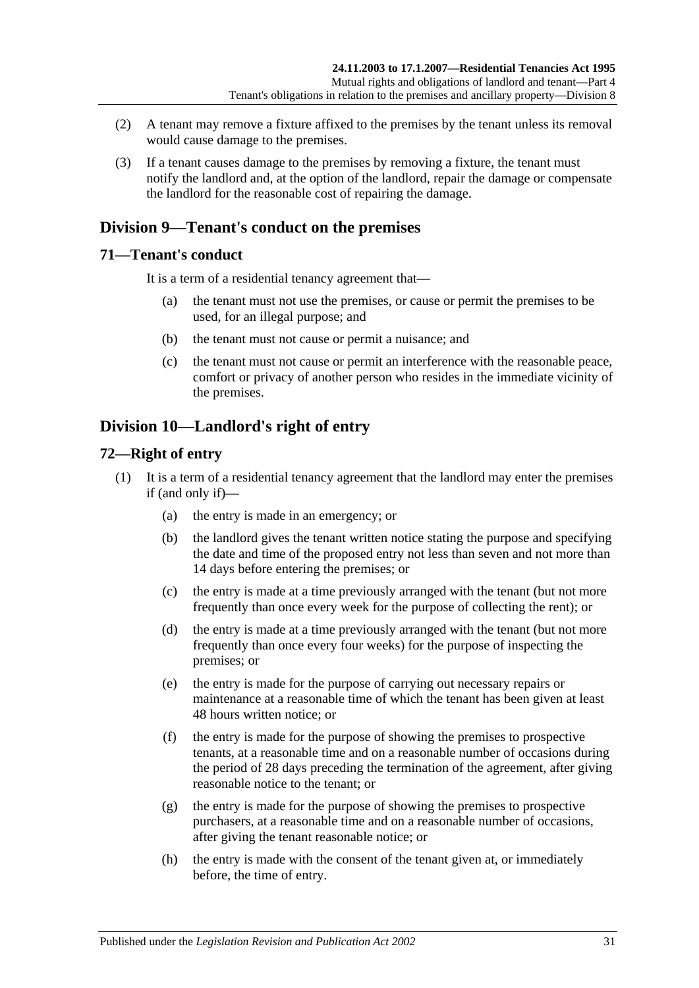- (2) A tenant may remove a fixture affixed to the premises by the tenant unless its removal would cause damage to the premises.
- (3) If a tenant causes damage to the premises by removing a fixture, the tenant must notify the landlord and, at the option of the landlord, repair the damage or compensate the landlord for the reasonable cost of repairing the damage.

## <span id="page-30-0"></span>**Division 9—Tenant's conduct on the premises**

## <span id="page-30-1"></span>**71—Tenant's conduct**

It is a term of a residential tenancy agreement that—

- (a) the tenant must not use the premises, or cause or permit the premises to be used, for an illegal purpose; and
- (b) the tenant must not cause or permit a nuisance; and
- (c) the tenant must not cause or permit an interference with the reasonable peace, comfort or privacy of another person who resides in the immediate vicinity of the premises.

## <span id="page-30-2"></span>**Division 10—Landlord's right of entry**

## <span id="page-30-3"></span>**72—Right of entry**

- (1) It is a term of a residential tenancy agreement that the landlord may enter the premises if (and only if)—
	- (a) the entry is made in an emergency; or
	- (b) the landlord gives the tenant written notice stating the purpose and specifying the date and time of the proposed entry not less than seven and not more than 14 days before entering the premises; or
	- (c) the entry is made at a time previously arranged with the tenant (but not more frequently than once every week for the purpose of collecting the rent); or
	- (d) the entry is made at a time previously arranged with the tenant (but not more frequently than once every four weeks) for the purpose of inspecting the premises; or
	- (e) the entry is made for the purpose of carrying out necessary repairs or maintenance at a reasonable time of which the tenant has been given at least 48 hours written notice; or
	- (f) the entry is made for the purpose of showing the premises to prospective tenants, at a reasonable time and on a reasonable number of occasions during the period of 28 days preceding the termination of the agreement, after giving reasonable notice to the tenant; or
	- (g) the entry is made for the purpose of showing the premises to prospective purchasers, at a reasonable time and on a reasonable number of occasions, after giving the tenant reasonable notice; or
	- (h) the entry is made with the consent of the tenant given at, or immediately before, the time of entry.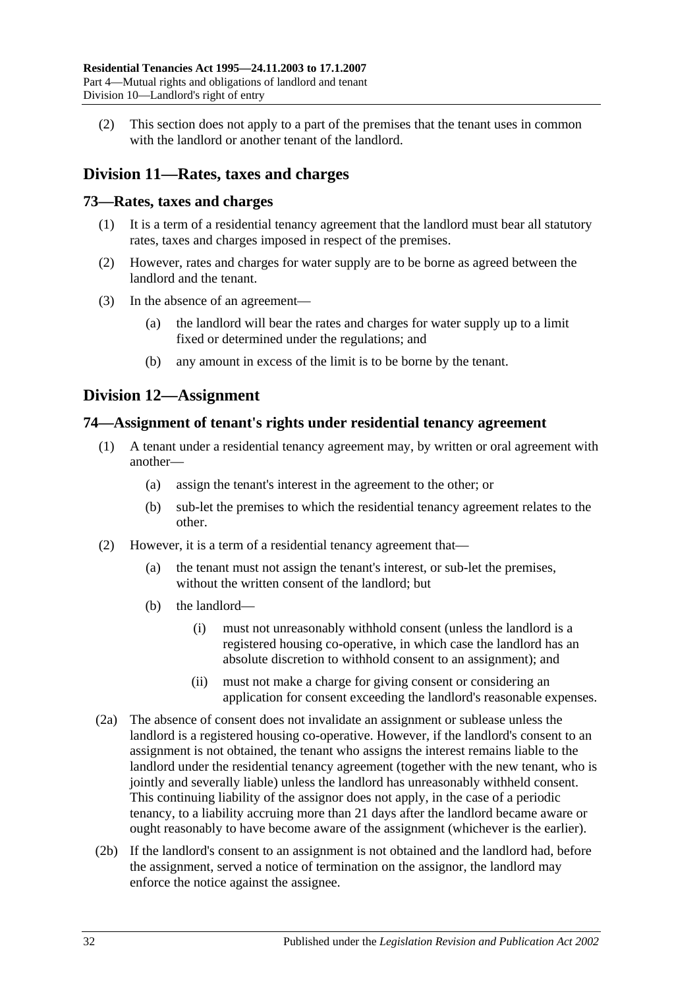(2) This section does not apply to a part of the premises that the tenant uses in common with the landlord or another tenant of the landlord.

## <span id="page-31-0"></span>**Division 11—Rates, taxes and charges**

## <span id="page-31-1"></span>**73—Rates, taxes and charges**

- (1) It is a term of a residential tenancy agreement that the landlord must bear all statutory rates, taxes and charges imposed in respect of the premises.
- (2) However, rates and charges for water supply are to be borne as agreed between the landlord and the tenant.
- (3) In the absence of an agreement—
	- (a) the landlord will bear the rates and charges for water supply up to a limit fixed or determined under the regulations; and
	- (b) any amount in excess of the limit is to be borne by the tenant.

## <span id="page-31-2"></span>**Division 12—Assignment**

## <span id="page-31-3"></span>**74—Assignment of tenant's rights under residential tenancy agreement**

- (1) A tenant under a residential tenancy agreement may, by written or oral agreement with another—
	- (a) assign the tenant's interest in the agreement to the other; or
	- (b) sub-let the premises to which the residential tenancy agreement relates to the other.
- (2) However, it is a term of a residential tenancy agreement that—
	- (a) the tenant must not assign the tenant's interest, or sub-let the premises, without the written consent of the landlord; but
	- (b) the landlord—
		- (i) must not unreasonably withhold consent (unless the landlord is a registered housing co-operative, in which case the landlord has an absolute discretion to withhold consent to an assignment); and
		- (ii) must not make a charge for giving consent or considering an application for consent exceeding the landlord's reasonable expenses.
- (2a) The absence of consent does not invalidate an assignment or sublease unless the landlord is a registered housing co-operative. However, if the landlord's consent to an assignment is not obtained, the tenant who assigns the interest remains liable to the landlord under the residential tenancy agreement (together with the new tenant, who is jointly and severally liable) unless the landlord has unreasonably withheld consent. This continuing liability of the assignor does not apply, in the case of a periodic tenancy, to a liability accruing more than 21 days after the landlord became aware or ought reasonably to have become aware of the assignment (whichever is the earlier).
- (2b) If the landlord's consent to an assignment is not obtained and the landlord had, before the assignment, served a notice of termination on the assignor, the landlord may enforce the notice against the assignee.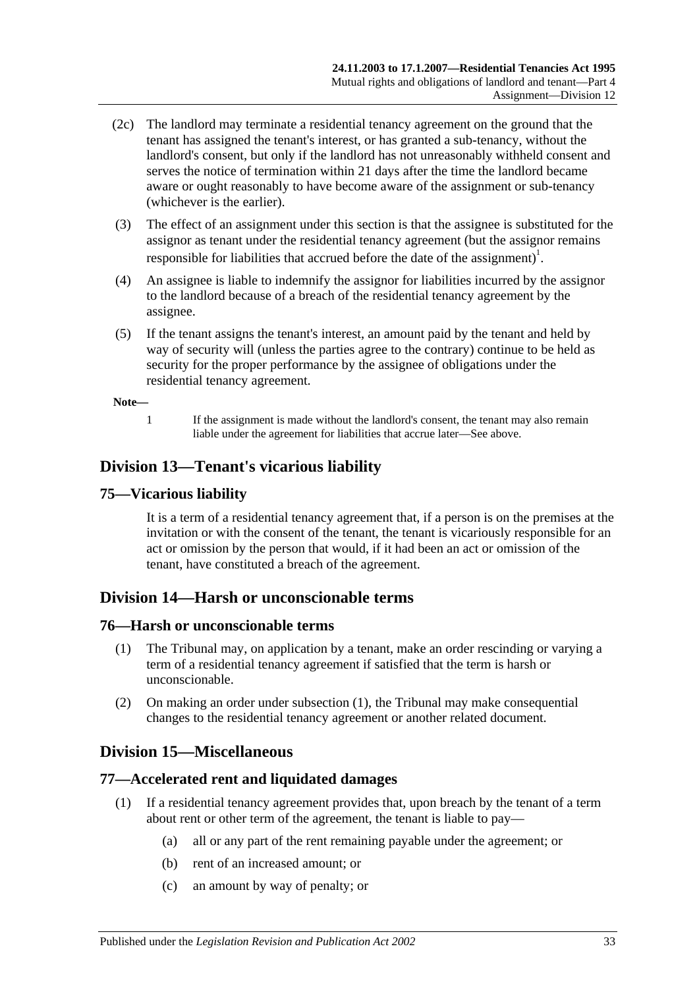- (2c) The landlord may terminate a residential tenancy agreement on the ground that the tenant has assigned the tenant's interest, or has granted a sub-tenancy, without the landlord's consent, but only if the landlord has not unreasonably withheld consent and serves the notice of termination within 21 days after the time the landlord became aware or ought reasonably to have become aware of the assignment or sub-tenancy (whichever is the earlier).
- (3) The effect of an assignment under this section is that the assignee is substituted for the assignor as tenant under the residential tenancy agreement (but the assignor remains responsible for liabilities that accrued before the date of the assignment)<sup>1</sup>.
- (4) An assignee is liable to indemnify the assignor for liabilities incurred by the assignor to the landlord because of a breach of the residential tenancy agreement by the assignee.
- (5) If the tenant assigns the tenant's interest, an amount paid by the tenant and held by way of security will (unless the parties agree to the contrary) continue to be held as security for the proper performance by the assignee of obligations under the residential tenancy agreement.

#### **Note—**

1 If the assignment is made without the landlord's consent, the tenant may also remain liable under the agreement for liabilities that accrue later—See above.

## <span id="page-32-0"></span>**Division 13—Tenant's vicarious liability**

## <span id="page-32-1"></span>**75—Vicarious liability**

It is a term of a residential tenancy agreement that, if a person is on the premises at the invitation or with the consent of the tenant, the tenant is vicariously responsible for an act or omission by the person that would, if it had been an act or omission of the tenant, have constituted a breach of the agreement.

## <span id="page-32-2"></span>**Division 14—Harsh or unconscionable terms**

#### <span id="page-32-6"></span><span id="page-32-3"></span>**76—Harsh or unconscionable terms**

- (1) The Tribunal may, on application by a tenant, make an order rescinding or varying a term of a residential tenancy agreement if satisfied that the term is harsh or unconscionable.
- (2) On making an order under [subsection](#page-32-6) (1), the Tribunal may make consequential changes to the residential tenancy agreement or another related document.

## <span id="page-32-4"></span>**Division 15—Miscellaneous**

## <span id="page-32-5"></span>**77—Accelerated rent and liquidated damages**

- (1) If a residential tenancy agreement provides that, upon breach by the tenant of a term about rent or other term of the agreement, the tenant is liable to pay—
	- (a) all or any part of the rent remaining payable under the agreement; or
	- (b) rent of an increased amount; or
	- (c) an amount by way of penalty; or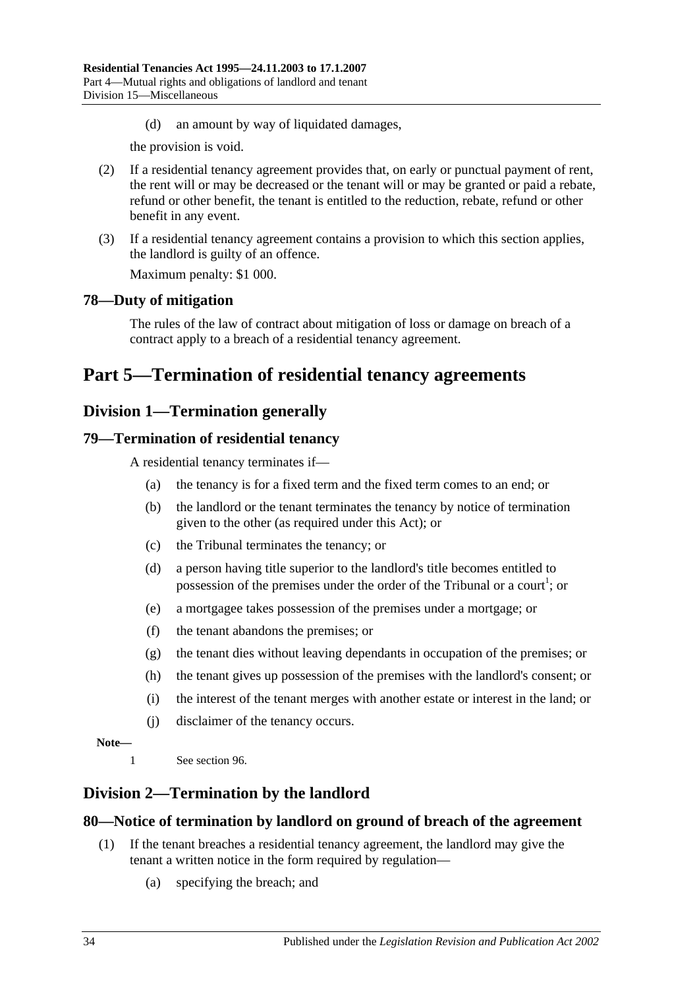(d) an amount by way of liquidated damages,

the provision is void.

- (2) If a residential tenancy agreement provides that, on early or punctual payment of rent, the rent will or may be decreased or the tenant will or may be granted or paid a rebate, refund or other benefit, the tenant is entitled to the reduction, rebate, refund or other benefit in any event.
- (3) If a residential tenancy agreement contains a provision to which this section applies, the landlord is guilty of an offence.

Maximum penalty: \$1 000.

## <span id="page-33-0"></span>**78—Duty of mitigation**

The rules of the law of contract about mitigation of loss or damage on breach of a contract apply to a breach of a residential tenancy agreement.

# <span id="page-33-2"></span><span id="page-33-1"></span>**Part 5—Termination of residential tenancy agreements**

## **Division 1—Termination generally**

## <span id="page-33-3"></span>**79—Termination of residential tenancy**

A residential tenancy terminates if—

- (a) the tenancy is for a fixed term and the fixed term comes to an end; or
- (b) the landlord or the tenant terminates the tenancy by notice of termination given to the other (as required under this Act); or
- (c) the Tribunal terminates the tenancy; or
- (d) a person having title superior to the landlord's title becomes entitled to possession of the premises under the order of the Tribunal or a court<sup>1</sup>; or
- (e) a mortgagee takes possession of the premises under a mortgage; or
- (f) the tenant abandons the premises; or
- (g) the tenant dies without leaving dependants in occupation of the premises; or
- (h) the tenant gives up possession of the premises with the landlord's consent; or
- (i) the interest of the tenant merges with another estate or interest in the land; or
- (j) disclaimer of the tenancy occurs.

#### **Note—**

1 See [section](#page-41-0) 96.

## <span id="page-33-4"></span>**Division 2—Termination by the landlord**

## <span id="page-33-5"></span>**80—Notice of termination by landlord on ground of breach of the agreement**

- (1) If the tenant breaches a residential tenancy agreement, the landlord may give the tenant a written notice in the form required by regulation—
	- (a) specifying the breach; and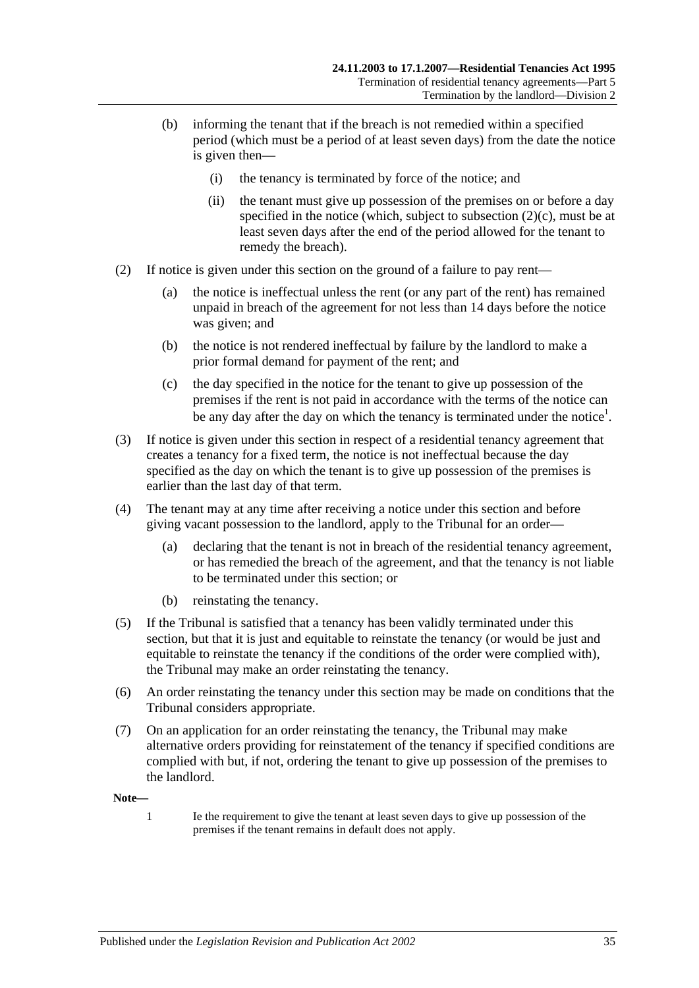- (b) informing the tenant that if the breach is not remedied within a specified period (which must be a period of at least seven days) from the date the notice is given then—
	- (i) the tenancy is terminated by force of the notice; and
	- (ii) the tenant must give up possession of the premises on or before a day specified in the notice (which, subject to [subsection](#page-34-0)  $(2)(c)$ , must be at least seven days after the end of the period allowed for the tenant to remedy the breach).
- (2) If notice is given under this section on the ground of a failure to pay rent—
	- (a) the notice is ineffectual unless the rent (or any part of the rent) has remained unpaid in breach of the agreement for not less than 14 days before the notice was given; and
	- (b) the notice is not rendered ineffectual by failure by the landlord to make a prior formal demand for payment of the rent; and
	- (c) the day specified in the notice for the tenant to give up possession of the premises if the rent is not paid in accordance with the terms of the notice can be any day after the day on which the tenancy is terminated under the notice<sup>1</sup>.
- <span id="page-34-0"></span>(3) If notice is given under this section in respect of a residential tenancy agreement that creates a tenancy for a fixed term, the notice is not ineffectual because the day specified as the day on which the tenant is to give up possession of the premises is earlier than the last day of that term.
- (4) The tenant may at any time after receiving a notice under this section and before giving vacant possession to the landlord, apply to the Tribunal for an order—
	- (a) declaring that the tenant is not in breach of the residential tenancy agreement, or has remedied the breach of the agreement, and that the tenancy is not liable to be terminated under this section; or
	- (b) reinstating the tenancy.
- (5) If the Tribunal is satisfied that a tenancy has been validly terminated under this section, but that it is just and equitable to reinstate the tenancy (or would be just and equitable to reinstate the tenancy if the conditions of the order were complied with), the Tribunal may make an order reinstating the tenancy.
- (6) An order reinstating the tenancy under this section may be made on conditions that the Tribunal considers appropriate.
- (7) On an application for an order reinstating the tenancy, the Tribunal may make alternative orders providing for reinstatement of the tenancy if specified conditions are complied with but, if not, ordering the tenant to give up possession of the premises to the landlord.

**Note—**

1 Ie the requirement to give the tenant at least seven days to give up possession of the premises if the tenant remains in default does not apply.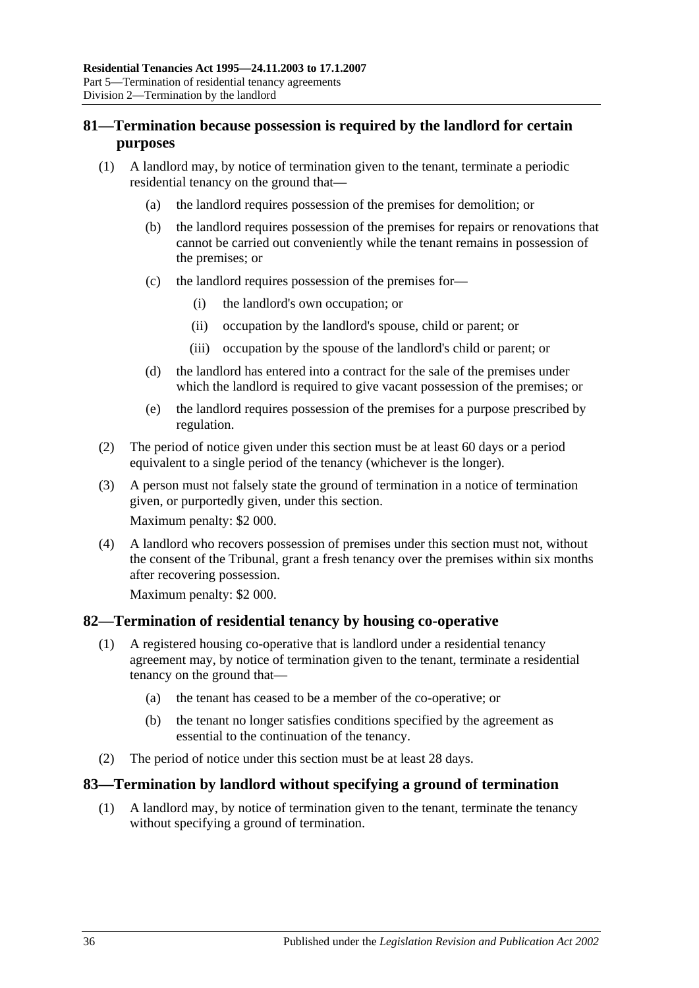## <span id="page-35-0"></span>**81—Termination because possession is required by the landlord for certain purposes**

- (1) A landlord may, by notice of termination given to the tenant, terminate a periodic residential tenancy on the ground that—
	- (a) the landlord requires possession of the premises for demolition; or
	- (b) the landlord requires possession of the premises for repairs or renovations that cannot be carried out conveniently while the tenant remains in possession of the premises; or
	- (c) the landlord requires possession of the premises for—
		- (i) the landlord's own occupation; or
		- (ii) occupation by the landlord's spouse, child or parent; or
		- (iii) occupation by the spouse of the landlord's child or parent; or
	- (d) the landlord has entered into a contract for the sale of the premises under which the landlord is required to give vacant possession of the premises; or
	- (e) the landlord requires possession of the premises for a purpose prescribed by regulation.
- (2) The period of notice given under this section must be at least 60 days or a period equivalent to a single period of the tenancy (whichever is the longer).
- (3) A person must not falsely state the ground of termination in a notice of termination given, or purportedly given, under this section. Maximum penalty: \$2 000.
- (4) A landlord who recovers possession of premises under this section must not, without the consent of the Tribunal, grant a fresh tenancy over the premises within six months after recovering possession.

Maximum penalty: \$2 000.

#### <span id="page-35-1"></span>**82—Termination of residential tenancy by housing co-operative**

- (1) A registered housing co-operative that is landlord under a residential tenancy agreement may, by notice of termination given to the tenant, terminate a residential tenancy on the ground that—
	- (a) the tenant has ceased to be a member of the co-operative; or
	- (b) the tenant no longer satisfies conditions specified by the agreement as essential to the continuation of the tenancy.
- (2) The period of notice under this section must be at least 28 days.

## <span id="page-35-2"></span>**83—Termination by landlord without specifying a ground of termination**

(1) A landlord may, by notice of termination given to the tenant, terminate the tenancy without specifying a ground of termination.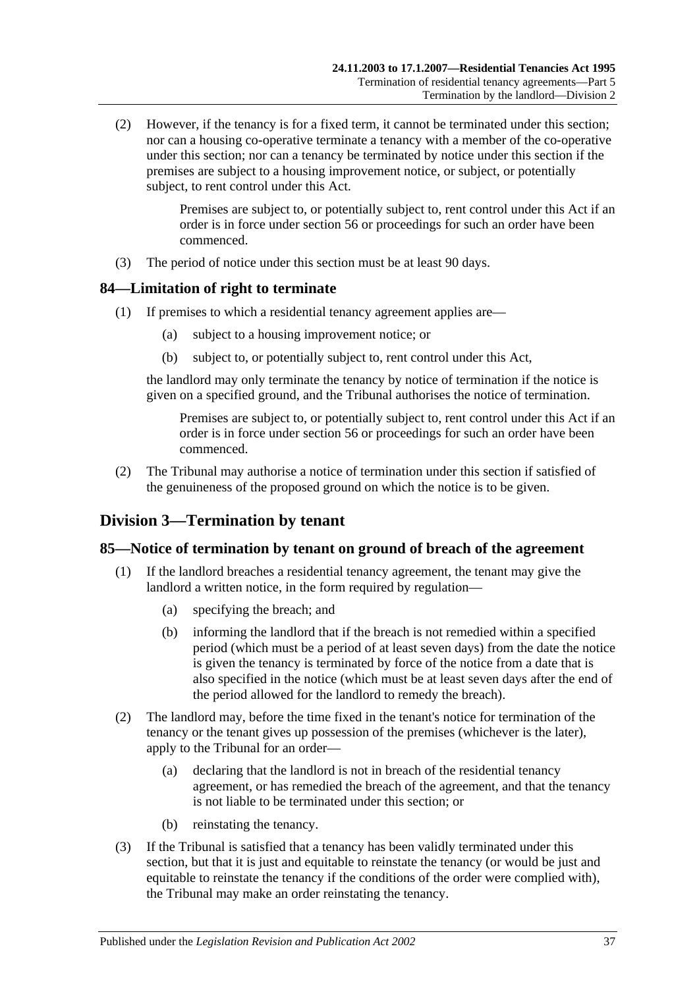(2) However, if the tenancy is for a fixed term, it cannot be terminated under this section; nor can a housing co-operative terminate a tenancy with a member of the co-operative under this section; nor can a tenancy be terminated by notice under this section if the premises are subject to a housing improvement notice, or subject, or potentially subject, to rent control under this Act.

> Premises are subject to, or potentially subject to, rent control under this Act if an order is in force under section 56 or proceedings for such an order have been commenced.

(3) The period of notice under this section must be at least 90 days.

## <span id="page-36-0"></span>**84—Limitation of right to terminate**

- (1) If premises to which a residential tenancy agreement applies are—
	- (a) subject to a housing improvement notice; or
	- (b) subject to, or potentially subject to, rent control under this Act,

the landlord may only terminate the tenancy by notice of termination if the notice is given on a specified ground, and the Tribunal authorises the notice of termination.

Premises are subject to, or potentially subject to, rent control under this Act if an order is in force under section 56 or proceedings for such an order have been commenced.

(2) The Tribunal may authorise a notice of termination under this section if satisfied of the genuineness of the proposed ground on which the notice is to be given.

## <span id="page-36-1"></span>**Division 3—Termination by tenant**

#### <span id="page-36-2"></span>**85—Notice of termination by tenant on ground of breach of the agreement**

- (1) If the landlord breaches a residential tenancy agreement, the tenant may give the landlord a written notice, in the form required by regulation—
	- (a) specifying the breach; and
	- (b) informing the landlord that if the breach is not remedied within a specified period (which must be a period of at least seven days) from the date the notice is given the tenancy is terminated by force of the notice from a date that is also specified in the notice (which must be at least seven days after the end of the period allowed for the landlord to remedy the breach).
- (2) The landlord may, before the time fixed in the tenant's notice for termination of the tenancy or the tenant gives up possession of the premises (whichever is the later), apply to the Tribunal for an order—
	- (a) declaring that the landlord is not in breach of the residential tenancy agreement, or has remedied the breach of the agreement, and that the tenancy is not liable to be terminated under this section; or
	- (b) reinstating the tenancy.
- (3) If the Tribunal is satisfied that a tenancy has been validly terminated under this section, but that it is just and equitable to reinstate the tenancy (or would be just and equitable to reinstate the tenancy if the conditions of the order were complied with), the Tribunal may make an order reinstating the tenancy.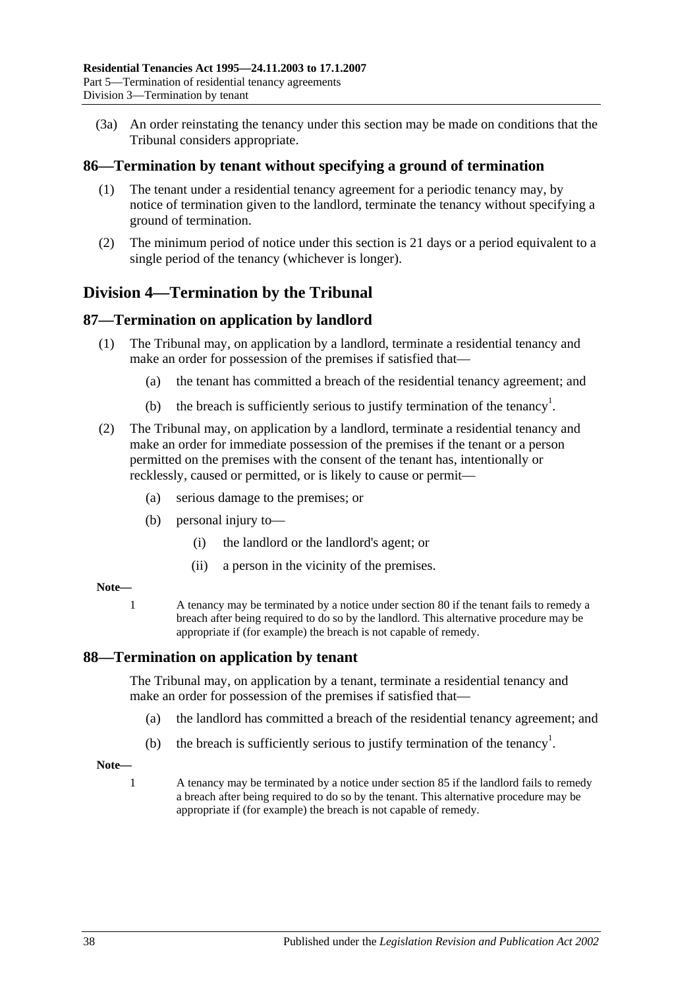(3a) An order reinstating the tenancy under this section may be made on conditions that the Tribunal considers appropriate.

### <span id="page-37-0"></span>**86—Termination by tenant without specifying a ground of termination**

- (1) The tenant under a residential tenancy agreement for a periodic tenancy may, by notice of termination given to the landlord, terminate the tenancy without specifying a ground of termination.
- (2) The minimum period of notice under this section is 21 days or a period equivalent to a single period of the tenancy (whichever is longer).

## <span id="page-37-1"></span>**Division 4—Termination by the Tribunal**

## <span id="page-37-2"></span>**87—Termination on application by landlord**

- (1) The Tribunal may, on application by a landlord, terminate a residential tenancy and make an order for possession of the premises if satisfied that—
	- (a) the tenant has committed a breach of the residential tenancy agreement; and
	- (b) the breach is sufficiently serious to justify termination of the tenancy<sup>1</sup>.
- (2) The Tribunal may, on application by a landlord, terminate a residential tenancy and make an order for immediate possession of the premises if the tenant or a person permitted on the premises with the consent of the tenant has, intentionally or recklessly, caused or permitted, or is likely to cause or permit—
	- (a) serious damage to the premises; or
	- (b) personal injury to—
		- (i) the landlord or the landlord's agent; or
		- (ii) a person in the vicinity of the premises.

#### **Note—**

1 A tenancy may be terminated by a notice under [section](#page-33-5) 80 if the tenant fails to remedy a breach after being required to do so by the landlord. This alternative procedure may be appropriate if (for example) the breach is not capable of remedy.

#### <span id="page-37-3"></span>**88—Termination on application by tenant**

The Tribunal may, on application by a tenant, terminate a residential tenancy and make an order for possession of the premises if satisfied that—

- (a) the landlord has committed a breach of the residential tenancy agreement; and
- (b) the breach is sufficiently serious to justify termination of the tenancy<sup>1</sup>.
- **Note—**
	- 1 A tenancy may be terminated by a notice under [section](#page-36-2) 85 if the landlord fails to remedy a breach after being required to do so by the tenant. This alternative procedure may be appropriate if (for example) the breach is not capable of remedy.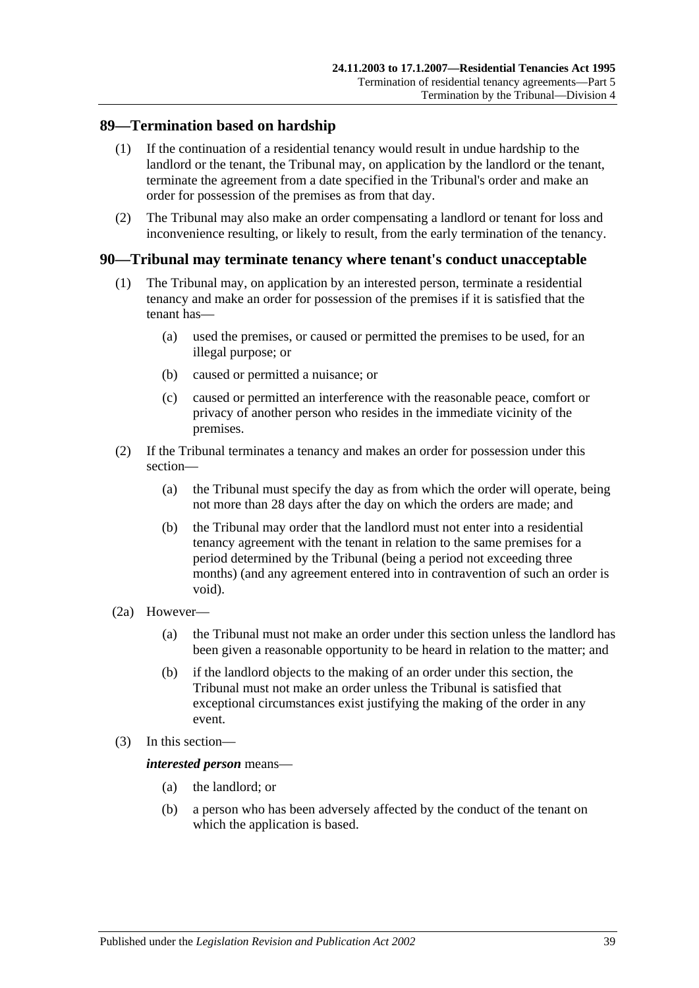### <span id="page-38-0"></span>**89—Termination based on hardship**

- (1) If the continuation of a residential tenancy would result in undue hardship to the landlord or the tenant, the Tribunal may, on application by the landlord or the tenant, terminate the agreement from a date specified in the Tribunal's order and make an order for possession of the premises as from that day.
- (2) The Tribunal may also make an order compensating a landlord or tenant for loss and inconvenience resulting, or likely to result, from the early termination of the tenancy.

### <span id="page-38-1"></span>**90—Tribunal may terminate tenancy where tenant's conduct unacceptable**

- (1) The Tribunal may, on application by an interested person, terminate a residential tenancy and make an order for possession of the premises if it is satisfied that the tenant has—
	- (a) used the premises, or caused or permitted the premises to be used, for an illegal purpose; or
	- (b) caused or permitted a nuisance; or
	- (c) caused or permitted an interference with the reasonable peace, comfort or privacy of another person who resides in the immediate vicinity of the premises.
- (2) If the Tribunal terminates a tenancy and makes an order for possession under this section—
	- (a) the Tribunal must specify the day as from which the order will operate, being not more than 28 days after the day on which the orders are made; and
	- (b) the Tribunal may order that the landlord must not enter into a residential tenancy agreement with the tenant in relation to the same premises for a period determined by the Tribunal (being a period not exceeding three months) (and any agreement entered into in contravention of such an order is void).
- (2a) However—
	- (a) the Tribunal must not make an order under this section unless the landlord has been given a reasonable opportunity to be heard in relation to the matter; and
	- (b) if the landlord objects to the making of an order under this section, the Tribunal must not make an order unless the Tribunal is satisfied that exceptional circumstances exist justifying the making of the order in any event.
- (3) In this section—

#### *interested person* means—

- (a) the landlord; or
- (b) a person who has been adversely affected by the conduct of the tenant on which the application is based.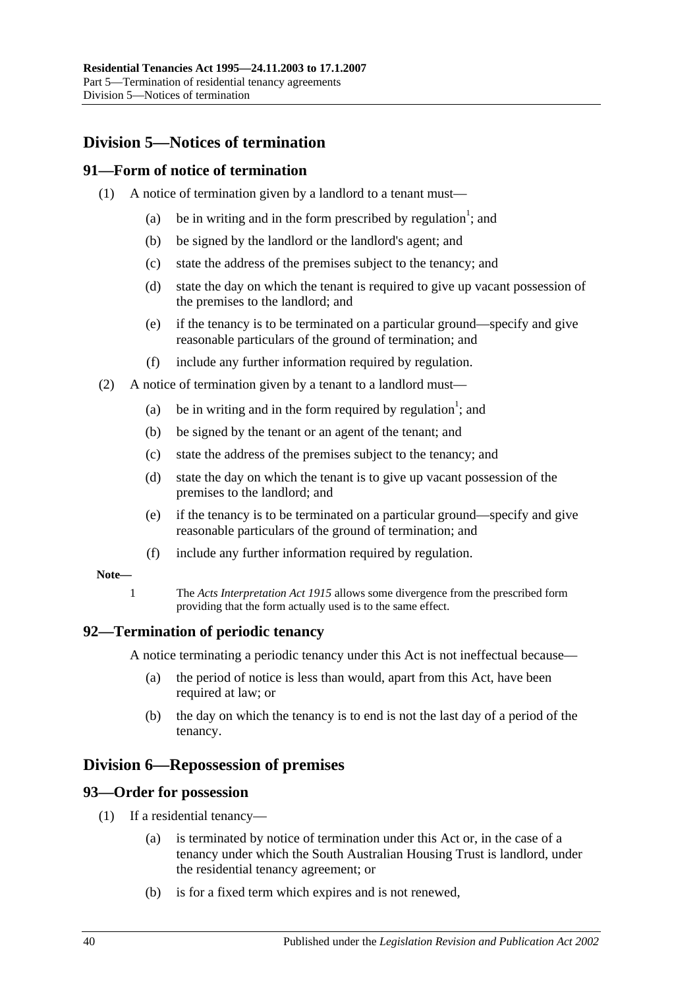## <span id="page-39-0"></span>**Division 5—Notices of termination**

## <span id="page-39-1"></span>**91—Form of notice of termination**

- (1) A notice of termination given by a landlord to a tenant must—
	- (a) be in writing and in the form prescribed by regulation<sup>1</sup>; and
	- (b) be signed by the landlord or the landlord's agent; and
	- (c) state the address of the premises subject to the tenancy; and
	- (d) state the day on which the tenant is required to give up vacant possession of the premises to the landlord; and
	- (e) if the tenancy is to be terminated on a particular ground—specify and give reasonable particulars of the ground of termination; and
	- (f) include any further information required by regulation.
- (2) A notice of termination given by a tenant to a landlord must—
	- (a) be in writing and in the form required by regulation<sup>1</sup>; and
	- (b) be signed by the tenant or an agent of the tenant; and
	- (c) state the address of the premises subject to the tenancy; and
	- (d) state the day on which the tenant is to give up vacant possession of the premises to the landlord; and
	- (e) if the tenancy is to be terminated on a particular ground—specify and give reasonable particulars of the ground of termination; and
	- (f) include any further information required by regulation.

#### **Note—**

1 The *[Acts Interpretation Act](http://www.legislation.sa.gov.au/index.aspx?action=legref&type=act&legtitle=Acts%20Interpretation%20Act%201915) 1915* allows some divergence from the prescribed form providing that the form actually used is to the same effect.

#### <span id="page-39-2"></span>**92—Termination of periodic tenancy**

A notice terminating a periodic tenancy under this Act is not ineffectual because—

- (a) the period of notice is less than would, apart from this Act, have been required at law; or
- (b) the day on which the tenancy is to end is not the last day of a period of the tenancy.

## <span id="page-39-3"></span>**Division 6—Repossession of premises**

#### <span id="page-39-4"></span>**93—Order for possession**

- (1) If a residential tenancy—
	- (a) is terminated by notice of termination under this Act or, in the case of a tenancy under which the South Australian Housing Trust is landlord, under the residential tenancy agreement; or
	- (b) is for a fixed term which expires and is not renewed,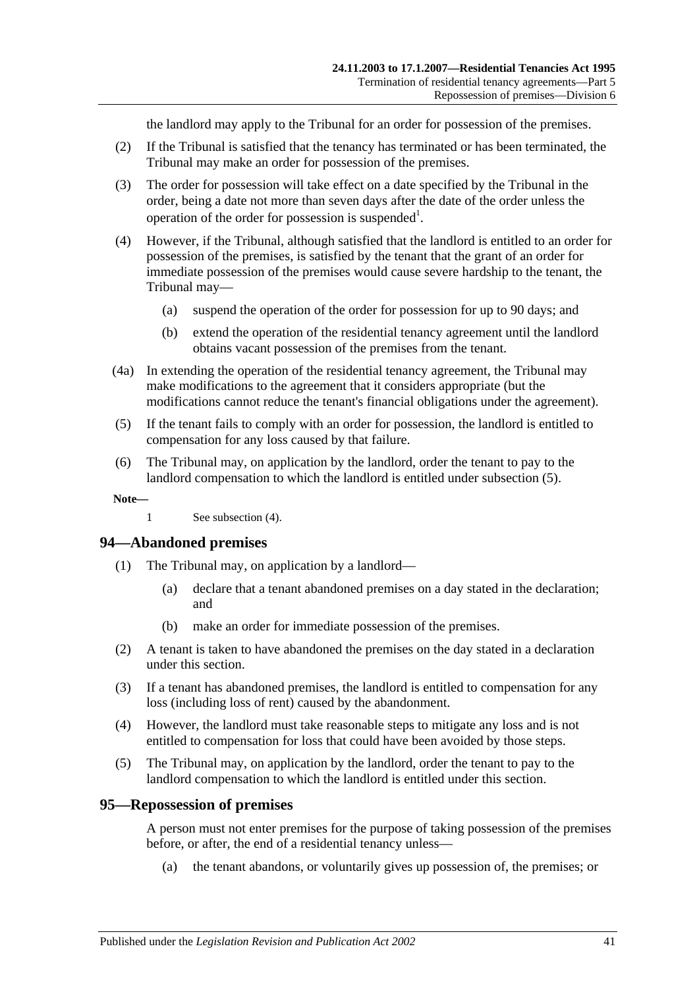the landlord may apply to the Tribunal for an order for possession of the premises.

- (2) If the Tribunal is satisfied that the tenancy has terminated or has been terminated, the Tribunal may make an order for possession of the premises.
- (3) The order for possession will take effect on a date specified by the Tribunal in the order, being a date not more than seven days after the date of the order unless the operation of the order for possession is suspended<sup>1</sup>.
- <span id="page-40-3"></span>(4) However, if the Tribunal, although satisfied that the landlord is entitled to an order for possession of the premises, is satisfied by the tenant that the grant of an order for immediate possession of the premises would cause severe hardship to the tenant, the Tribunal may—
	- (a) suspend the operation of the order for possession for up to 90 days; and
	- (b) extend the operation of the residential tenancy agreement until the landlord obtains vacant possession of the premises from the tenant.
- (4a) In extending the operation of the residential tenancy agreement, the Tribunal may make modifications to the agreement that it considers appropriate (but the modifications cannot reduce the tenant's financial obligations under the agreement).
- <span id="page-40-2"></span>(5) If the tenant fails to comply with an order for possession, the landlord is entitled to compensation for any loss caused by that failure.
- (6) The Tribunal may, on application by the landlord, order the tenant to pay to the landlord compensation to which the landlord is entitled under [subsection](#page-40-2) (5).

**Note—**

1 See [subsection](#page-40-3) (4).

#### <span id="page-40-0"></span>**94—Abandoned premises**

- (1) The Tribunal may, on application by a landlord—
	- (a) declare that a tenant abandoned premises on a day stated in the declaration; and
	- (b) make an order for immediate possession of the premises.
- (2) A tenant is taken to have abandoned the premises on the day stated in a declaration under this section.
- (3) If a tenant has abandoned premises, the landlord is entitled to compensation for any loss (including loss of rent) caused by the abandonment.
- (4) However, the landlord must take reasonable steps to mitigate any loss and is not entitled to compensation for loss that could have been avoided by those steps.
- (5) The Tribunal may, on application by the landlord, order the tenant to pay to the landlord compensation to which the landlord is entitled under this section.

#### <span id="page-40-1"></span>**95—Repossession of premises**

A person must not enter premises for the purpose of taking possession of the premises before, or after, the end of a residential tenancy unless—

(a) the tenant abandons, or voluntarily gives up possession of, the premises; or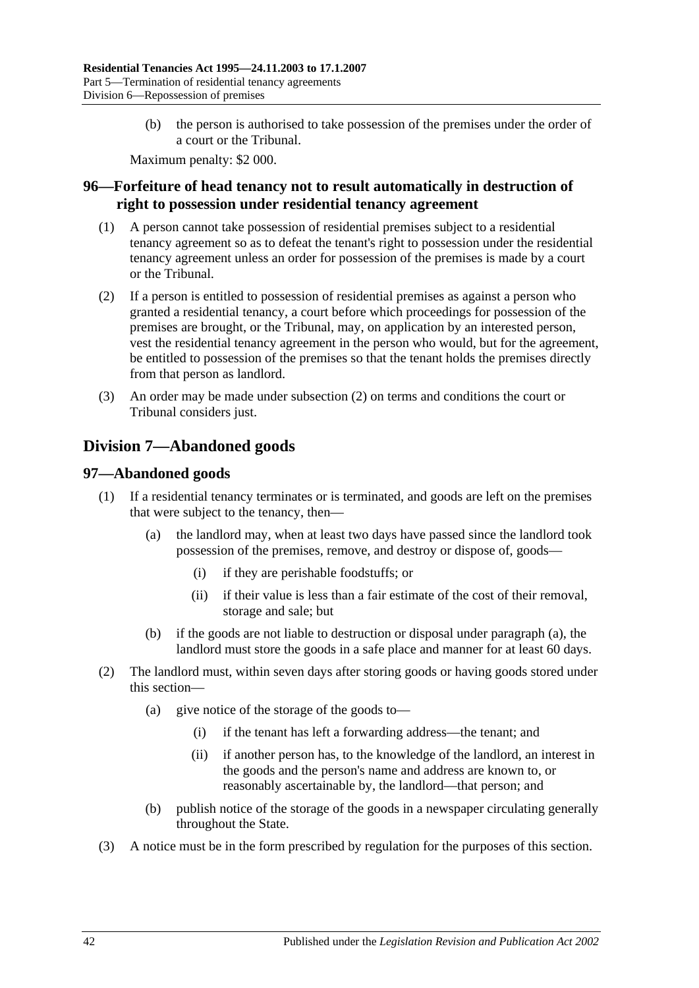(b) the person is authorised to take possession of the premises under the order of a court or the Tribunal.

Maximum penalty: \$2 000.

## <span id="page-41-0"></span>**96—Forfeiture of head tenancy not to result automatically in destruction of right to possession under residential tenancy agreement**

- (1) A person cannot take possession of residential premises subject to a residential tenancy agreement so as to defeat the tenant's right to possession under the residential tenancy agreement unless an order for possession of the premises is made by a court or the Tribunal.
- <span id="page-41-3"></span>(2) If a person is entitled to possession of residential premises as against a person who granted a residential tenancy, a court before which proceedings for possession of the premises are brought, or the Tribunal, may, on application by an interested person, vest the residential tenancy agreement in the person who would, but for the agreement, be entitled to possession of the premises so that the tenant holds the premises directly from that person as landlord.
- (3) An order may be made under [subsection](#page-41-3) (2) on terms and conditions the court or Tribunal considers just.

## <span id="page-41-1"></span>**Division 7—Abandoned goods**

## <span id="page-41-2"></span>**97—Abandoned goods**

- <span id="page-41-4"></span>(1) If a residential tenancy terminates or is terminated, and goods are left on the premises that were subject to the tenancy, then—
	- (a) the landlord may, when at least two days have passed since the landlord took possession of the premises, remove, and destroy or dispose of, goods—
		- (i) if they are perishable foodstuffs; or
		- (ii) if their value is less than a fair estimate of the cost of their removal, storage and sale; but
	- (b) if the goods are not liable to destruction or disposal under [paragraph](#page-41-4) (a), the landlord must store the goods in a safe place and manner for at least 60 days.
- (2) The landlord must, within seven days after storing goods or having goods stored under this section—
	- (a) give notice of the storage of the goods to—
		- (i) if the tenant has left a forwarding address—the tenant; and
		- (ii) if another person has, to the knowledge of the landlord, an interest in the goods and the person's name and address are known to, or reasonably ascertainable by, the landlord—that person; and
	- (b) publish notice of the storage of the goods in a newspaper circulating generally throughout the State.
- <span id="page-41-5"></span>(3) A notice must be in the form prescribed by regulation for the purposes of this section.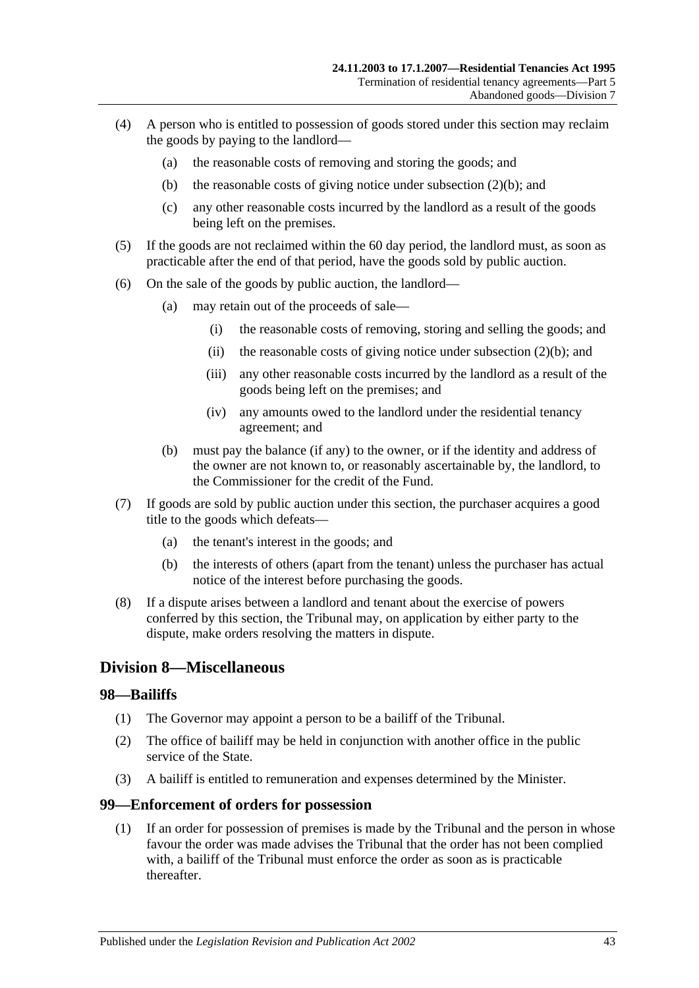- (4) A person who is entitled to possession of goods stored under this section may reclaim the goods by paying to the landlord—
	- (a) the reasonable costs of removing and storing the goods; and
	- (b) the reasonable costs of giving notice under [subsection](#page-41-5)  $(2)(b)$ ; and
	- (c) any other reasonable costs incurred by the landlord as a result of the goods being left on the premises.
- (5) If the goods are not reclaimed within the 60 day period, the landlord must, as soon as practicable after the end of that period, have the goods sold by public auction.
- (6) On the sale of the goods by public auction, the landlord—
	- (a) may retain out of the proceeds of sale—
		- (i) the reasonable costs of removing, storing and selling the goods; and
		- (ii) the reasonable costs of giving notice under [subsection](#page-41-5)  $(2)(b)$ ; and
		- (iii) any other reasonable costs incurred by the landlord as a result of the goods being left on the premises; and
		- (iv) any amounts owed to the landlord under the residential tenancy agreement; and
	- (b) must pay the balance (if any) to the owner, or if the identity and address of the owner are not known to, or reasonably ascertainable by, the landlord, to the Commissioner for the credit of the Fund.
- (7) If goods are sold by public auction under this section, the purchaser acquires a good title to the goods which defeats—
	- (a) the tenant's interest in the goods; and
	- (b) the interests of others (apart from the tenant) unless the purchaser has actual notice of the interest before purchasing the goods.
- (8) If a dispute arises between a landlord and tenant about the exercise of powers conferred by this section, the Tribunal may, on application by either party to the dispute, make orders resolving the matters in dispute.

## <span id="page-42-0"></span>**Division 8—Miscellaneous**

#### <span id="page-42-1"></span>**98—Bailiffs**

- (1) The Governor may appoint a person to be a bailiff of the Tribunal.
- (2) The office of bailiff may be held in conjunction with another office in the public service of the State.
- (3) A bailiff is entitled to remuneration and expenses determined by the Minister.

#### <span id="page-42-2"></span>**99—Enforcement of orders for possession**

(1) If an order for possession of premises is made by the Tribunal and the person in whose favour the order was made advises the Tribunal that the order has not been complied with, a bailiff of the Tribunal must enforce the order as soon as is practicable thereafter.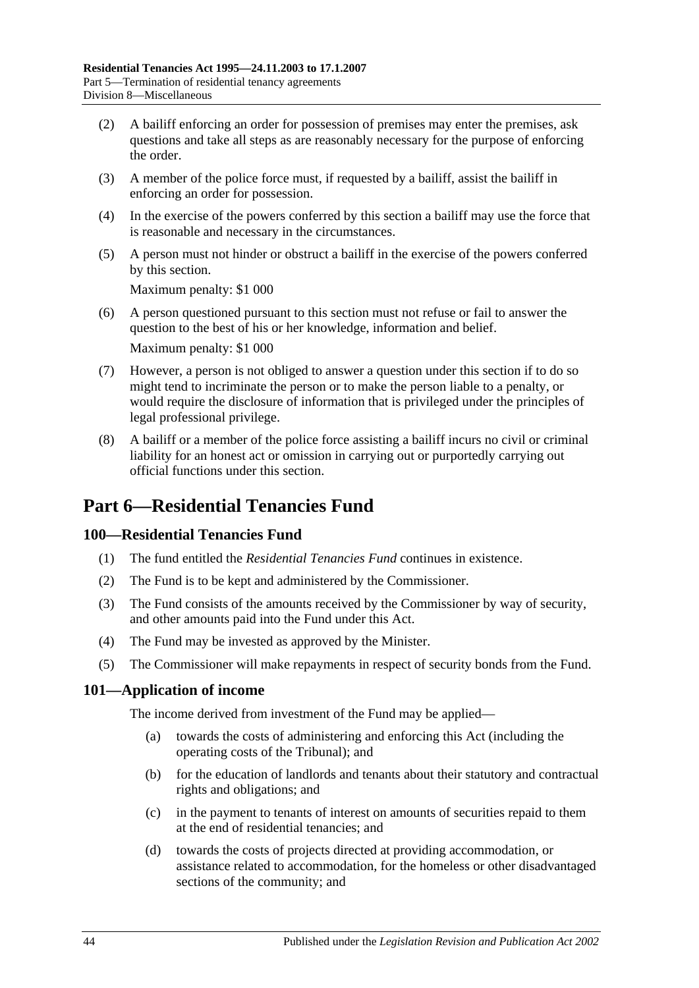- (2) A bailiff enforcing an order for possession of premises may enter the premises, ask questions and take all steps as are reasonably necessary for the purpose of enforcing the order.
- (3) A member of the police force must, if requested by a bailiff, assist the bailiff in enforcing an order for possession.
- (4) In the exercise of the powers conferred by this section a bailiff may use the force that is reasonable and necessary in the circumstances.
- (5) A person must not hinder or obstruct a bailiff in the exercise of the powers conferred by this section.

Maximum penalty: \$1 000

- (6) A person questioned pursuant to this section must not refuse or fail to answer the question to the best of his or her knowledge, information and belief. Maximum penalty: \$1 000
- (7) However, a person is not obliged to answer a question under this section if to do so might tend to incriminate the person or to make the person liable to a penalty, or would require the disclosure of information that is privileged under the principles of legal professional privilege.
- (8) A bailiff or a member of the police force assisting a bailiff incurs no civil or criminal liability for an honest act or omission in carrying out or purportedly carrying out official functions under this section.

# <span id="page-43-0"></span>**Part 6—Residential Tenancies Fund**

## <span id="page-43-1"></span>**100—Residential Tenancies Fund**

- (1) The fund entitled the *Residential Tenancies Fund* continues in existence.
- (2) The Fund is to be kept and administered by the Commissioner.
- (3) The Fund consists of the amounts received by the Commissioner by way of security, and other amounts paid into the Fund under this Act.
- (4) The Fund may be invested as approved by the Minister.
- (5) The Commissioner will make repayments in respect of security bonds from the Fund.

## <span id="page-43-2"></span>**101—Application of income**

The income derived from investment of the Fund may be applied—

- (a) towards the costs of administering and enforcing this Act (including the operating costs of the Tribunal); and
- (b) for the education of landlords and tenants about their statutory and contractual rights and obligations; and
- (c) in the payment to tenants of interest on amounts of securities repaid to them at the end of residential tenancies; and
- (d) towards the costs of projects directed at providing accommodation, or assistance related to accommodation, for the homeless or other disadvantaged sections of the community; and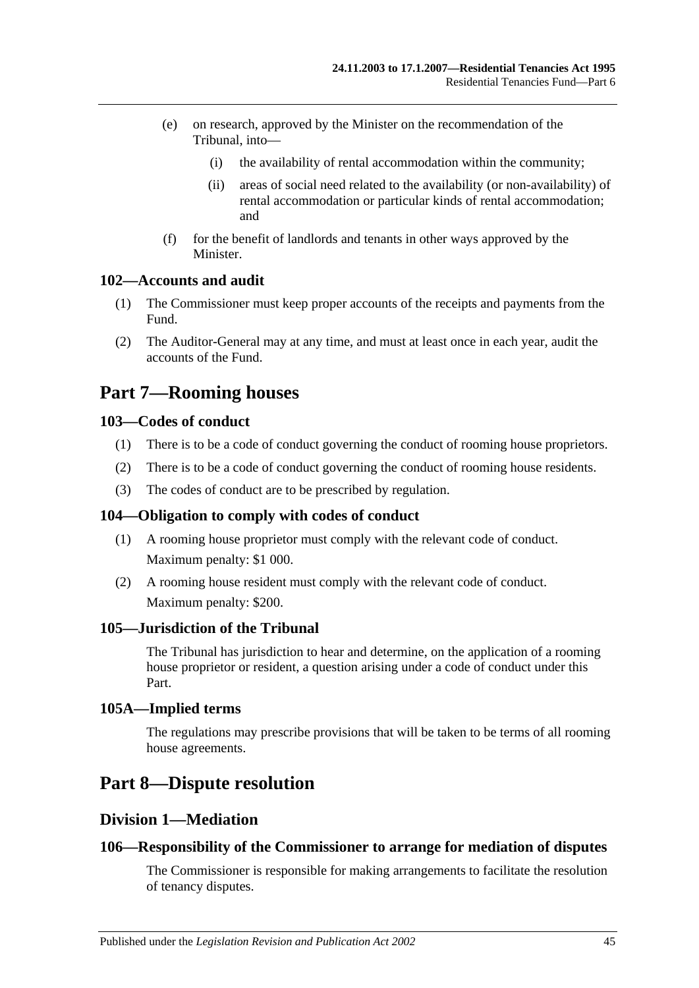- (e) on research, approved by the Minister on the recommendation of the Tribunal, into—
	- (i) the availability of rental accommodation within the community;
	- (ii) areas of social need related to the availability (or non-availability) of rental accommodation or particular kinds of rental accommodation; and
- (f) for the benefit of landlords and tenants in other ways approved by the **Minister**

### <span id="page-44-0"></span>**102—Accounts and audit**

- (1) The Commissioner must keep proper accounts of the receipts and payments from the Fund.
- (2) The Auditor-General may at any time, and must at least once in each year, audit the accounts of the Fund.

# <span id="page-44-1"></span>**Part 7—Rooming houses**

### <span id="page-44-2"></span>**103—Codes of conduct**

- (1) There is to be a code of conduct governing the conduct of rooming house proprietors.
- (2) There is to be a code of conduct governing the conduct of rooming house residents.
- (3) The codes of conduct are to be prescribed by regulation.

#### <span id="page-44-3"></span>**104—Obligation to comply with codes of conduct**

- (1) A rooming house proprietor must comply with the relevant code of conduct. Maximum penalty: \$1 000.
- (2) A rooming house resident must comply with the relevant code of conduct. Maximum penalty: \$200.

#### <span id="page-44-4"></span>**105—Jurisdiction of the Tribunal**

The Tribunal has jurisdiction to hear and determine, on the application of a rooming house proprietor or resident, a question arising under a code of conduct under this Part.

#### <span id="page-44-5"></span>**105A—Implied terms**

The regulations may prescribe provisions that will be taken to be terms of all rooming house agreements.

# <span id="page-44-7"></span><span id="page-44-6"></span>**Part 8—Dispute resolution**

## **Division 1—Mediation**

#### <span id="page-44-8"></span>**106—Responsibility of the Commissioner to arrange for mediation of disputes**

The Commissioner is responsible for making arrangements to facilitate the resolution of tenancy disputes.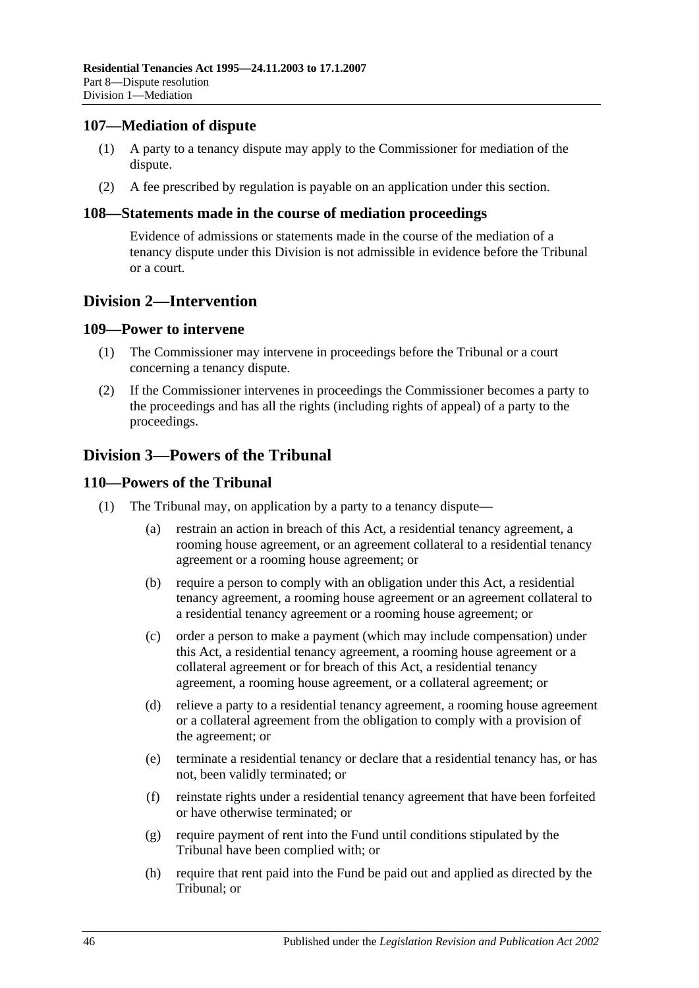### <span id="page-45-0"></span>**107—Mediation of dispute**

- (1) A party to a tenancy dispute may apply to the Commissioner for mediation of the dispute.
- (2) A fee prescribed by regulation is payable on an application under this section.

### <span id="page-45-1"></span>**108—Statements made in the course of mediation proceedings**

Evidence of admissions or statements made in the course of the mediation of a tenancy dispute under this Division is not admissible in evidence before the Tribunal or a court.

## <span id="page-45-2"></span>**Division 2—Intervention**

#### <span id="page-45-3"></span>**109—Power to intervene**

- (1) The Commissioner may intervene in proceedings before the Tribunal or a court concerning a tenancy dispute.
- (2) If the Commissioner intervenes in proceedings the Commissioner becomes a party to the proceedings and has all the rights (including rights of appeal) of a party to the proceedings.

## <span id="page-45-4"></span>**Division 3—Powers of the Tribunal**

### <span id="page-45-5"></span>**110—Powers of the Tribunal**

- (1) The Tribunal may, on application by a party to a tenancy dispute—
	- (a) restrain an action in breach of this Act, a residential tenancy agreement, a rooming house agreement, or an agreement collateral to a residential tenancy agreement or a rooming house agreement; or
	- (b) require a person to comply with an obligation under this Act, a residential tenancy agreement, a rooming house agreement or an agreement collateral to a residential tenancy agreement or a rooming house agreement; or
	- (c) order a person to make a payment (which may include compensation) under this Act, a residential tenancy agreement, a rooming house agreement or a collateral agreement or for breach of this Act, a residential tenancy agreement, a rooming house agreement, or a collateral agreement; or
	- (d) relieve a party to a residential tenancy agreement, a rooming house agreement or a collateral agreement from the obligation to comply with a provision of the agreement; or
	- (e) terminate a residential tenancy or declare that a residential tenancy has, or has not, been validly terminated; or
	- (f) reinstate rights under a residential tenancy agreement that have been forfeited or have otherwise terminated; or
	- (g) require payment of rent into the Fund until conditions stipulated by the Tribunal have been complied with; or
	- (h) require that rent paid into the Fund be paid out and applied as directed by the Tribunal; or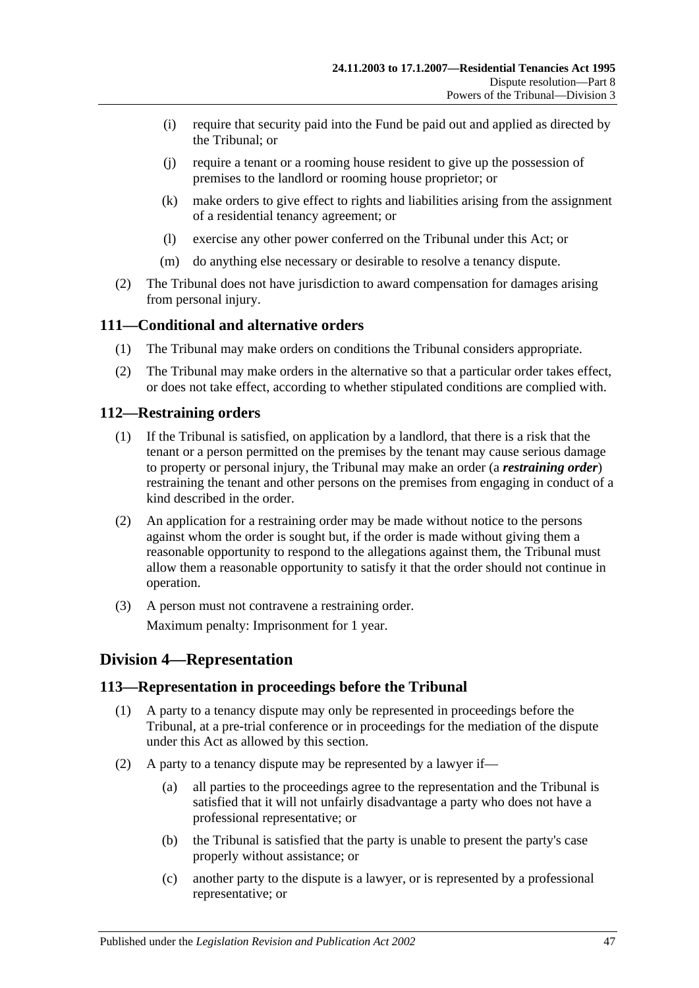- (i) require that security paid into the Fund be paid out and applied as directed by the Tribunal; or
- (j) require a tenant or a rooming house resident to give up the possession of premises to the landlord or rooming house proprietor; or
- (k) make orders to give effect to rights and liabilities arising from the assignment of a residential tenancy agreement; or
- (l) exercise any other power conferred on the Tribunal under this Act; or
- (m) do anything else necessary or desirable to resolve a tenancy dispute.
- (2) The Tribunal does not have jurisdiction to award compensation for damages arising from personal injury.

## <span id="page-46-0"></span>**111—Conditional and alternative orders**

- (1) The Tribunal may make orders on conditions the Tribunal considers appropriate.
- (2) The Tribunal may make orders in the alternative so that a particular order takes effect, or does not take effect, according to whether stipulated conditions are complied with.

### <span id="page-46-1"></span>**112—Restraining orders**

- (1) If the Tribunal is satisfied, on application by a landlord, that there is a risk that the tenant or a person permitted on the premises by the tenant may cause serious damage to property or personal injury, the Tribunal may make an order (a *restraining order*) restraining the tenant and other persons on the premises from engaging in conduct of a kind described in the order.
- (2) An application for a restraining order may be made without notice to the persons against whom the order is sought but, if the order is made without giving them a reasonable opportunity to respond to the allegations against them, the Tribunal must allow them a reasonable opportunity to satisfy it that the order should not continue in operation.
- (3) A person must not contravene a restraining order. Maximum penalty: Imprisonment for 1 year.

## <span id="page-46-2"></span>**Division 4—Representation**

#### <span id="page-46-3"></span>**113—Representation in proceedings before the Tribunal**

- (1) A party to a tenancy dispute may only be represented in proceedings before the Tribunal, at a pre-trial conference or in proceedings for the mediation of the dispute under this Act as allowed by this section.
- (2) A party to a tenancy dispute may be represented by a lawyer if—
	- (a) all parties to the proceedings agree to the representation and the Tribunal is satisfied that it will not unfairly disadvantage a party who does not have a professional representative; or
	- (b) the Tribunal is satisfied that the party is unable to present the party's case properly without assistance; or
	- (c) another party to the dispute is a lawyer, or is represented by a professional representative; or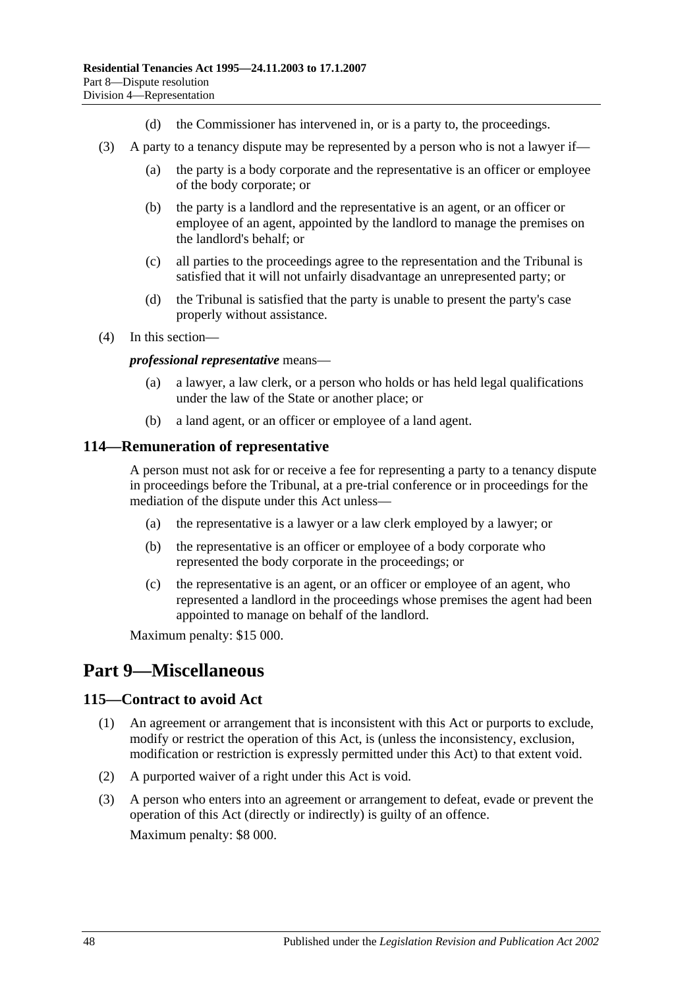- (d) the Commissioner has intervened in, or is a party to, the proceedings.
- (3) A party to a tenancy dispute may be represented by a person who is not a lawyer if—
	- (a) the party is a body corporate and the representative is an officer or employee of the body corporate; or
	- (b) the party is a landlord and the representative is an agent, or an officer or employee of an agent, appointed by the landlord to manage the premises on the landlord's behalf; or
	- (c) all parties to the proceedings agree to the representation and the Tribunal is satisfied that it will not unfairly disadvantage an unrepresented party; or
	- (d) the Tribunal is satisfied that the party is unable to present the party's case properly without assistance.
- (4) In this section—

*professional representative* means—

- (a) a lawyer, a law clerk, or a person who holds or has held legal qualifications under the law of the State or another place; or
- (b) a land agent, or an officer or employee of a land agent.

#### <span id="page-47-0"></span>**114—Remuneration of representative**

A person must not ask for or receive a fee for representing a party to a tenancy dispute in proceedings before the Tribunal, at a pre-trial conference or in proceedings for the mediation of the dispute under this Act unless—

- (a) the representative is a lawyer or a law clerk employed by a lawyer; or
- (b) the representative is an officer or employee of a body corporate who represented the body corporate in the proceedings; or
- (c) the representative is an agent, or an officer or employee of an agent, who represented a landlord in the proceedings whose premises the agent had been appointed to manage on behalf of the landlord.

Maximum penalty: \$15 000.

# <span id="page-47-1"></span>**Part 9—Miscellaneous**

#### <span id="page-47-2"></span>**115—Contract to avoid Act**

- (1) An agreement or arrangement that is inconsistent with this Act or purports to exclude, modify or restrict the operation of this Act, is (unless the inconsistency, exclusion, modification or restriction is expressly permitted under this Act) to that extent void.
- (2) A purported waiver of a right under this Act is void.
- (3) A person who enters into an agreement or arrangement to defeat, evade or prevent the operation of this Act (directly or indirectly) is guilty of an offence. Maximum penalty: \$8 000.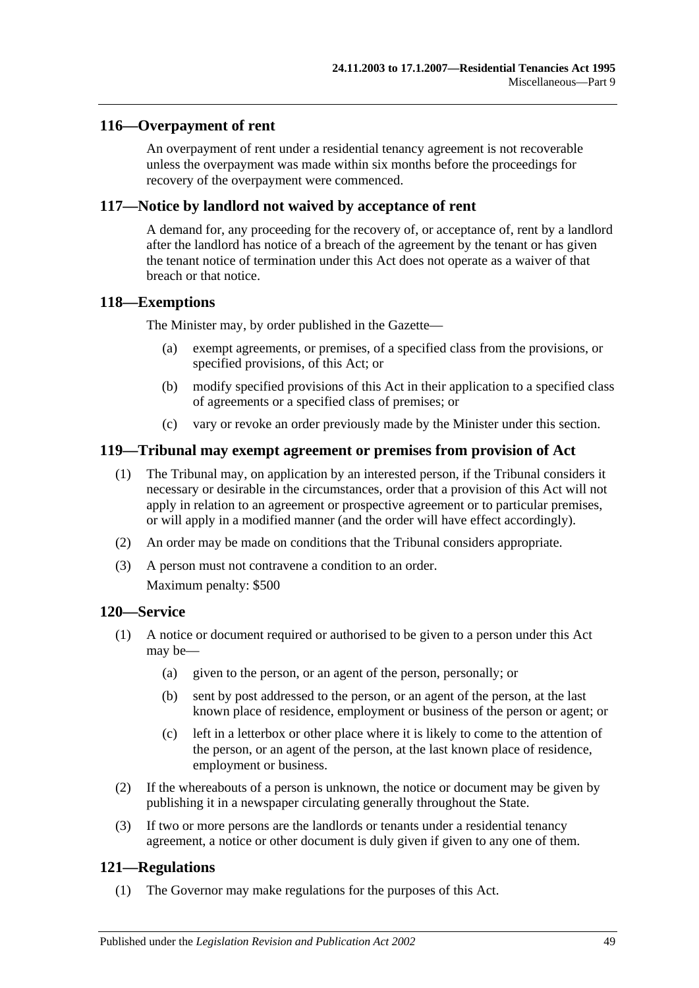### <span id="page-48-0"></span>**116—Overpayment of rent**

An overpayment of rent under a residential tenancy agreement is not recoverable unless the overpayment was made within six months before the proceedings for recovery of the overpayment were commenced.

### <span id="page-48-1"></span>**117—Notice by landlord not waived by acceptance of rent**

A demand for, any proceeding for the recovery of, or acceptance of, rent by a landlord after the landlord has notice of a breach of the agreement by the tenant or has given the tenant notice of termination under this Act does not operate as a waiver of that breach or that notice.

#### <span id="page-48-2"></span>**118—Exemptions**

The Minister may, by order published in the Gazette—

- (a) exempt agreements, or premises, of a specified class from the provisions, or specified provisions, of this Act; or
- (b) modify specified provisions of this Act in their application to a specified class of agreements or a specified class of premises; or
- (c) vary or revoke an order previously made by the Minister under this section.

### <span id="page-48-3"></span>**119—Tribunal may exempt agreement or premises from provision of Act**

- (1) The Tribunal may, on application by an interested person, if the Tribunal considers it necessary or desirable in the circumstances, order that a provision of this Act will not apply in relation to an agreement or prospective agreement or to particular premises, or will apply in a modified manner (and the order will have effect accordingly).
- (2) An order may be made on conditions that the Tribunal considers appropriate.
- (3) A person must not contravene a condition to an order.

Maximum penalty: \$500

### <span id="page-48-4"></span>**120—Service**

- (1) A notice or document required or authorised to be given to a person under this Act may be—
	- (a) given to the person, or an agent of the person, personally; or
	- (b) sent by post addressed to the person, or an agent of the person, at the last known place of residence, employment or business of the person or agent; or
	- (c) left in a letterbox or other place where it is likely to come to the attention of the person, or an agent of the person, at the last known place of residence, employment or business.
- (2) If the whereabouts of a person is unknown, the notice or document may be given by publishing it in a newspaper circulating generally throughout the State.
- (3) If two or more persons are the landlords or tenants under a residential tenancy agreement, a notice or other document is duly given if given to any one of them.

## <span id="page-48-5"></span>**121—Regulations**

(1) The Governor may make regulations for the purposes of this Act.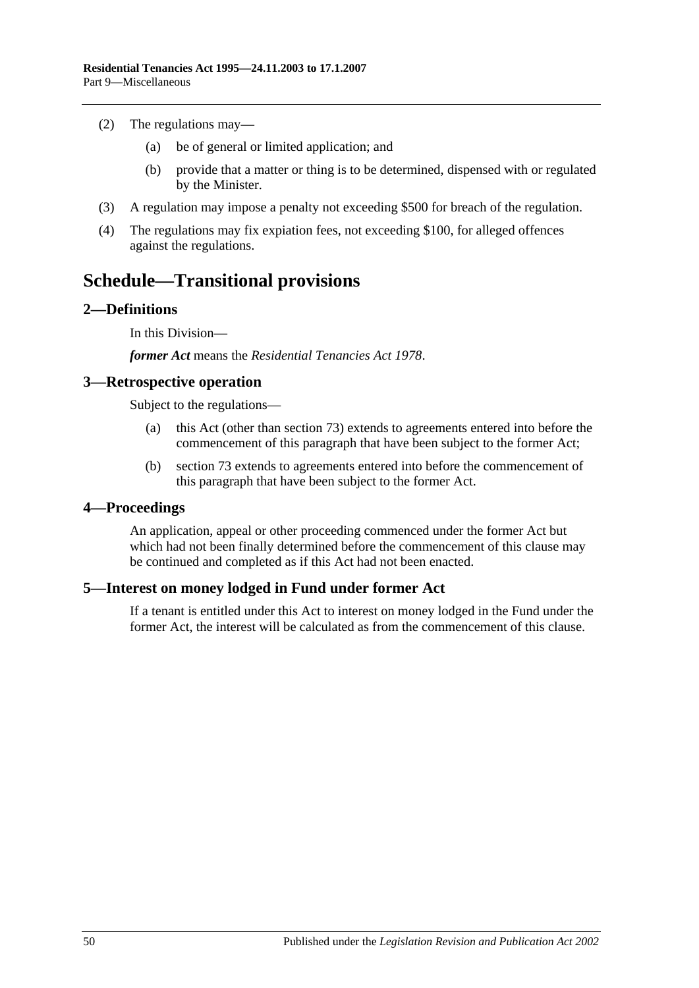- (2) The regulations may—
	- (a) be of general or limited application; and
	- (b) provide that a matter or thing is to be determined, dispensed with or regulated by the Minister.
- (3) A regulation may impose a penalty not exceeding \$500 for breach of the regulation.
- (4) The regulations may fix expiation fees, not exceeding \$100, for alleged offences against the regulations.

# <span id="page-49-0"></span>**Schedule—Transitional provisions**

### <span id="page-49-1"></span>**2—Definitions**

In this Division—

*former Act* means the *[Residential Tenancies Act](http://www.legislation.sa.gov.au/index.aspx?action=legref&type=act&legtitle=Residential%20Tenancies%20Act%201978) 1978*.

#### <span id="page-49-2"></span>**3—Retrospective operation**

Subject to the regulations—

- (a) this Act (other than [section](#page-31-1) 73) extends to agreements entered into before the commencement of this paragraph that have been subject to the former Act;
- (b) [section](#page-31-1) 73 extends to agreements entered into before the commencement of this paragraph that have been subject to the former Act.

#### <span id="page-49-3"></span>**4—Proceedings**

An application, appeal or other proceeding commenced under the former Act but which had not been finally determined before the commencement of this clause may be continued and completed as if this Act had not been enacted.

## <span id="page-49-4"></span>**5—Interest on money lodged in Fund under former Act**

If a tenant is entitled under this Act to interest on money lodged in the Fund under the former Act, the interest will be calculated as from the commencement of this clause.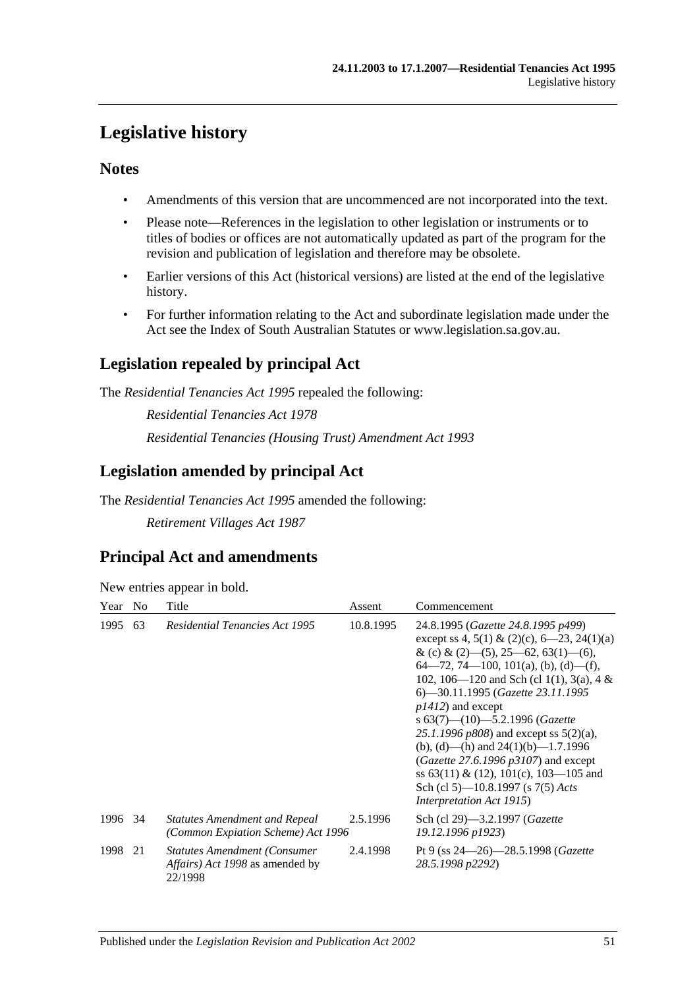# <span id="page-50-0"></span>**Legislative history**

## **Notes**

- Amendments of this version that are uncommenced are not incorporated into the text.
- Please note—References in the legislation to other legislation or instruments or to titles of bodies or offices are not automatically updated as part of the program for the revision and publication of legislation and therefore may be obsolete.
- Earlier versions of this Act (historical versions) are listed at the end of the legislative history.
- For further information relating to the Act and subordinate legislation made under the Act see the Index of South Australian Statutes or www.legislation.sa.gov.au.

## **Legislation repealed by principal Act**

The *Residential Tenancies Act 1995* repealed the following:

*Residential Tenancies Act 1978 Residential Tenancies (Housing Trust) Amendment Act 1993*

## **Legislation amended by principal Act**

The *Residential Tenancies Act 1995* amended the following:

*Retirement Villages Act 1987*

# **Principal Act and amendments**

New entries appear in bold.

| Year    | N <sub>0</sub> | Title                                                                              | Assent    | Commencement                                                                                                                                                                                                                                                                                                                                                                                                                                                                                                                                                                     |
|---------|----------------|------------------------------------------------------------------------------------|-----------|----------------------------------------------------------------------------------------------------------------------------------------------------------------------------------------------------------------------------------------------------------------------------------------------------------------------------------------------------------------------------------------------------------------------------------------------------------------------------------------------------------------------------------------------------------------------------------|
| 1995    | 63             | <b>Residential Tenancies Act 1995</b>                                              | 10.8.1995 | 24.8.1995 (Gazette 24.8.1995 p499)<br>except ss 4, 5(1) & (2)(c), 6–23, 24(1)(a)<br>& (c) & (2)–(5), 25–62, 63(1)–(6),<br>$64-72, 74-100, 101(a), (b), (d)-(f),$<br>102, 106—120 and Sch (cl 1(1), 3(a), 4 &<br>6—30.11.1995 (Gazette 23.11.1995<br>$p1412$ ) and except<br>s $63(7)$ — $(10)$ —5.2.1996 (Gazette<br>25.1.1996 $p808$ ) and except ss $5(2)(a)$ ,<br>(b), (d)—(h) and $24(1)(b)$ —1.7.1996<br>( <i>Gazette</i> 27.6.1996 $p3107$ ) and except<br>ss $63(11) \& (12)$ , $101(c)$ , $103-105$ and<br>Sch (cl 5)—10.8.1997 (s 7(5) Acts<br>Interpretation Act 1915) |
| 1996 34 |                | <b>Statutes Amendment and Repeal</b><br>(Common Expiation Scheme) Act 1996         | 2.5.1996  | Sch (cl 29)—3.2.1997 ( <i>Gazette</i><br>19.12.1996 p1923)                                                                                                                                                                                                                                                                                                                                                                                                                                                                                                                       |
| 1998    | 21             | <b>Statutes Amendment (Consumer)</b><br>Affairs) Act 1998 as amended by<br>22/1998 | 2.4.1998  | Pt 9 (ss $24 - 26$ ) $-28.5.1998$ (Gazette<br>28.5.1998 p2292)                                                                                                                                                                                                                                                                                                                                                                                                                                                                                                                   |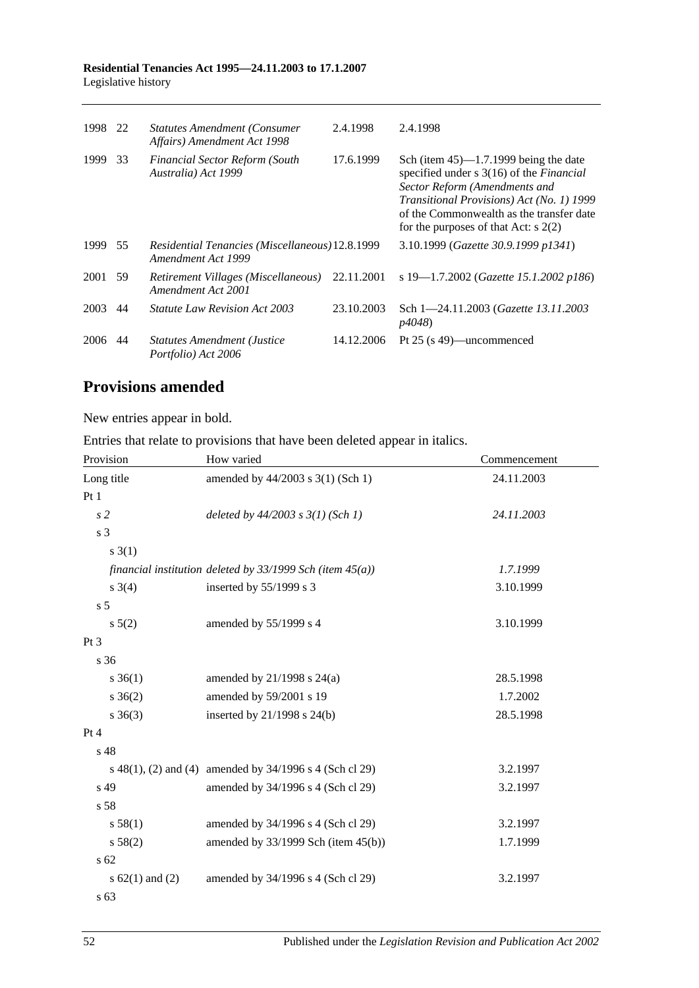#### **Residential Tenancies Act 1995—24.11.2003 to 17.1.2007** Legislative history

| 1998    | 22 | <b>Statutes Amendment (Consumer)</b><br>Affairs) Amendment Act 1998   | 2.4.1998   | 2.4.1998                                                                                                                                                                                                                                                        |
|---------|----|-----------------------------------------------------------------------|------------|-----------------------------------------------------------------------------------------------------------------------------------------------------------------------------------------------------------------------------------------------------------------|
| 1999    | 33 | <b>Financial Sector Reform (South</b><br>Australia) Act 1999          | 17.6.1999  | Sch (item $45$ )—1.7.1999 being the date<br>specified under s 3(16) of the <i>Financial</i><br>Sector Reform (Amendments and<br>Transitional Provisions) Act (No. 1) 1999<br>of the Commonwealth as the transfer date<br>for the purposes of that Act: $s$ 2(2) |
| 1999 55 |    | Residential Tenancies (Miscellaneous) 12.8.1999<br>Amendment Act 1999 |            | 3.10.1999 (Gazette 30.9.1999 p1341)                                                                                                                                                                                                                             |
| 2001 59 |    | Retirement Villages (Miscellaneous)<br>Amendment Act 2001             | 22.11.2001 | s 19—1.7.2002 (Gazette 15.1.2002 p186)                                                                                                                                                                                                                          |
| 2003    | 44 | <i>Statute Law Revision Act 2003</i>                                  | 23.10.2003 | Sch 1-24.11.2003 (Gazette 13.11.2003<br>p4048)                                                                                                                                                                                                                  |
| 2006    | 44 | <b>Statutes Amendment (Justice</b><br>Portfolio) Act 2006             | 14.12.2006 | Pt 25 (s 49)—uncommenced                                                                                                                                                                                                                                        |

# **Provisions amended**

New entries appear in bold.

Entries that relate to provisions that have been deleted appear in italics.

| Provision           | How varied                                                     | Commencement |
|---------------------|----------------------------------------------------------------|--------------|
| Long title          | amended by 44/2003 s 3(1) (Sch 1)                              | 24.11.2003   |
| Pt1                 |                                                                |              |
| s <sub>2</sub>      | deleted by $44/2003$ s $3(1)$ (Sch 1)                          | 24.11.2003   |
| s 3                 |                                                                |              |
| $s \; 3(1)$         |                                                                |              |
|                     | financial institution deleted by $33/1999$ Sch (item $45(a)$ ) | 1.7.1999     |
| $s \; 3(4)$         | inserted by 55/1999 s 3                                        | 3.10.1999    |
| s <sub>5</sub>      |                                                                |              |
| $s\,5(2)$           | amended by 55/1999 s 4                                         | 3.10.1999    |
| Pt <sub>3</sub>     |                                                                |              |
| s 36                |                                                                |              |
| $s \; 36(1)$        | amended by 21/1998 s 24(a)                                     | 28.5.1998    |
| $s \; 36(2)$        | amended by 59/2001 s 19                                        | 1.7.2002     |
| $s \; 36(3)$        | inserted by 21/1998 s 24(b)                                    | 28.5.1998    |
| Pt 4                |                                                                |              |
| s 48                |                                                                |              |
|                     | s 48(1), (2) and (4) amended by 34/1996 s 4 (Sch cl 29)        | 3.2.1997     |
| s 49                | amended by 34/1996 s 4 (Sch cl 29)                             | 3.2.1997     |
| s 58                |                                                                |              |
| s 58(1)             | amended by 34/1996 s 4 (Sch cl 29)                             | 3.2.1997     |
| s 58(2)             | amended by $33/1999$ Sch (item $45(b)$ )                       | 1.7.1999     |
| s <sub>62</sub>     |                                                                |              |
| s $62(1)$ and $(2)$ | amended by 34/1996 s 4 (Sch cl 29)                             | 3.2.1997     |
| s <sub>63</sub>     |                                                                |              |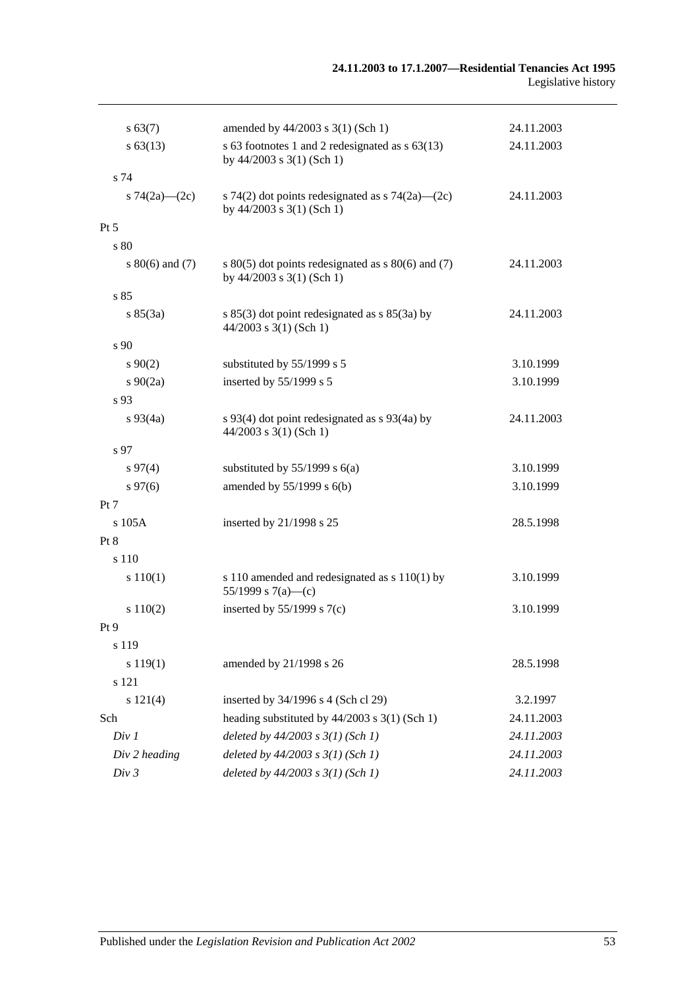#### **24.11.2003 to 17.1.2007—Residential Tenancies Act 1995** Legislative history

| s 63(7)             | amended by 44/2003 s 3(1) (Sch 1)                                                       | 24.11.2003 |
|---------------------|-----------------------------------------------------------------------------------------|------------|
| $s\,63(13)$         | s 63 footnotes 1 and 2 redesignated as $s$ 63(13)<br>by 44/2003 s 3(1) (Sch 1)          | 24.11.2003 |
| s 74                |                                                                                         |            |
| s $74(2a)$ (2c)     | s 74(2) dot points redesignated as s 74(2a)—(2c)<br>by $44/2003$ s $3(1)$ (Sch 1)       | 24.11.2003 |
| $Pt\,5$             |                                                                                         |            |
| s 80                |                                                                                         |            |
| s $80(6)$ and $(7)$ | s $80(5)$ dot points redesignated as s $80(6)$ and (7)<br>by $44/2003$ s $3(1)$ (Sch 1) | 24.11.2003 |
| s85                 |                                                                                         |            |
| s 85(3a)            | s $85(3)$ dot point redesignated as s $85(3a)$ by<br>$44/2003$ s 3(1) (Sch 1)           | 24.11.2003 |
| s <sub>90</sub>     |                                                                                         |            |
| $s\,90(2)$          | substituted by 55/1999 s 5                                                              | 3.10.1999  |
| $s\ 90(2a)$         | inserted by 55/1999 s 5                                                                 | 3.10.1999  |
| s 93                |                                                                                         |            |
| $s\,93(4a)$         | s 93(4) dot point redesignated as s 93(4a) by<br>$44/2003$ s 3(1) (Sch 1)               | 24.11.2003 |
| s 97                |                                                                                         |            |
| $s\,97(4)$          | substituted by $55/1999$ s $6(a)$                                                       | 3.10.1999  |
| $s\,97(6)$          | amended by $55/1999$ s $6(b)$                                                           | 3.10.1999  |
| Pt 7                |                                                                                         |            |
| $s$ 105 $A$         | inserted by 21/1998 s 25                                                                | 28.5.1998  |
| Pt 8                |                                                                                         |            |
| s 110               |                                                                                         |            |
| s 110(1)            | s 110 amended and redesignated as $s$ 110(1) by<br>55/1999 s 7(a)—(c)                   | 3.10.1999  |
| s 110(2)            | inserted by $55/1999$ s $7(c)$                                                          | 3.10.1999  |
| Pt9                 |                                                                                         |            |
| s 119               |                                                                                         |            |
| s 119(1)            | amended by 21/1998 s 26                                                                 | 28.5.1998  |
| s 121               |                                                                                         |            |
| s 121(4)            | inserted by 34/1996 s 4 (Sch cl 29)                                                     | 3.2.1997   |
| Sch                 | heading substituted by $44/2003$ s 3(1) (Sch 1)                                         | 24.11.2003 |
| Div 1               | deleted by $44/2003$ s $3(1)$ (Sch 1)                                                   | 24.11.2003 |
| Div 2 heading       | deleted by $44/2003$ s $3(1)$ (Sch 1)                                                   | 24.11.2003 |
| Div 3               | deleted by $44/2003$ s $3(1)$ (Sch 1)                                                   | 24.11.2003 |